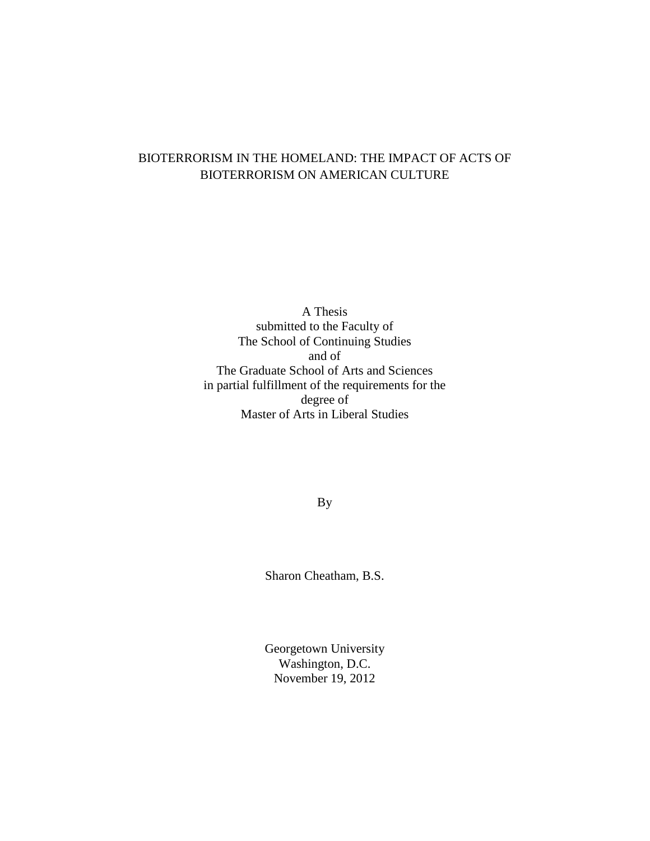# BIOTERRORISM IN THE HOMELAND: THE IMPACT OF ACTS OF BIOTERRORISM ON AMERICAN CULTURE

A Thesis submitted to the Faculty of The School of Continuing Studies and of The Graduate School of Arts and Sciences in partial fulfillment of the requirements for the degree of Master of Arts in Liberal Studies

By

Sharon Cheatham, B.S.

Georgetown University Washington, D.C. November 19, 2012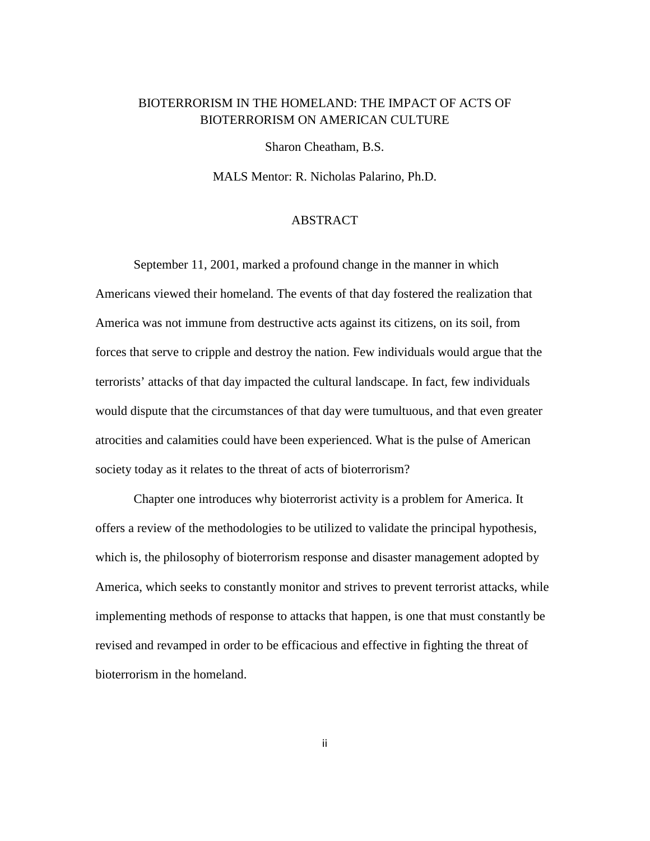# BIOTERRORISM IN THE HOMELAND: THE IMPACT OF ACTS OF BIOTERRORISM ON AMERICAN CULTURE

Sharon Cheatham, B.S.

MALS Mentor: R. Nicholas Palarino, Ph.D.

### ABSTRACT

 September 11, 2001, marked a profound change in the manner in which Americans viewed their homeland. The events of that day fostered the realization that America was not immune from destructive acts against its citizens, on its soil, from forces that serve to cripple and destroy the nation. Few individuals would argue that the terrorists' attacks of that day impacted the cultural landscape. In fact, few individuals would dispute that the circumstances of that day were tumultuous, and that even greater atrocities and calamities could have been experienced. What is the pulse of American society today as it relates to the threat of acts of bioterrorism?

 Chapter one introduces why bioterrorist activity is a problem for America. It offers a review of the methodologies to be utilized to validate the principal hypothesis, which is, the philosophy of bioterrorism response and disaster management adopted by America, which seeks to constantly monitor and strives to prevent terrorist attacks, while implementing methods of response to attacks that happen, is one that must constantly be revised and revamped in order to be efficacious and effective in fighting the threat of bioterrorism in the homeland.

ii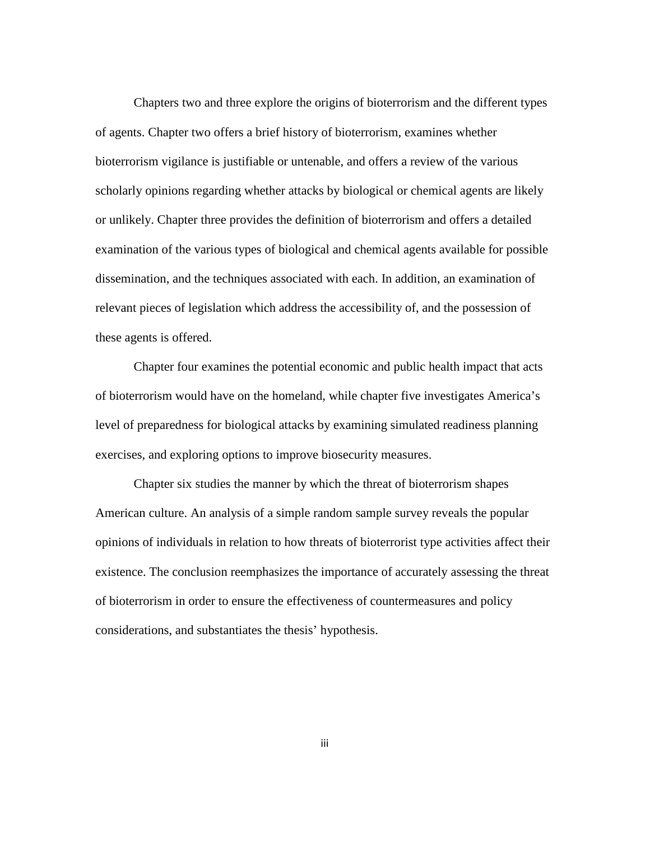Chapters two and three explore the origins of bioterrorism and the different types of agents. Chapter two offers a brief history of bioterrorism, examines whether bioterrorism vigilance is justifiable or untenable, and offers a review of the various scholarly opinions regarding whether attacks by biological or chemical agents are likely or unlikely. Chapter three provides the definition of bioterrorism and offers a detailed examination of the various types of biological and chemical agents available for possible dissemination, and the techniques associated with each. In addition, an examination of relevant pieces of legislation which address the accessibility of, and the possession of these agents is offered.

 Chapter four examines the potential economic and public health impact that acts of bioterrorism would have on the homeland, while chapter five investigates America's level of preparedness for biological attacks by examining simulated readiness planning exercises, and exploring options to improve biosecurity measures.

 Chapter six studies the manner by which the threat of bioterrorism shapes American culture. An analysis of a simple random sample survey reveals the popular opinions of individuals in relation to how threats of bioterrorist type activities affect their existence. The conclusion reemphasizes the importance of accurately assessing the threat of bioterrorism in order to ensure the effectiveness of countermeasures and policy considerations, and substantiates the thesis' hypothesis.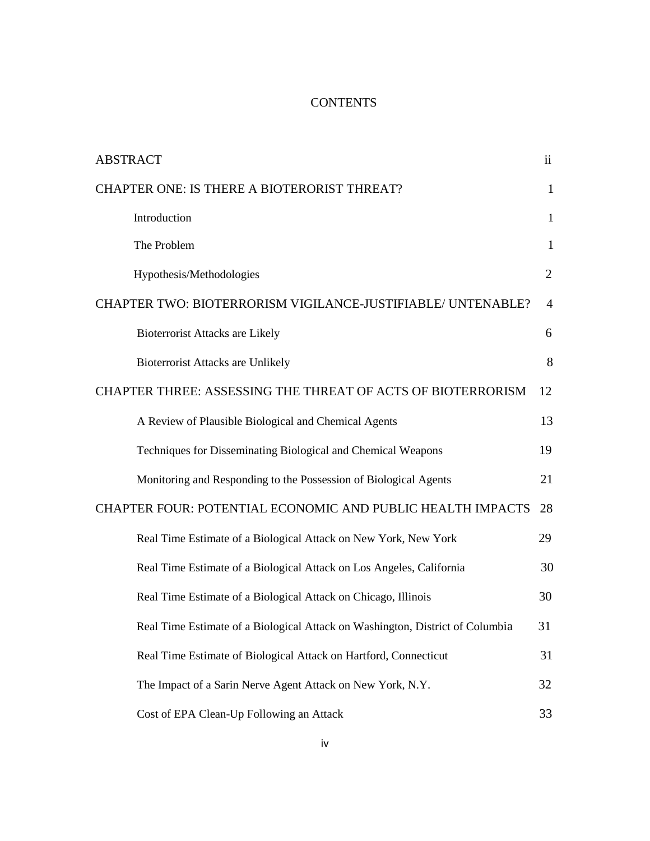# **CONTENTS**

| <b>ABSTRACT</b>                                                               | $\ddot{\mathbf{i}}$ |
|-------------------------------------------------------------------------------|---------------------|
| CHAPTER ONE: IS THERE A BIOTERORIST THREAT?                                   | $\mathbf{1}$        |
| Introduction                                                                  | $\mathbf{1}$        |
| The Problem                                                                   | $\mathbf{1}$        |
| Hypothesis/Methodologies                                                      | 2                   |
| CHAPTER TWO: BIOTERRORISM VIGILANCE-JUSTIFIABLE/ UNTENABLE?                   | $\overline{4}$      |
| <b>Bioterrorist Attacks are Likely</b>                                        | 6                   |
| <b>Bioterrorist Attacks are Unlikely</b>                                      | 8                   |
| CHAPTER THREE: ASSESSING THE THREAT OF ACTS OF BIOTERRORISM                   | 12                  |
| A Review of Plausible Biological and Chemical Agents                          | 13                  |
| Techniques for Disseminating Biological and Chemical Weapons                  | 19                  |
| Monitoring and Responding to the Possession of Biological Agents              | 21                  |
| CHAPTER FOUR: POTENTIAL ECONOMIC AND PUBLIC HEALTH IMPACTS                    | 28                  |
| Real Time Estimate of a Biological Attack on New York, New York               | 29                  |
| Real Time Estimate of a Biological Attack on Los Angeles, California          | 30                  |
| Real Time Estimate of a Biological Attack on Chicago, Illinois                | 30                  |
| Real Time Estimate of a Biological Attack on Washington, District of Columbia | 31                  |
| Real Time Estimate of Biological Attack on Hartford, Connecticut              | 31                  |
| The Impact of a Sarin Nerve Agent Attack on New York, N.Y.                    | 32                  |
| Cost of EPA Clean-Up Following an Attack                                      | 33                  |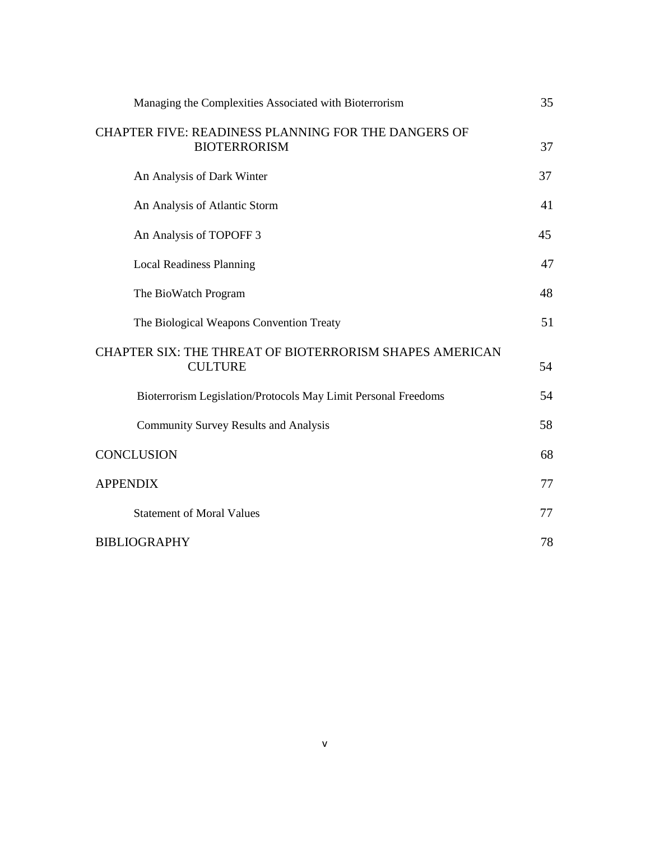| Managing the Complexities Associated with Bioterrorism                     | 35 |
|----------------------------------------------------------------------------|----|
| CHAPTER FIVE: READINESS PLANNING FOR THE DANGERS OF<br><b>BIOTERRORISM</b> | 37 |
| An Analysis of Dark Winter                                                 | 37 |
| An Analysis of Atlantic Storm                                              | 41 |
| An Analysis of TOPOFF 3                                                    | 45 |
| <b>Local Readiness Planning</b>                                            | 47 |
| The BioWatch Program                                                       | 48 |
| The Biological Weapons Convention Treaty                                   | 51 |
| CHAPTER SIX: THE THREAT OF BIOTERRORISM SHAPES AMERICAN<br><b>CULTURE</b>  | 54 |
| Bioterrorism Legislation/Protocols May Limit Personal Freedoms             | 54 |
| <b>Community Survey Results and Analysis</b>                               | 58 |
| <b>CONCLUSION</b>                                                          | 68 |
| <b>APPENDIX</b>                                                            | 77 |
| <b>Statement of Moral Values</b>                                           | 77 |
| <b>BIBLIOGRAPHY</b>                                                        | 78 |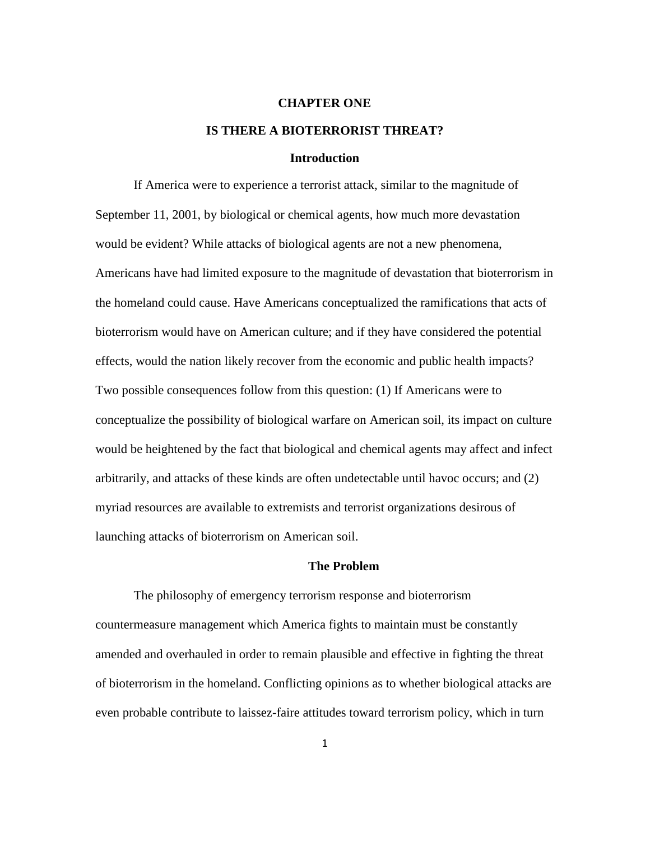#### **CHAPTER ONE**

# **IS THERE A BIOTERRORIST THREAT?**

# **Introduction**

If America were to experience a terrorist attack, similar to the magnitude of September 11, 2001, by biological or chemical agents, how much more devastation would be evident? While attacks of biological agents are not a new phenomena, Americans have had limited exposure to the magnitude of devastation that bioterrorism in the homeland could cause. Have Americans conceptualized the ramifications that acts of bioterrorism would have on American culture; and if they have considered the potential effects, would the nation likely recover from the economic and public health impacts? Two possible consequences follow from this question: (1) If Americans were to conceptualize the possibility of biological warfare on American soil, its impact on culture would be heightened by the fact that biological and chemical agents may affect and infect arbitrarily, and attacks of these kinds are often undetectable until havoc occurs; and (2) myriad resources are available to extremists and terrorist organizations desirous of launching attacks of bioterrorism on American soil.

#### **The Problem**

The philosophy of emergency terrorism response and bioterrorism countermeasure management which America fights to maintain must be constantly amended and overhauled in order to remain plausible and effective in fighting the threat of bioterrorism in the homeland. Conflicting opinions as to whether biological attacks are even probable contribute to laissez-faire attitudes toward terrorism policy, which in turn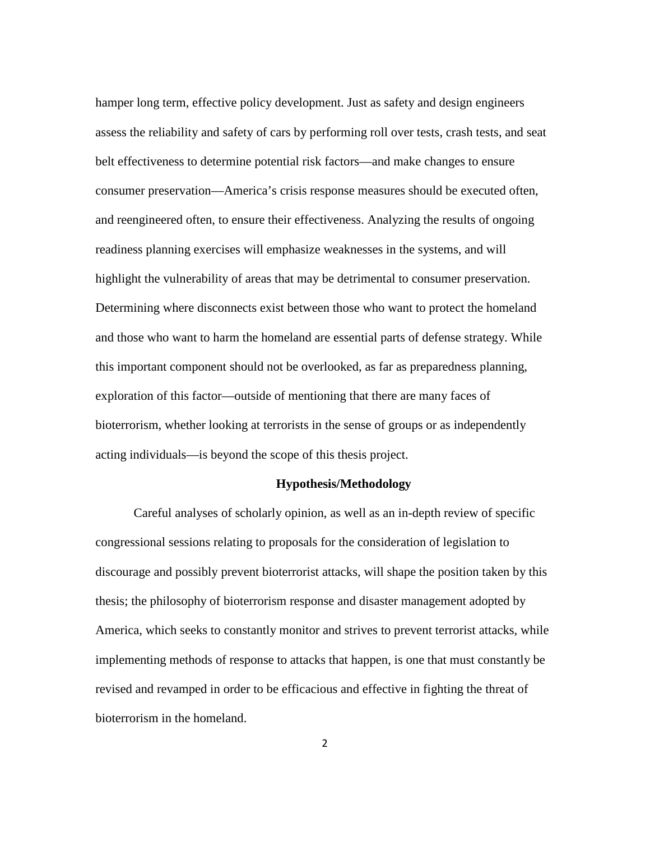hamper long term, effective policy development. Just as safety and design engineers assess the reliability and safety of cars by performing roll over tests, crash tests, and seat belt effectiveness to determine potential risk factors—and make changes to ensure consumer preservation—America's crisis response measures should be executed often, and reengineered often, to ensure their effectiveness. Analyzing the results of ongoing readiness planning exercises will emphasize weaknesses in the systems, and will highlight the vulnerability of areas that may be detrimental to consumer preservation. Determining where disconnects exist between those who want to protect the homeland and those who want to harm the homeland are essential parts of defense strategy. While this important component should not be overlooked, as far as preparedness planning, exploration of this factor—outside of mentioning that there are many faces of bioterrorism, whether looking at terrorists in the sense of groups or as independently acting individuals—is beyond the scope of this thesis project.

# **Hypothesis/Methodology**

Careful analyses of scholarly opinion, as well as an in-depth review of specific congressional sessions relating to proposals for the consideration of legislation to discourage and possibly prevent bioterrorist attacks, will shape the position taken by this thesis; the philosophy of bioterrorism response and disaster management adopted by America, which seeks to constantly monitor and strives to prevent terrorist attacks, while implementing methods of response to attacks that happen, is one that must constantly be revised and revamped in order to be efficacious and effective in fighting the threat of bioterrorism in the homeland.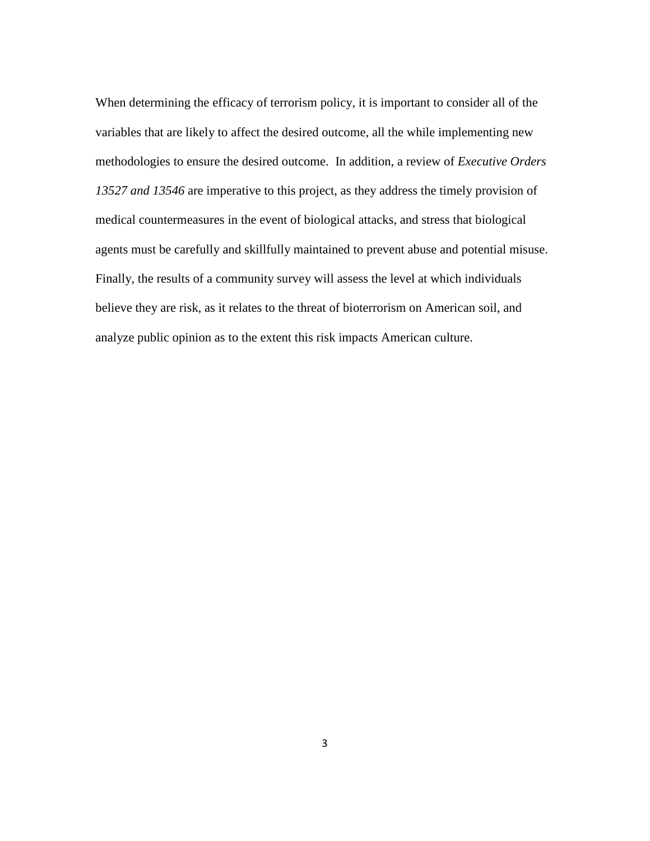When determining the efficacy of terrorism policy, it is important to consider all of the variables that are likely to affect the desired outcome, all the while implementing new methodologies to ensure the desired outcome. In addition, a review of *Executive Orders 13527 and 13546* are imperative to this project, as they address the timely provision of medical countermeasures in the event of biological attacks, and stress that biological agents must be carefully and skillfully maintained to prevent abuse and potential misuse. Finally, the results of a community survey will assess the level at which individuals believe they are risk, as it relates to the threat of bioterrorism on American soil, and analyze public opinion as to the extent this risk impacts American culture.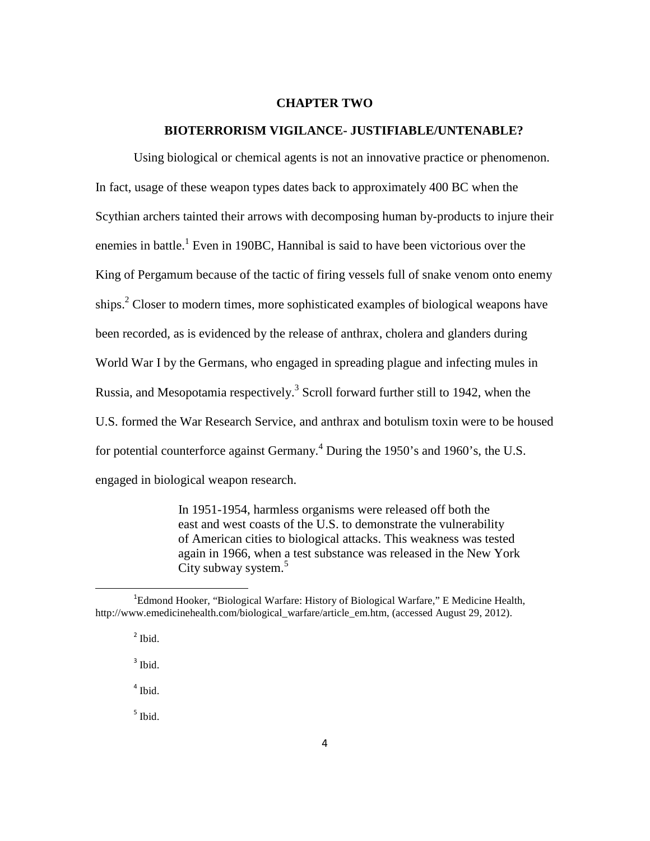#### **CHAPTER TWO**

# **BIOTERRORISM VIGILANCE- JUSTIFIABLE/UNTENABLE?**

Using biological or chemical agents is not an innovative practice or phenomenon. In fact, usage of these weapon types dates back to approximately 400 BC when the Scythian archers tainted their arrows with decomposing human by-products to injure their enemies in battle.<sup>1</sup> Even in 190BC, Hannibal is said to have been victorious over the King of Pergamum because of the tactic of firing vessels full of snake venom onto enemy ships. $2$  Closer to modern times, more sophisticated examples of biological weapons have been recorded, as is evidenced by the release of anthrax, cholera and glanders during World War I by the Germans, who engaged in spreading plague and infecting mules in Russia, and Mesopotamia respectively.<sup>3</sup> Scroll forward further still to 1942, when the U.S. formed the War Research Service, and anthrax and botulism toxin were to be housed for potential counterforce against Germany.<sup>4</sup> During the 1950's and 1960's, the U.S. engaged in biological weapon research.

> In 1951-1954, harmless organisms were released off both the east and west coasts of the U.S. to demonstrate the vulnerability of American cities to biological attacks. This weakness was tested again in 1966, when a test substance was released in the New York City subway system.<sup>5</sup>

l

<sup>3</sup> Ibid.

4 Ibid.

5 Ibid.

<sup>&</sup>lt;sup>1</sup>Edmond Hooker, "Biological Warfare: History of Biological Warfare," E Medicine Health, http://www.emedicinehealth.com/biological\_warfare/article\_em.htm, (accessed August 29, 2012).

<sup>&</sup>lt;sup>2</sup> Ibid.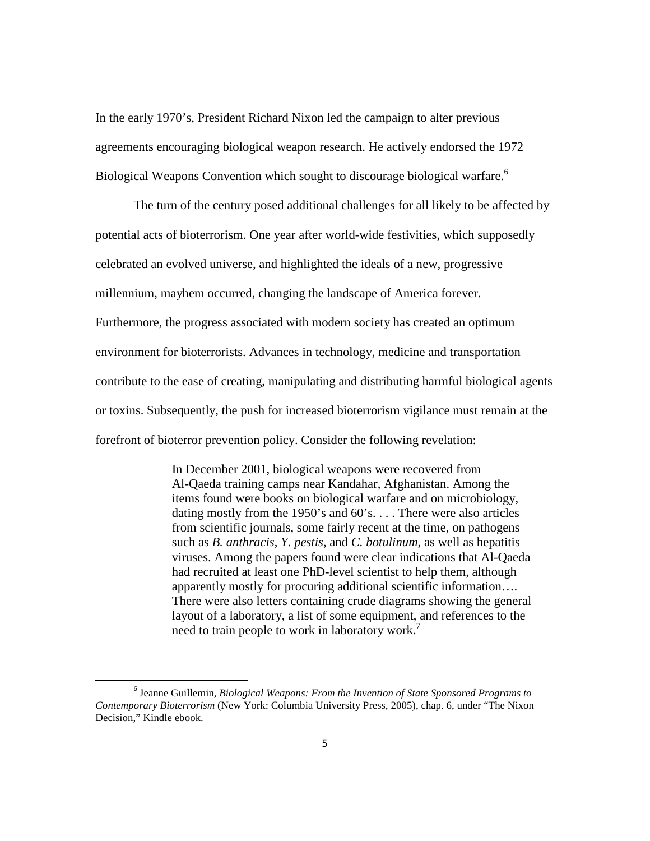In the early 1970's, President Richard Nixon led the campaign to alter previous agreements encouraging biological weapon research. He actively endorsed the 1972 Biological Weapons Convention which sought to discourage biological warfare.<sup>6</sup>

The turn of the century posed additional challenges for all likely to be affected by potential acts of bioterrorism. One year after world-wide festivities, which supposedly celebrated an evolved universe, and highlighted the ideals of a new, progressive millennium, mayhem occurred, changing the landscape of America forever. Furthermore, the progress associated with modern society has created an optimum environment for bioterrorists. Advances in technology, medicine and transportation contribute to the ease of creating, manipulating and distributing harmful biological agents or toxins. Subsequently, the push for increased bioterrorism vigilance must remain at the forefront of bioterror prevention policy. Consider the following revelation:

> In December 2001, biological weapons were recovered from Al-Qaeda training camps near Kandahar, Afghanistan. Among the items found were books on biological warfare and on microbiology, dating mostly from the 1950's and 60's. . . . There were also articles from scientific journals, some fairly recent at the time, on pathogens such as *B. anthracis*, *Y. pestis*, and *C. botulinum*, as well as hepatitis viruses. Among the papers found were clear indications that Al-Qaeda had recruited at least one PhD-level scientist to help them, although apparently mostly for procuring additional scientific information…. There were also letters containing crude diagrams showing the general layout of a laboratory, a list of some equipment, and references to the need to train people to work in laboratory work.<sup>7</sup>

<sup>6</sup> Jeanne Guillemin, *Biological Weapons: From the Invention of State Sponsored Programs to Contemporary Bioterrorism* (New York: Columbia University Press, 2005), chap. 6, under "The Nixon Decision," Kindle ebook.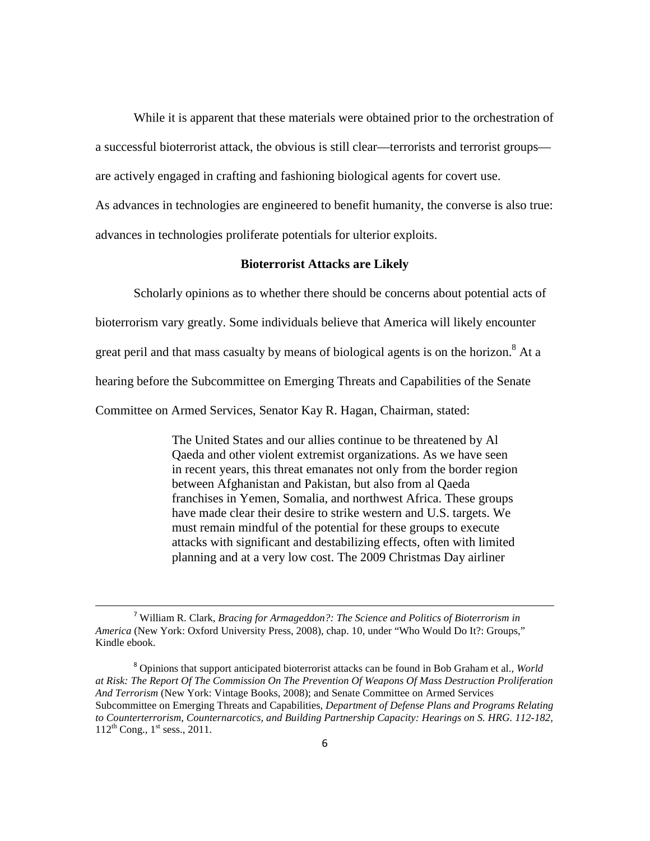While it is apparent that these materials were obtained prior to the orchestration of a successful bioterrorist attack, the obvious is still clear—terrorists and terrorist groups are actively engaged in crafting and fashioning biological agents for covert use.

As advances in technologies are engineered to benefit humanity, the converse is also true: advances in technologies proliferate potentials for ulterior exploits.

# **Bioterrorist Attacks are Likely**

Scholarly opinions as to whether there should be concerns about potential acts of

bioterrorism vary greatly. Some individuals believe that America will likely encounter

great peril and that mass casualty by means of biological agents is on the horizon.<sup>8</sup> At a

hearing before the Subcommittee on Emerging Threats and Capabilities of the Senate

Committee on Armed Services, Senator Kay R. Hagan, Chairman, stated:

 The United States and our allies continue to be threatened by Al Qaeda and other violent extremist organizations. As we have seen in recent years, this threat emanates not only from the border region between Afghanistan and Pakistan, but also from al Qaeda franchises in Yemen, Somalia, and northwest Africa. These groups have made clear their desire to strike western and U.S. targets. We must remain mindful of the potential for these groups to execute attacks with significant and destabilizing effects, often with limited planning and at a very low cost. The 2009 Christmas Day airliner

<sup>7</sup> William R. Clark, *Bracing for Armageddon?: The Science and Politics of Bioterrorism in America* (New York: Oxford University Press, 2008), chap. 10, under "Who Would Do It?: Groups," Kindle ebook.

<sup>8</sup> Opinions that support anticipated bioterrorist attacks can be found in Bob Graham et al., *World at Risk: The Report Of The Commission On The Prevention Of Weapons Of Mass Destruction Proliferation And Terrorism* (New York: Vintage Books, 2008); and Senate Committee on Armed Services Subcommittee on Emerging Threats and Capabilities, *Department of Defense Plans and Programs Relating to Counterterrorism, Counternarcotics, and Building Partnership Capacity: Hearings on S. HRG. 112-182,*  $112^{th}$  Cong.,  $1^{st}$  sess., 2011.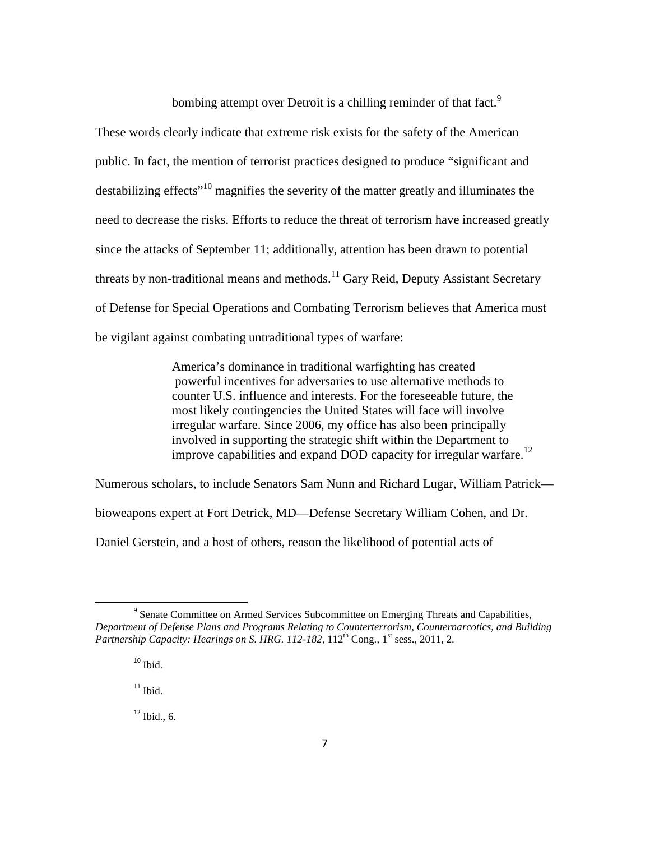bombing attempt over Detroit is a chilling reminder of that fact.<sup>9</sup>

These words clearly indicate that extreme risk exists for the safety of the American public. In fact, the mention of terrorist practices designed to produce "significant and destabilizing effects<sup>"10</sup> magnifies the severity of the matter greatly and illuminates the need to decrease the risks. Efforts to reduce the threat of terrorism have increased greatly since the attacks of September 11; additionally, attention has been drawn to potential threats by non-traditional means and methods.<sup>11</sup> Gary Reid, Deputy Assistant Secretary of Defense for Special Operations and Combating Terrorism believes that America must be vigilant against combating untraditional types of warfare:

> America's dominance in traditional warfighting has created powerful incentives for adversaries to use alternative methods to counter U.S. influence and interests. For the foreseeable future, the most likely contingencies the United States will face will involve irregular warfare. Since 2006, my office has also been principally involved in supporting the strategic shift within the Department to improve capabilities and expand DOD capacity for irregular warfare.<sup>12</sup>

Numerous scholars, to include Senators Sam Nunn and Richard Lugar, William Patrick bioweapons expert at Fort Detrick, MD—Defense Secretary William Cohen, and Dr.

Daniel Gerstein, and a host of others, reason the likelihood of potential acts of

 $\overline{\phantom{0}}$ 

 $11$  Ibid.

 $12$  Ibid. 6.

<sup>&</sup>lt;sup>9</sup> Senate Committee on Armed Services Subcommittee on Emerging Threats and Capabilities, *Department of Defense Plans and Programs Relating to Counterterrorism, Counternarcotics, and Building Partnership Capacity: Hearings on S. HRG. 112-182*, 112<sup>th</sup> Cong., 1<sup>st</sup> sess., 2011, 2.

 $10$  Ibid.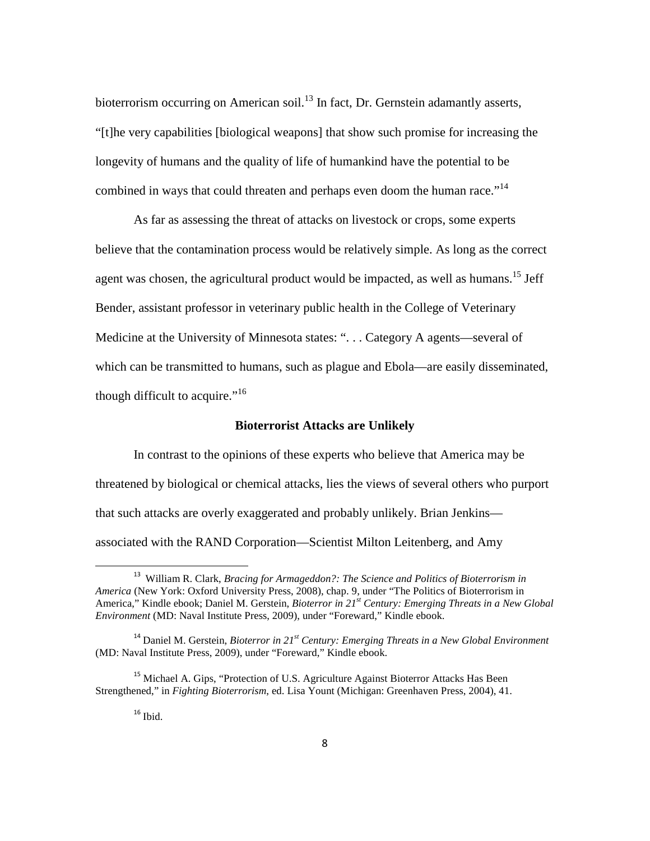bioterrorism occurring on American soil.<sup>13</sup> In fact, Dr. Gernstein adamantly asserts, "[t]he very capabilities [biological weapons] that show such promise for increasing the longevity of humans and the quality of life of humankind have the potential to be combined in ways that could threaten and perhaps even doom the human race.<sup> $14$ </sup>

 As far as assessing the threat of attacks on livestock or crops, some experts believe that the contamination process would be relatively simple. As long as the correct agent was chosen, the agricultural product would be impacted, as well as humans.<sup>15</sup> Jeff Bender, assistant professor in veterinary public health in the College of Veterinary Medicine at the University of Minnesota states: ". . . Category A agents—several of which can be transmitted to humans, such as plague and Ebola—are easily disseminated, though difficult to acquire."<sup>16</sup>

# **Bioterrorist Attacks are Unlikely**

 In contrast to the opinions of these experts who believe that America may be threatened by biological or chemical attacks, lies the views of several others who purport that such attacks are overly exaggerated and probably unlikely. Brian Jenkins associated with the RAND Corporation—Scientist Milton Leitenberg, and Amy

<sup>&</sup>lt;sup>13</sup> William R. Clark, *Bracing for Armageddon?: The Science and Politics of Bioterrorism in America* (New York: Oxford University Press, 2008), chap. 9, under "The Politics of Bioterrorism in America," Kindle ebook; Daniel M. Gerstein, *Bioterror in 21st Century: Emerging Threats in a New Global Environment* (MD: Naval Institute Press, 2009), under "Foreward," Kindle ebook.

<sup>14</sup> Daniel M. Gerstein, *Bioterror in 21st Century: Emerging Threats in a New Global Environment* (MD: Naval Institute Press, 2009), under "Foreward," Kindle ebook.

<sup>&</sup>lt;sup>15</sup> Michael A. Gips, "Protection of U.S. Agriculture Against Bioterror Attacks Has Been Strengthened," in *Fighting Bioterrorism*, ed. Lisa Yount (Michigan: Greenhaven Press, 2004), 41.

 $16$  Ibid.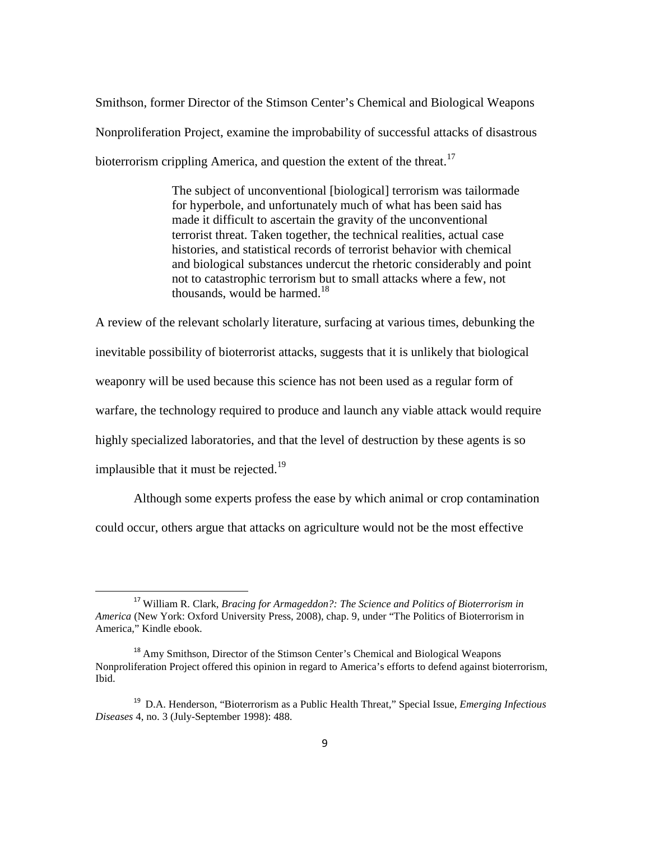Smithson, former Director of the Stimson Center's Chemical and Biological Weapons Nonproliferation Project, examine the improbability of successful attacks of disastrous bioterrorism crippling America, and question the extent of the threat.<sup>17</sup>

> The subject of unconventional [biological] terrorism was tailormade for hyperbole, and unfortunately much of what has been said has made it difficult to ascertain the gravity of the unconventional terrorist threat. Taken together, the technical realities, actual case histories, and statistical records of terrorist behavior with chemical and biological substances undercut the rhetoric considerably and point not to catastrophic terrorism but to small attacks where a few, not thousands, would be harmed. $18$

A review of the relevant scholarly literature, surfacing at various times, debunking the inevitable possibility of bioterrorist attacks, suggests that it is unlikely that biological weaponry will be used because this science has not been used as a regular form of warfare, the technology required to produce and launch any viable attack would require highly specialized laboratories, and that the level of destruction by these agents is so implausible that it must be rejected.<sup>19</sup>

 Although some experts profess the ease by which animal or crop contamination could occur, others argue that attacks on agriculture would not be the most effective

<sup>17</sup> William R. Clark, *Bracing for Armageddon?: The Science and Politics of Bioterrorism in America* (New York: Oxford University Press, 2008), chap. 9, under "The Politics of Bioterrorism in America," Kindle ebook.

<sup>&</sup>lt;sup>18</sup> Amy Smithson, Director of the Stimson Center's Chemical and Biological Weapons Nonproliferation Project offered this opinion in regard to America's efforts to defend against bioterrorism, Ibid.

<sup>19</sup> D.A. Henderson, "Bioterrorism as a Public Health Threat," Special Issue, *Emerging Infectious Diseases* 4, no. 3 (July-September 1998): 488.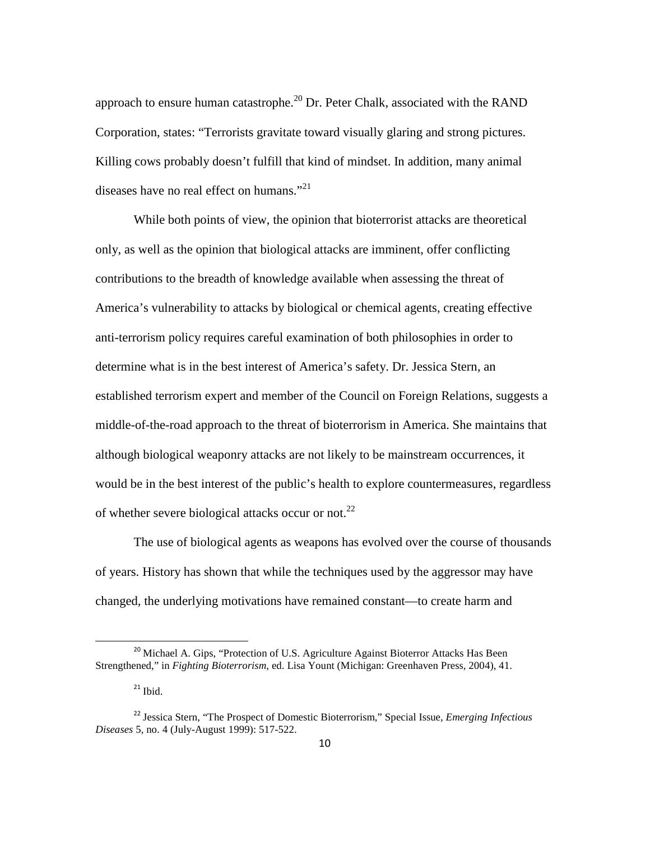approach to ensure human catastrophe.<sup>20</sup> Dr. Peter Chalk, associated with the RAND Corporation, states: "Terrorists gravitate toward visually glaring and strong pictures. Killing cows probably doesn't fulfill that kind of mindset. In addition, many animal diseases have no real effect on humans." $^{21}$ 

While both points of view, the opinion that bioterrorist attacks are theoretical only, as well as the opinion that biological attacks are imminent, offer conflicting contributions to the breadth of knowledge available when assessing the threat of America's vulnerability to attacks by biological or chemical agents, creating effective anti-terrorism policy requires careful examination of both philosophies in order to determine what is in the best interest of America's safety. Dr. Jessica Stern, an established terrorism expert and member of the Council on Foreign Relations, suggests a middle-of-the-road approach to the threat of bioterrorism in America. She maintains that although biological weaponry attacks are not likely to be mainstream occurrences, it would be in the best interest of the public's health to explore countermeasures, regardless of whether severe biological attacks occur or not.<sup>22</sup>

The use of biological agents as weapons has evolved over the course of thousands of years. History has shown that while the techniques used by the aggressor may have changed, the underlying motivations have remained constant—to create harm and

ı

<sup>&</sup>lt;sup>20</sup> Michael A. Gips, "Protection of U.S. Agriculture Against Bioterror Attacks Has Been Strengthened," in *Fighting Bioterrorism*, ed. Lisa Yount (Michigan: Greenhaven Press, 2004), 41.

 $21$  Ibid.

<sup>22</sup> Jessica Stern, "The Prospect of Domestic Bioterrorism," Special Issue, *Emerging Infectious Diseases* 5, no. 4 (July-August 1999): 517-522.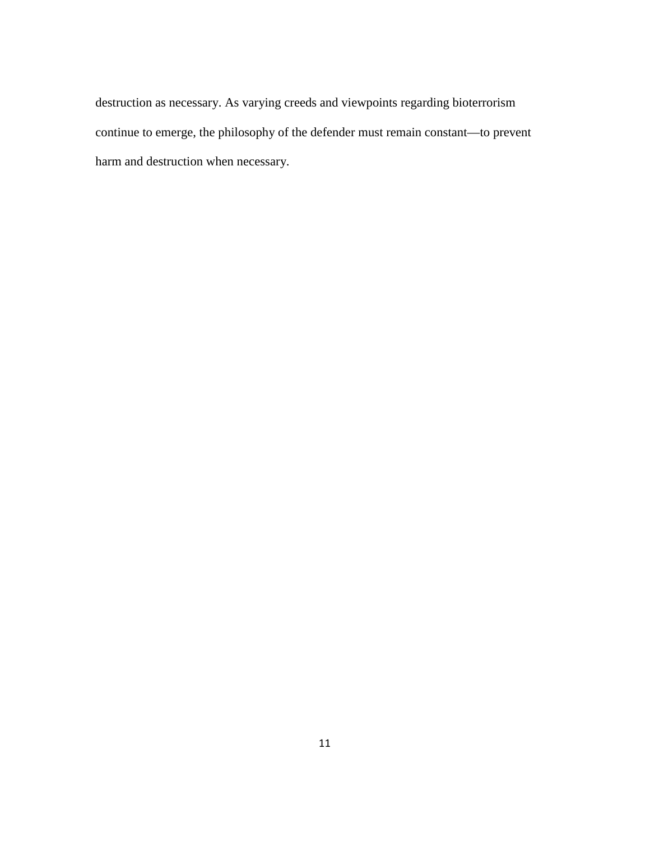destruction as necessary. As varying creeds and viewpoints regarding bioterrorism continue to emerge, the philosophy of the defender must remain constant—to prevent harm and destruction when necessary.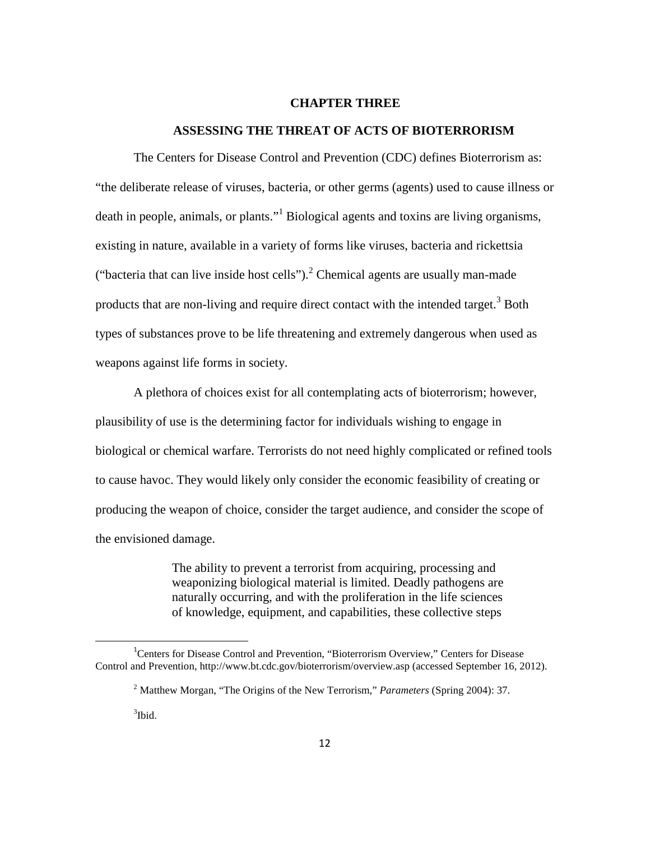#### **CHAPTER THREE**

# **ASSESSING THE THREAT OF ACTS OF BIOTERRORISM**

The Centers for Disease Control and Prevention (CDC) defines Bioterrorism as: "the deliberate release of viruses, bacteria, or other germs (agents) used to cause illness or death in people, animals, or plants."<sup>1</sup> Biological agents and toxins are living organisms, existing in nature, available in a variety of forms like viruses, bacteria and rickettsia ("bacteria that can live inside host cells"). $^2$  Chemical agents are usually man-made products that are non-living and require direct contact with the intended target.<sup>3</sup> Both types of substances prove to be life threatening and extremely dangerous when used as weapons against life forms in society.

A plethora of choices exist for all contemplating acts of bioterrorism; however, plausibility of use is the determining factor for individuals wishing to engage in biological or chemical warfare. Terrorists do not need highly complicated or refined tools to cause havoc. They would likely only consider the economic feasibility of creating or producing the weapon of choice, consider the target audience, and consider the scope of the envisioned damage.

> The ability to prevent a terrorist from acquiring, processing and weaponizing biological material is limited. Deadly pathogens are naturally occurring, and with the proliferation in the life sciences of knowledge, equipment, and capabilities, these collective steps

<sup>&</sup>lt;sup>1</sup>Centers for Disease Control and Prevention, "Bioterrorism Overview," Centers for Disease Control and Prevention, http://www.bt.cdc.gov/bioterrorism/overview.asp (accessed September 16, 2012).

<sup>2</sup> Matthew Morgan, "The Origins of the New Terrorism," *Parameters* (Spring 2004): 37.

 $3$ Ibid.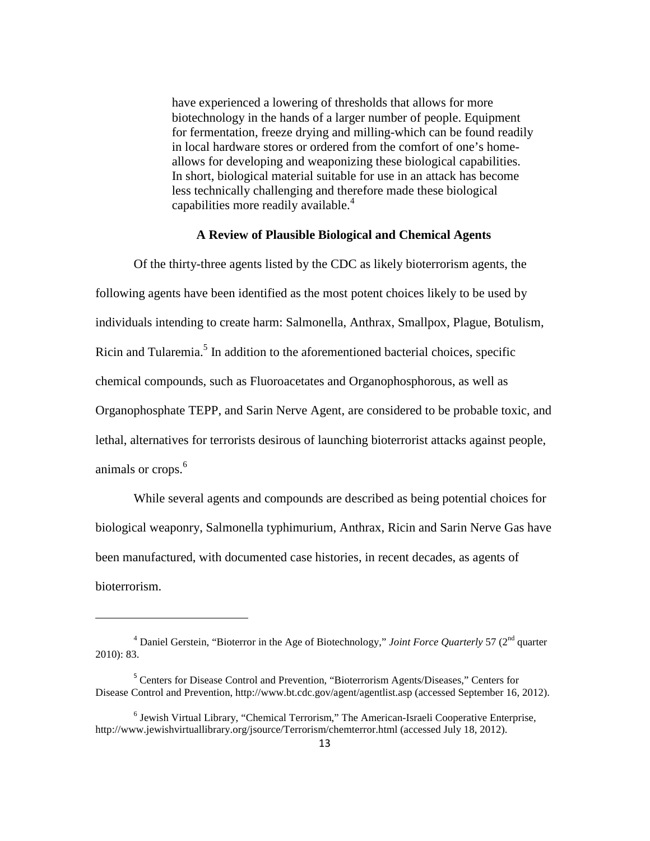have experienced a lowering of thresholds that allows for more biotechnology in the hands of a larger number of people. Equipment for fermentation, freeze drying and milling-which can be found readily in local hardware stores or ordered from the comfort of one's homeallows for developing and weaponizing these biological capabilities. In short, biological material suitable for use in an attack has become less technically challenging and therefore made these biological capabilities more readily available.<sup>4</sup>

# **A Review of Plausible Biological and Chemical Agents**

Of the thirty-three agents listed by the CDC as likely bioterrorism agents, the following agents have been identified as the most potent choices likely to be used by individuals intending to create harm: Salmonella, Anthrax, Smallpox, Plague, Botulism, Ricin and Tularemia.<sup>5</sup> In addition to the aforementioned bacterial choices, specific chemical compounds, such as Fluoroacetates and Organophosphorous, as well as Organophosphate TEPP, and Sarin Nerve Agent, are considered to be probable toxic, and lethal, alternatives for terrorists desirous of launching bioterrorist attacks against people, animals or crops.<sup>6</sup>

While several agents and compounds are described as being potential choices for biological weaponry, Salmonella typhimurium, Anthrax, Ricin and Sarin Nerve Gas have been manufactured, with documented case histories, in recent decades, as agents of bioterrorism.

<sup>&</sup>lt;sup>4</sup> Daniel Gerstein, "Bioterror in the Age of Biotechnology," *Joint Force Quarterly* 57 (2<sup>nd</sup> quarter 2010): 83.

<sup>&</sup>lt;sup>5</sup> Centers for Disease Control and Prevention, "Bioterrorism Agents/Diseases," Centers for Disease Control and Prevention, http://www.bt.cdc.gov/agent/agentlist.asp (accessed September 16, 2012).

<sup>&</sup>lt;sup>6</sup> Jewish Virtual Library, "Chemical Terrorism," The American-Israeli Cooperative Enterprise, http://www.jewishvirtuallibrary.org/jsource/Terrorism/chemterror.html (accessed July 18, 2012).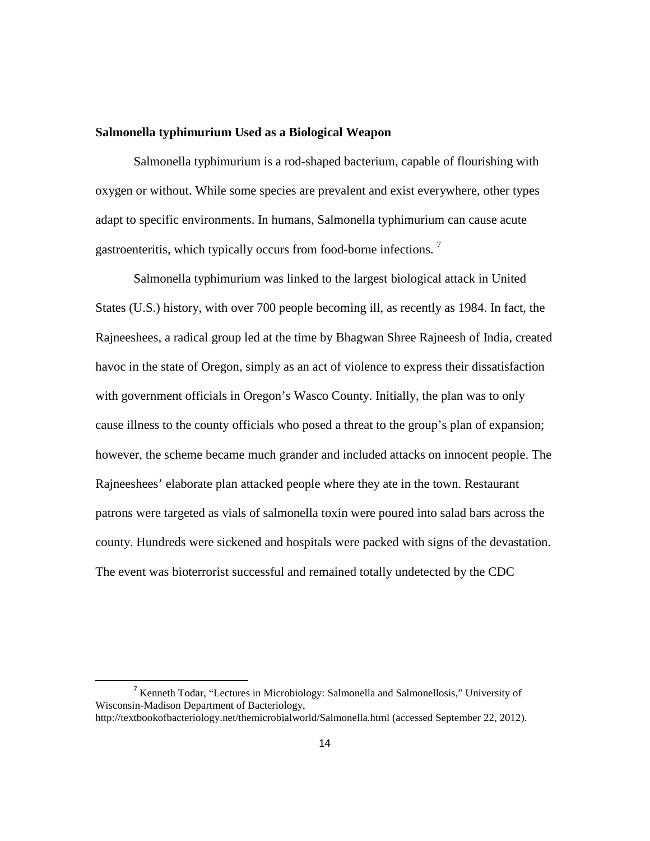### **Salmonella typhimurium Used as a Biological Weapon**

Salmonella typhimurium is a rod-shaped bacterium, capable of flourishing with oxygen or without. While some species are prevalent and exist everywhere, other types adapt to specific environments. In humans, Salmonella typhimurium can cause acute gastroenteritis, which typically occurs from food-borne infections.  $7$ 

Salmonella typhimurium was linked to the largest biological attack in United States (U.S.) history, with over 700 people becoming ill, as recently as 1984. In fact, the Rajneeshees, a radical group led at the time by Bhagwan Shree Rajneesh of India, created havoc in the state of Oregon, simply as an act of violence to express their dissatisfaction with government officials in Oregon's Wasco County. Initially, the plan was to only cause illness to the county officials who posed a threat to the group's plan of expansion; however, the scheme became much grander and included attacks on innocent people. The Rajneeshees' elaborate plan attacked people where they ate in the town. Restaurant patrons were targeted as vials of salmonella toxin were poured into salad bars across the county. Hundreds were sickened and hospitals were packed with signs of the devastation. The event was bioterrorist successful and remained totally undetected by the CDC

<sup>7</sup> Kenneth Todar, "Lectures in Microbiology: Salmonella and Salmonellosis," University of Wisconsin-Madison Department of Bacteriology,

http://textbookofbacteriology.net/themicrobialworld/Salmonella.html (accessed September 22, 2012).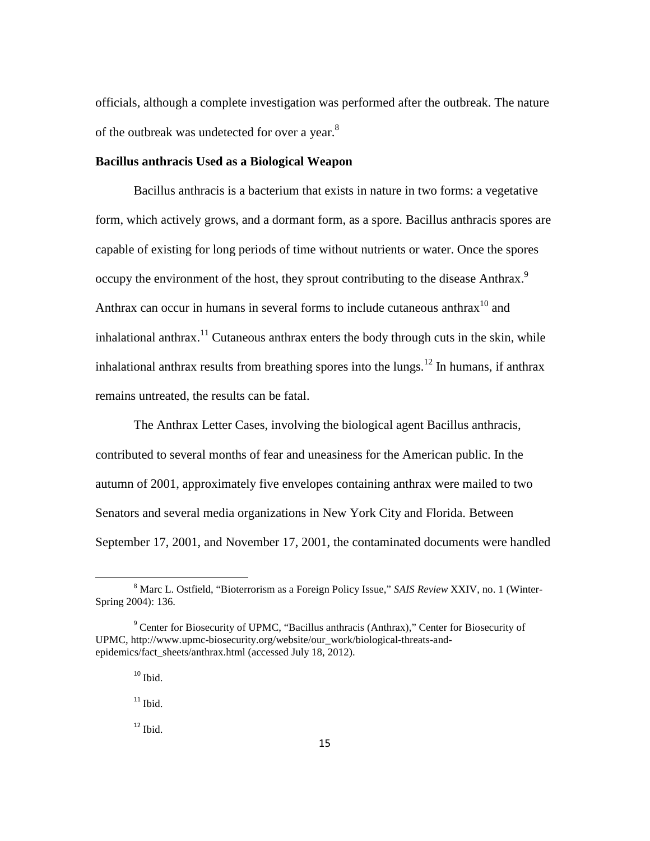officials, although a complete investigation was performed after the outbreak. The nature of the outbreak was undetected for over a year.<sup>8</sup>

### **Bacillus anthracis Used as a Biological Weapon**

Bacillus anthracis is a bacterium that exists in nature in two forms: a vegetative form, which actively grows, and a dormant form, as a spore. Bacillus anthracis spores are capable of existing for long periods of time without nutrients or water. Once the spores occupy the environment of the host, they sprout contributing to the disease Anthrax.<sup>9</sup> Anthrax can occur in humans in several forms to include cutaneous anthrax<sup>10</sup> and inhalational anthrax.<sup>11</sup> Cutaneous anthrax enters the body through cuts in the skin, while inhalational anthrax results from breathing spores into the lungs.<sup>12</sup> In humans, if anthrax remains untreated, the results can be fatal.

The Anthrax Letter Cases, involving the biological agent Bacillus anthracis, contributed to several months of fear and uneasiness for the American public. In the autumn of 2001, approximately five envelopes containing anthrax were mailed to two Senators and several media organizations in New York City and Florida. Between September 17, 2001, and November 17, 2001, the contaminated documents were handled

ı

<sup>8</sup> Marc L. Ostfield, "Bioterrorism as a Foreign Policy Issue," *SAIS Review* XXIV, no. 1 (Winter-Spring 2004): 136.

<sup>&</sup>lt;sup>9</sup> Center for Biosecurity of UPMC, "Bacillus anthracis (Anthrax)," Center for Biosecurity of UPMC, http://www.upmc-biosecurity.org/website/our\_work/biological-threats-andepidemics/fact\_sheets/anthrax.html (accessed July 18, 2012).

 $10$  Ibid.

 $11$  Ibid.

 $12$  Ibid.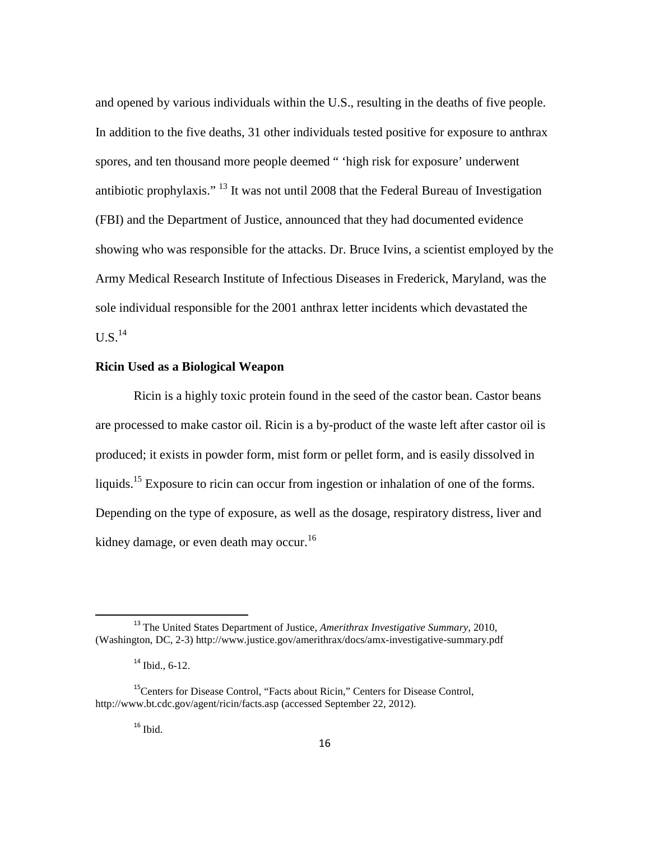and opened by various individuals within the U.S., resulting in the deaths of five people. In addition to the five deaths, 31 other individuals tested positive for exposure to anthrax spores, and ten thousand more people deemed " 'high risk for exposure' underwent antibiotic prophylaxis." <sup>13</sup> It was not until 2008 that the Federal Bureau of Investigation (FBI) and the Department of Justice, announced that they had documented evidence showing who was responsible for the attacks. Dr. Bruce Ivins, a scientist employed by the Army Medical Research Institute of Infectious Diseases in Frederick, Maryland, was the sole individual responsible for the 2001 anthrax letter incidents which devastated the  $U.S.^{14}$ 

# **Ricin Used as a Biological Weapon**

Ricin is a highly toxic protein found in the seed of the castor bean. Castor beans are processed to make castor oil. Ricin is a by-product of the waste left after castor oil is produced; it exists in powder form, mist form or pellet form, and is easily dissolved in liquids.<sup>15</sup> Exposure to ricin can occur from ingestion or inhalation of one of the forms. Depending on the type of exposure, as well as the dosage, respiratory distress, liver and kidney damage, or even death may occur.<sup>16</sup>

 $16$  Ibid.

ı

<sup>13</sup> The United States Department of Justice, *Amerithrax Investigative Summary*, 2010, (Washington, DC, 2-3) http://www.justice.gov/amerithrax/docs/amx-investigative-summary.pdf

 $14$  Ibid., 6-12.

<sup>&</sup>lt;sup>15</sup>Centers for Disease Control, "Facts about Ricin," Centers for Disease Control, http://www.bt.cdc.gov/agent/ricin/facts.asp (accessed September 22, 2012).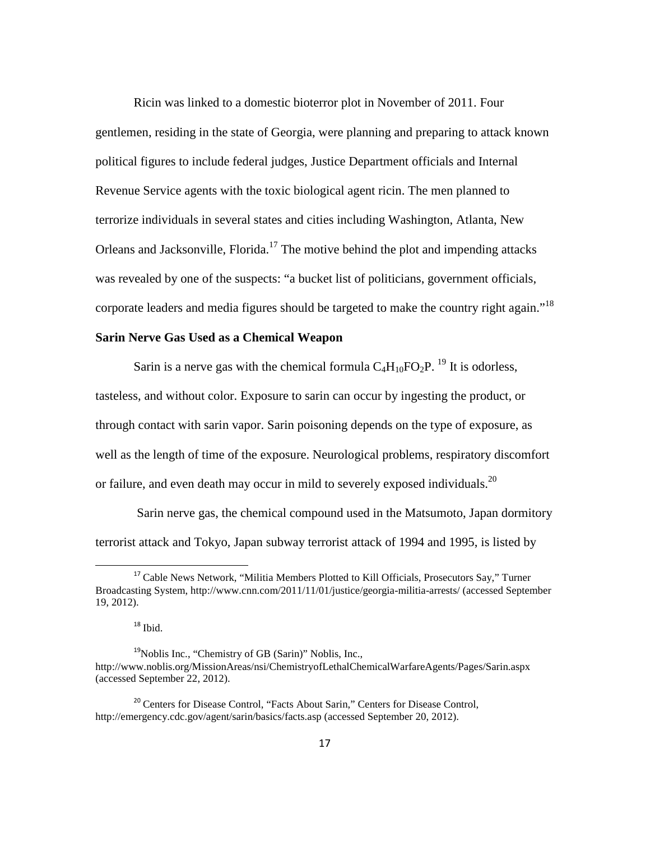Ricin was linked to a domestic bioterror plot in November of 2011. Four gentlemen, residing in the state of Georgia, were planning and preparing to attack known political figures to include federal judges, Justice Department officials and Internal Revenue Service agents with the toxic biological agent ricin. The men planned to terrorize individuals in several states and cities including Washington, Atlanta, New Orleans and Jacksonville, Florida.<sup>17</sup> The motive behind the plot and impending attacks was revealed by one of the suspects: "a bucket list of politicians, government officials, corporate leaders and media figures should be targeted to make the country right again.<sup> $18$ </sup>

# **Sarin Nerve Gas Used as a Chemical Weapon**

Sarin is a nerve gas with the chemical formula  $C_4H_{10}FO_2P$ . <sup>19</sup> It is odorless, tasteless, and without color. Exposure to sarin can occur by ingesting the product, or through contact with sarin vapor. Sarin poisoning depends on the type of exposure, as well as the length of time of the exposure. Neurological problems, respiratory discomfort or failure, and even death may occur in mild to severely exposed individuals.<sup>20</sup>

 Sarin nerve gas, the chemical compound used in the Matsumoto, Japan dormitory terrorist attack and Tokyo, Japan subway terrorist attack of 1994 and 1995, is listed by

<sup>&</sup>lt;sup>17</sup> Cable News Network, "Militia Members Plotted to Kill Officials, Prosecutors Say," Turner Broadcasting System, http://www.cnn.com/2011/11/01/justice/georgia-militia-arrests/ (accessed September 19, 2012).

 $^{18}$  Ibid.

 $19N$ oblis Inc., "Chemistry of GB (Sarin)" Noblis, Inc., http://www.noblis.org/MissionAreas/nsi/ChemistryofLethalChemicalWarfareAgents/Pages/Sarin.aspx (accessed September 22, 2012).

<sup>&</sup>lt;sup>20</sup> Centers for Disease Control, "Facts About Sarin," Centers for Disease Control, http://emergency.cdc.gov/agent/sarin/basics/facts.asp (accessed September 20, 2012).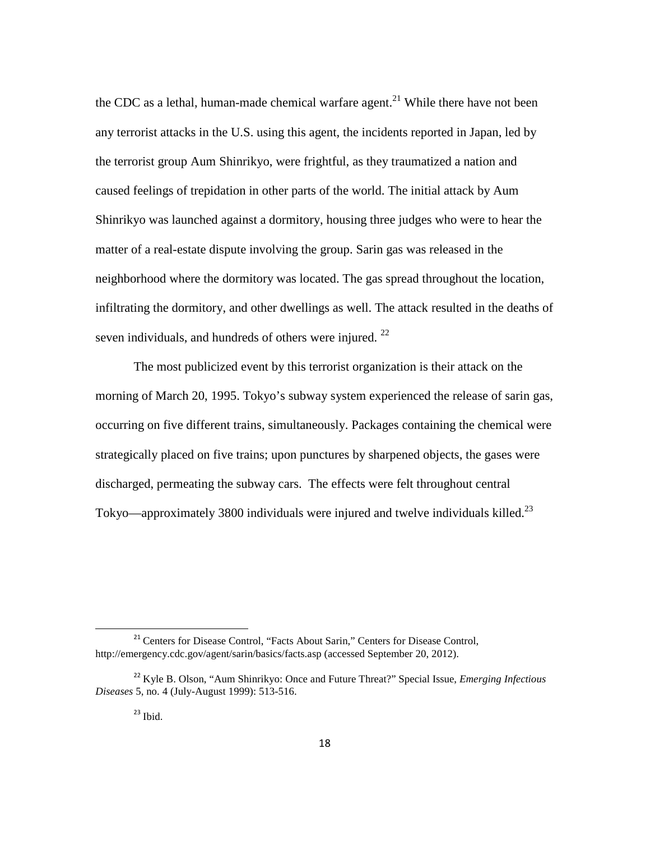the CDC as a lethal, human-made chemical warfare agent.<sup>21</sup> While there have not been any terrorist attacks in the U.S. using this agent, the incidents reported in Japan, led by the terrorist group Aum Shinrikyo, were frightful, as they traumatized a nation and caused feelings of trepidation in other parts of the world. The initial attack by Aum Shinrikyo was launched against a dormitory, housing three judges who were to hear the matter of a real-estate dispute involving the group. Sarin gas was released in the neighborhood where the dormitory was located. The gas spread throughout the location, infiltrating the dormitory, and other dwellings as well. The attack resulted in the deaths of seven individuals, and hundreds of others were injured. <sup>22</sup>

The most publicized event by this terrorist organization is their attack on the morning of March 20, 1995. Tokyo's subway system experienced the release of sarin gas, occurring on five different trains, simultaneously. Packages containing the chemical were strategically placed on five trains; upon punctures by sharpened objects, the gases were discharged, permeating the subway cars. The effects were felt throughout central Tokyo—approximately 3800 individuals were injured and twelve individuals killed.<sup>23</sup>

<sup>&</sup>lt;sup>21</sup> Centers for Disease Control, "Facts About Sarin," Centers for Disease Control, http://emergency.cdc.gov/agent/sarin/basics/facts.asp (accessed September 20, 2012).

<sup>22</sup> Kyle B. Olson, "Aum Shinrikyo: Once and Future Threat?" Special Issue, *Emerging Infectious Diseases* 5, no. 4 (July-August 1999): 513-516.

 $23$  Ibid.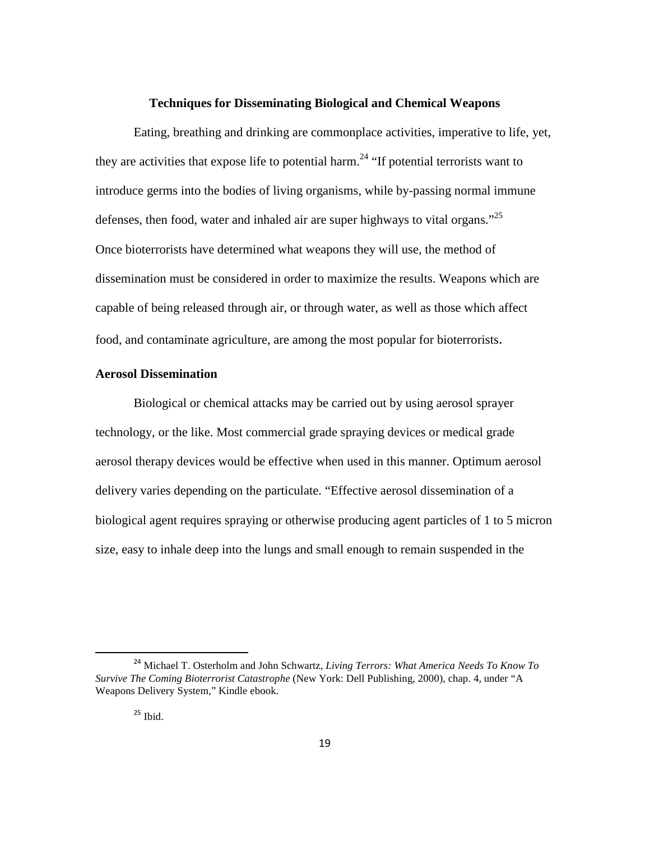#### **Techniques for Disseminating Biological and Chemical Weapons**

Eating, breathing and drinking are commonplace activities, imperative to life, yet, they are activities that expose life to potential harm.<sup>24</sup> "If potential terrorists want to introduce germs into the bodies of living organisms, while by-passing normal immune defenses, then food, water and inhaled air are super highways to vital organs."<sup>25</sup> Once bioterrorists have determined what weapons they will use, the method of dissemination must be considered in order to maximize the results. Weapons which are capable of being released through air, or through water, as well as those which affect food, and contaminate agriculture, are among the most popular for bioterrorists.

# **Aerosol Dissemination**

Biological or chemical attacks may be carried out by using aerosol sprayer technology, or the like. Most commercial grade spraying devices or medical grade aerosol therapy devices would be effective when used in this manner. Optimum aerosol delivery varies depending on the particulate. "Effective aerosol dissemination of a biological agent requires spraying or otherwise producing agent particles of 1 to 5 micron size, easy to inhale deep into the lungs and small enough to remain suspended in the

ı

<sup>24</sup> Michael T. Osterholm and John Schwartz, *Living Terrors: What America Needs To Know To Survive The Coming Bioterrorist Catastrophe* (New York: Dell Publishing, 2000), chap. 4, under "A Weapons Delivery System," Kindle ebook.

 $25$  Ibid.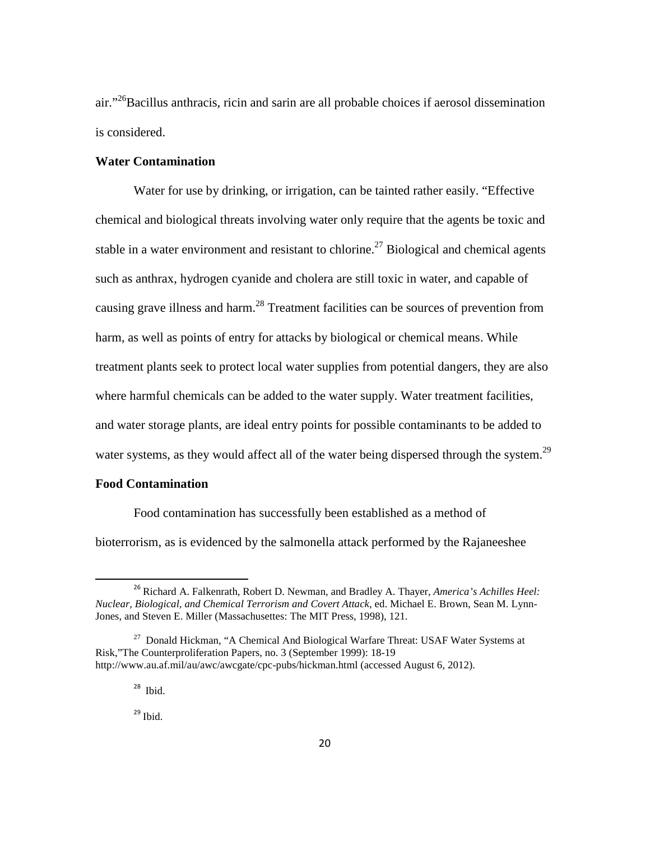air."<sup>26</sup>Bacillus anthracis, ricin and sarin are all probable choices if aerosol dissemination is considered.

### **Water Contamination**

Water for use by drinking, or irrigation, can be tainted rather easily. "Effective chemical and biological threats involving water only require that the agents be toxic and stable in a water environment and resistant to chlorine.<sup>27</sup> Biological and chemical agents such as anthrax, hydrogen cyanide and cholera are still toxic in water, and capable of causing grave illness and harm.<sup>28</sup> Treatment facilities can be sources of prevention from harm, as well as points of entry for attacks by biological or chemical means. While treatment plants seek to protect local water supplies from potential dangers, they are also where harmful chemicals can be added to the water supply. Water treatment facilities, and water storage plants, are ideal entry points for possible contaminants to be added to water systems, as they would affect all of the water being dispersed through the system.<sup>29</sup>

# **Food Contamination**

l

Food contamination has successfully been established as a method of bioterrorism, as is evidenced by the salmonella attack performed by the Rajaneeshee

<sup>26</sup> Richard A. Falkenrath, Robert D. Newman, and Bradley A. Thayer, *America's Achilles Heel: Nuclear, Biological, and Chemical Terrorism and Covert Attack,* ed. Michael E. Brown, Sean M. Lynn-Jones, and Steven E. Miller (Massachusettes: The MIT Press, 1998), 121.

<sup>&</sup>lt;sup>27</sup> Donald Hickman, "A Chemical And Biological Warfare Threat: USAF Water Systems at Risk,"The Counterproliferation Papers, no. 3 (September 1999): 18-19 http://www.au.af.mil/au/awc/awcgate/cpc-pubs/hickman.html (accessed August 6, 2012).

<sup>&</sup>lt;sup>28</sup> Ibid.

 $^{29}$  Ibid.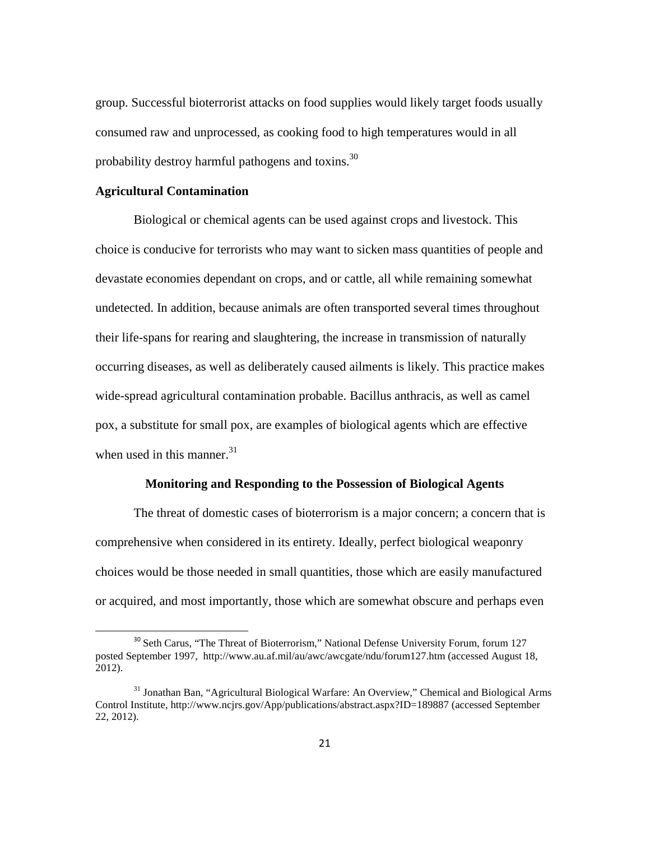group. Successful bioterrorist attacks on food supplies would likely target foods usually consumed raw and unprocessed, as cooking food to high temperatures would in all probability destroy harmful pathogens and toxins.<sup>30</sup>

#### **Agricultural Contamination**

ı

Biological or chemical agents can be used against crops and livestock. This choice is conducive for terrorists who may want to sicken mass quantities of people and devastate economies dependant on crops, and or cattle, all while remaining somewhat undetected. In addition, because animals are often transported several times throughout their life-spans for rearing and slaughtering, the increase in transmission of naturally occurring diseases, as well as deliberately caused ailments is likely. This practice makes wide-spread agricultural contamination probable. Bacillus anthracis, as well as camel pox, a substitute for small pox, are examples of biological agents which are effective when used in this manner. $31$ 

# **Monitoring and Responding to the Possession of Biological Agents**

The threat of domestic cases of bioterrorism is a major concern; a concern that is comprehensive when considered in its entirety. Ideally, perfect biological weaponry choices would be those needed in small quantities, those which are easily manufactured or acquired, and most importantly, those which are somewhat obscure and perhaps even

<sup>&</sup>lt;sup>30</sup> Seth Carus, "The Threat of Bioterrorism," National Defense University Forum, forum 127 posted September 1997, http://www.au.af.mil/au/awc/awcgate/ndu/forum127.htm (accessed August 18, 2012).

<sup>&</sup>lt;sup>31</sup> Jonathan Ban, "Agricultural Biological Warfare: An Overview," Chemical and Biological Arms Control Institute, http://www.ncjrs.gov/App/publications/abstract.aspx?ID=189887 (accessed September 22, 2012).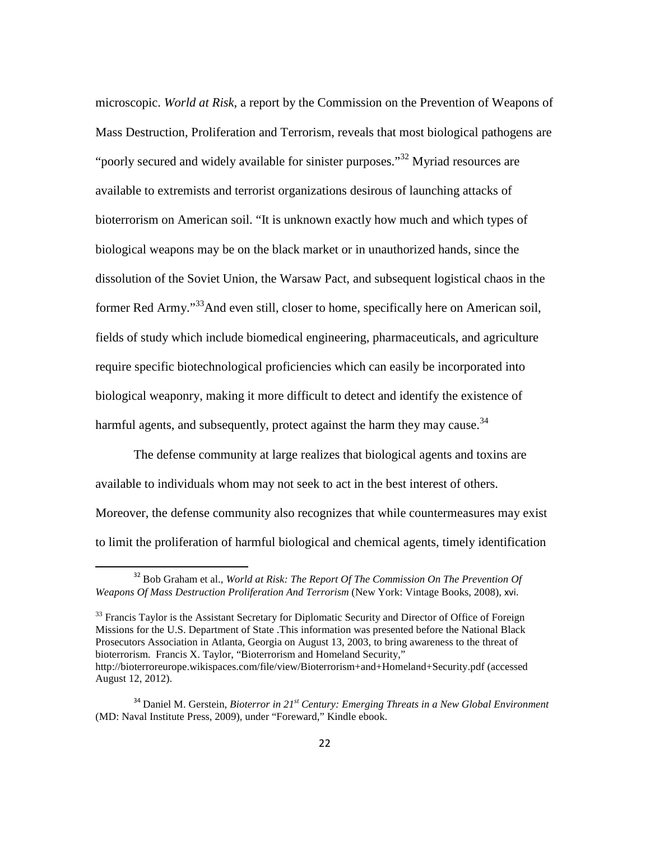microscopic. *World at Risk*, a report by the Commission on the Prevention of Weapons of Mass Destruction, Proliferation and Terrorism, reveals that most biological pathogens are "poorly secured and widely available for sinister purposes."<sup>32</sup> Myriad resources are available to extremists and terrorist organizations desirous of launching attacks of bioterrorism on American soil. "It is unknown exactly how much and which types of biological weapons may be on the black market or in unauthorized hands, since the dissolution of the Soviet Union, the Warsaw Pact, and subsequent logistical chaos in the former Red Army."<sup>33</sup>And even still, closer to home, specifically here on American soil, fields of study which include biomedical engineering, pharmaceuticals, and agriculture require specific biotechnological proficiencies which can easily be incorporated into biological weaponry, making it more difficult to detect and identify the existence of harmful agents, and subsequently, protect against the harm they may cause. $34$ 

The defense community at large realizes that biological agents and toxins are available to individuals whom may not seek to act in the best interest of others. Moreover, the defense community also recognizes that while countermeasures may exist to limit the proliferation of harmful biological and chemical agents, timely identification

ı

<sup>33</sup> Francis Taylor is the Assistant Secretary for Diplomatic Security and Director of Office of Foreign Missions for the U.S. Department of State .This information was presented before the National Black Prosecutors Association in Atlanta, Georgia on August 13, 2003, to bring awareness to the threat of bioterrorism. Francis X. Taylor, "Bioterrorism and Homeland Security," http://bioterroreurope.wikispaces.com/file/view/Bioterrorism+and+Homeland+Security.pdf (accessed August 12, 2012).

<sup>&</sup>lt;sup>32</sup> Bob Graham et al., *World at Risk: The Report Of The Commission On The Prevention Of Weapons Of Mass Destruction Proliferation And Terrorism* (New York: Vintage Books, 2008), xvi.

<sup>34</sup> Daniel M. Gerstein, *Bioterror in 21st Century: Emerging Threats in a New Global Environment* (MD: Naval Institute Press, 2009), under "Foreward," Kindle ebook.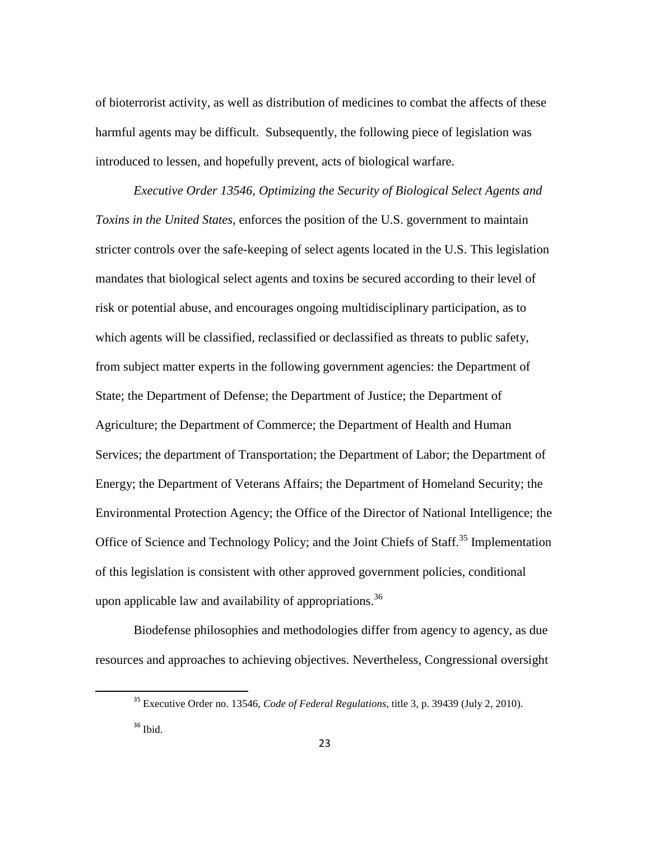of bioterrorist activity, as well as distribution of medicines to combat the affects of these harmful agents may be difficult. Subsequently, the following piece of legislation was introduced to lessen, and hopefully prevent, acts of biological warfare.

*Executive Order 13546, Optimizing the Security of Biological Select Agents and Toxins in the United States,* enforces the position of the U.S. government to maintain stricter controls over the safe-keeping of select agents located in the U.S. This legislation mandates that biological select agents and toxins be secured according to their level of risk or potential abuse, and encourages ongoing multidisciplinary participation, as to which agents will be classified, reclassified or declassified as threats to public safety, from subject matter experts in the following government agencies: the Department of State; the Department of Defense; the Department of Justice; the Department of Agriculture; the Department of Commerce; the Department of Health and Human Services; the department of Transportation; the Department of Labor; the Department of Energy; the Department of Veterans Affairs; the Department of Homeland Security; the Environmental Protection Agency; the Office of the Director of National Intelligence; the Office of Science and Technology Policy; and the Joint Chiefs of Staff.<sup>35</sup> Implementation of this legislation is consistent with other approved government policies, conditional upon applicable law and availability of appropriations.<sup>36</sup>

 Biodefense philosophies and methodologies differ from agency to agency, as due resources and approaches to achieving objectives. Nevertheless, Congressional oversight

<sup>35</sup> Executive Order no. 13546, *Code of Federal Regulations*, title 3, p. 39439 (July 2, 2010).

 $36$  Ibid.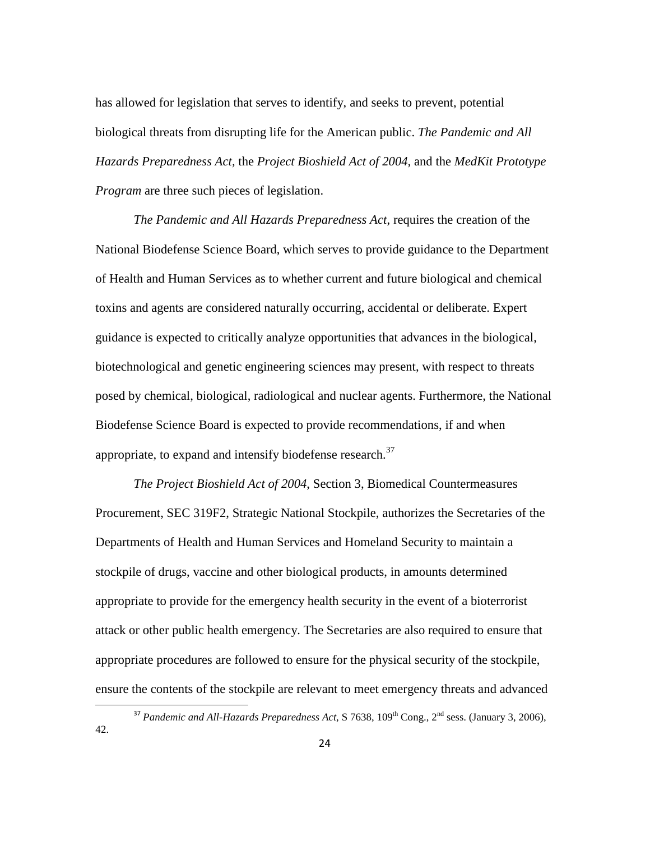has allowed for legislation that serves to identify, and seeks to prevent, potential biological threats from disrupting life for the American public. *The Pandemic and All Hazards Preparedness Act,* the *Project Bioshield Act of 2004,* and the *MedKit Prototype Program* are three such pieces of legislation.

*The Pandemic and All Hazards Preparedness Act*, requires the creation of the National Biodefense Science Board, which serves to provide guidance to the Department of Health and Human Services as to whether current and future biological and chemical toxins and agents are considered naturally occurring, accidental or deliberate. Expert guidance is expected to critically analyze opportunities that advances in the biological, biotechnological and genetic engineering sciences may present, with respect to threats posed by chemical, biological, radiological and nuclear agents. Furthermore, the National Biodefense Science Board is expected to provide recommendations, if and when appropriate, to expand and intensify biodefense research.<sup>37</sup>

*The Project Bioshield Act of 2004*, Section 3, Biomedical Countermeasures Procurement, SEC 319F2, Strategic National Stockpile, authorizes the Secretaries of the Departments of Health and Human Services and Homeland Security to maintain a stockpile of drugs, vaccine and other biological products, in amounts determined appropriate to provide for the emergency health security in the event of a bioterrorist attack or other public health emergency. The Secretaries are also required to ensure that appropriate procedures are followed to ensure for the physical security of the stockpile, ensure the contents of the stockpile are relevant to meet emergency threats and advanced

ı

<sup>&</sup>lt;sup>37</sup> Pandemic and All-Hazards Preparedness Act, S 7638, 109<sup>th</sup> Cong., 2<sup>nd</sup> sess. (January 3, 2006), 42.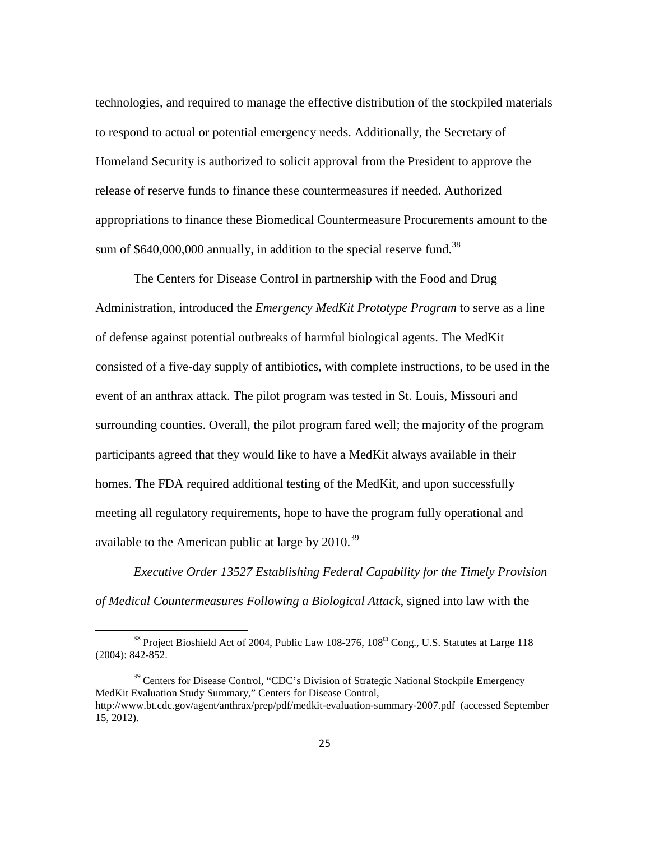technologies, and required to manage the effective distribution of the stockpiled materials to respond to actual or potential emergency needs. Additionally, the Secretary of Homeland Security is authorized to solicit approval from the President to approve the release of reserve funds to finance these countermeasures if needed. Authorized appropriations to finance these Biomedical Countermeasure Procurements amount to the sum of  $$640,000,000$  annually, in addition to the special reserve fund.<sup>38</sup>

 The Centers for Disease Control in partnership with the Food and Drug Administration, introduced the *Emergency MedKit Prototype Program* to serve as a line of defense against potential outbreaks of harmful biological agents. The MedKit consisted of a five-day supply of antibiotics, with complete instructions, to be used in the event of an anthrax attack. The pilot program was tested in St. Louis, Missouri and surrounding counties. Overall, the pilot program fared well; the majority of the program participants agreed that they would like to have a MedKit always available in their homes. The FDA required additional testing of the MedKit, and upon successfully meeting all regulatory requirements, hope to have the program fully operational and available to the American public at large by  $2010^{39}$ 

*Executive Order 13527 Establishing Federal Capability for the Timely Provision of Medical Countermeasures Following a Biological Attack*, signed into law with the

ı

 $38$  Project Bioshield Act of 2004, Public Law 108-276,  $108<sup>th</sup>$  Cong., U.S. Statutes at Large 118 (2004): 842-852.

<sup>&</sup>lt;sup>39</sup> Centers for Disease Control, "CDC's Division of Strategic National Stockpile Emergency MedKit Evaluation Study Summary," Centers for Disease Control, http://www.bt.cdc.gov/agent/anthrax/prep/pdf/medkit-evaluation-summary-2007.pdf (accessed September 15, 2012).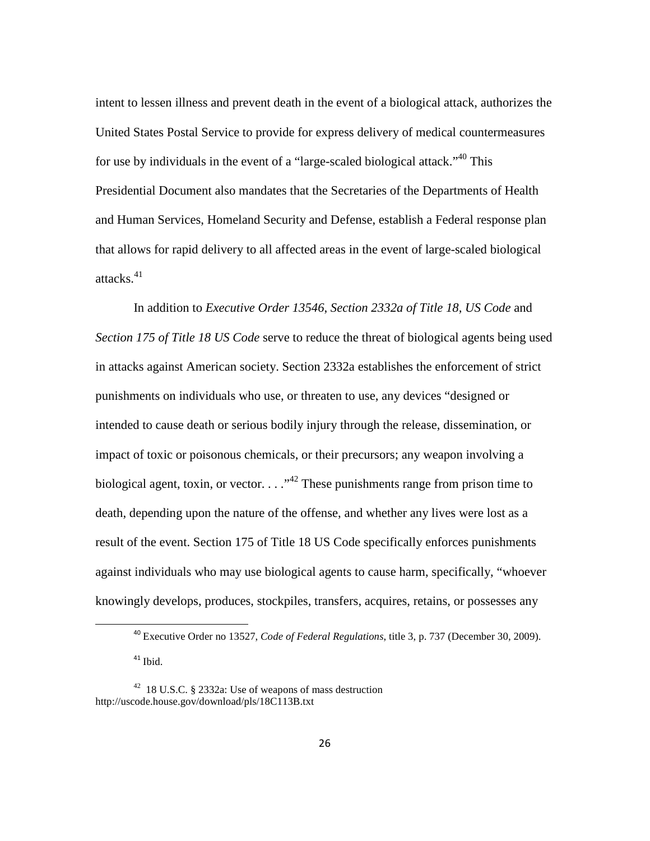intent to lessen illness and prevent death in the event of a biological attack, authorizes the United States Postal Service to provide for express delivery of medical countermeasures for use by individuals in the event of a "large-scaled biological attack."<sup>40</sup> This Presidential Document also mandates that the Secretaries of the Departments of Health and Human Services, Homeland Security and Defense, establish a Federal response plan that allows for rapid delivery to all affected areas in the event of large-scaled biological attacks. $41$ 

 In addition to *Executive Order 13546*, *Section 2332a of Title 18, US Code* and *Section 175 of Title 18 US Code* serve to reduce the threat of biological agents being used in attacks against American society. Section 2332a establishes the enforcement of strict punishments on individuals who use, or threaten to use, any devices "designed or intended to cause death or serious bodily injury through the release, dissemination, or impact of toxic or poisonous chemicals, or their precursors; any weapon involving a biological agent, toxin, or vector.  $\dots$ <sup>42</sup> These punishments range from prison time to death, depending upon the nature of the offense, and whether any lives were lost as a result of the event. Section 175 of Title 18 US Code specifically enforces punishments against individuals who may use biological agents to cause harm, specifically, "whoever knowingly develops, produces, stockpiles, transfers, acquires, retains, or possesses any

 $41$  Ibid.

l

<sup>40</sup> Executive Order no 13527, *Code of Federal Regulations*, title 3, p. 737 (December 30, 2009).

<sup>42</sup> 18 U.S.C. § 2332a: Use of weapons of mass destruction http://uscode.house.gov/download/pls/18C113B.txt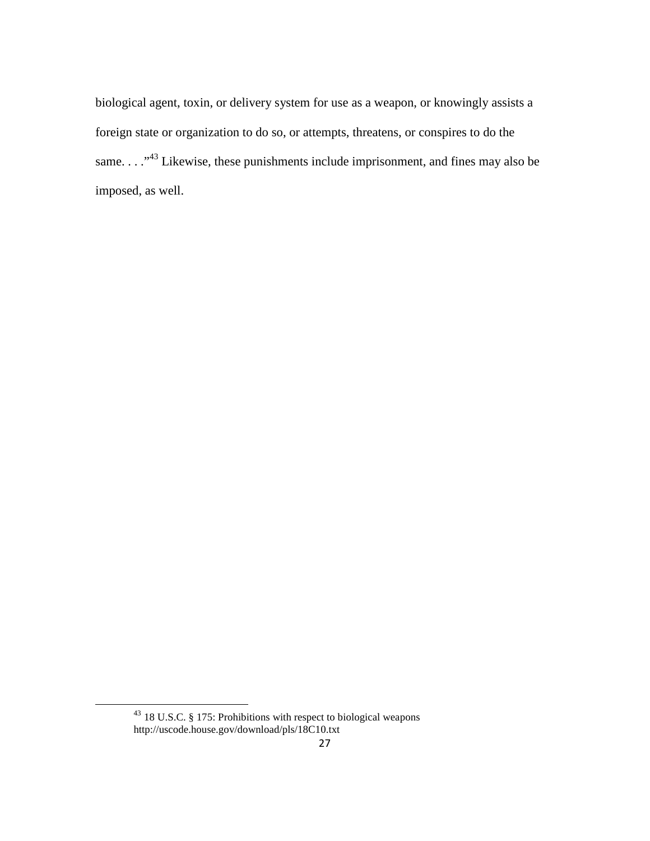biological agent, toxin, or delivery system for use as a weapon, or knowingly assists a foreign state or organization to do so, or attempts, threatens, or conspires to do the same. . . . "<sup>43</sup> Likewise, these punishments include imprisonment, and fines may also be imposed, as well.

<sup>43</sup> 18 U.S.C. § 175: Prohibitions with respect to biological weapons http://uscode.house.gov/download/pls/18C10.txt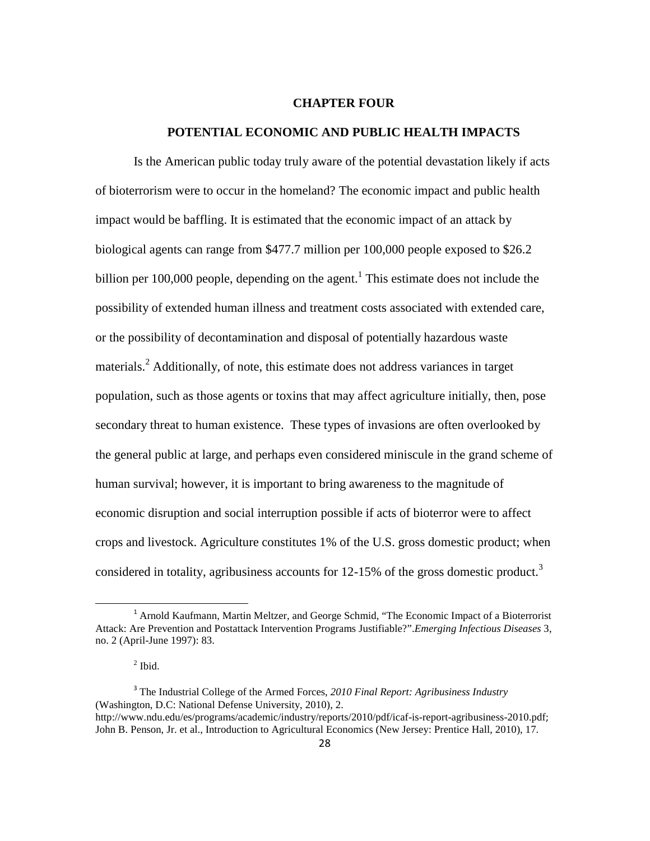#### **CHAPTER FOUR**

#### **POTENTIAL ECONOMIC AND PUBLIC HEALTH IMPACTS**

Is the American public today truly aware of the potential devastation likely if acts of bioterrorism were to occur in the homeland? The economic impact and public health impact would be baffling. It is estimated that the economic impact of an attack by biological agents can range from \$477.7 million per 100,000 people exposed to \$26.2 billion per  $100,000$  people, depending on the agent.<sup>1</sup> This estimate does not include the possibility of extended human illness and treatment costs associated with extended care, or the possibility of decontamination and disposal of potentially hazardous waste materials.<sup>2</sup> Additionally, of note, this estimate does not address variances in target population, such as those agents or toxins that may affect agriculture initially, then, pose secondary threat to human existence. These types of invasions are often overlooked by the general public at large, and perhaps even considered miniscule in the grand scheme of human survival; however, it is important to bring awareness to the magnitude of economic disruption and social interruption possible if acts of bioterror were to affect crops and livestock. Agriculture constitutes 1% of the U.S. gross domestic product; when considered in totality, agribusiness accounts for  $12{\text -}15\%$  of the gross domestic product.<sup>3</sup>

<sup>&</sup>lt;sup>1</sup> Arnold Kaufmann, Martin Meltzer, and George Schmid, "The Economic Impact of a Bioterrorist Attack: Are Prevention and Postattack Intervention Programs Justifiable?".*Emerging Infectious Diseases* 3, no. 2 (April-June 1997): 83.

 $<sup>2</sup>$  Ibid.</sup>

<sup>3</sup> The Industrial College of the Armed Forces, *2010 Final Report: Agribusiness Industry* (Washington, D.C: National Defense University, 2010), 2. http://www.ndu.edu/es/programs/academic/industry/reports/2010/pdf/icaf-is-report-agribusiness-2010.pdf;

John B. Penson, Jr. et al., Introduction to Agricultural Economics (New Jersey: Prentice Hall, 2010), 17.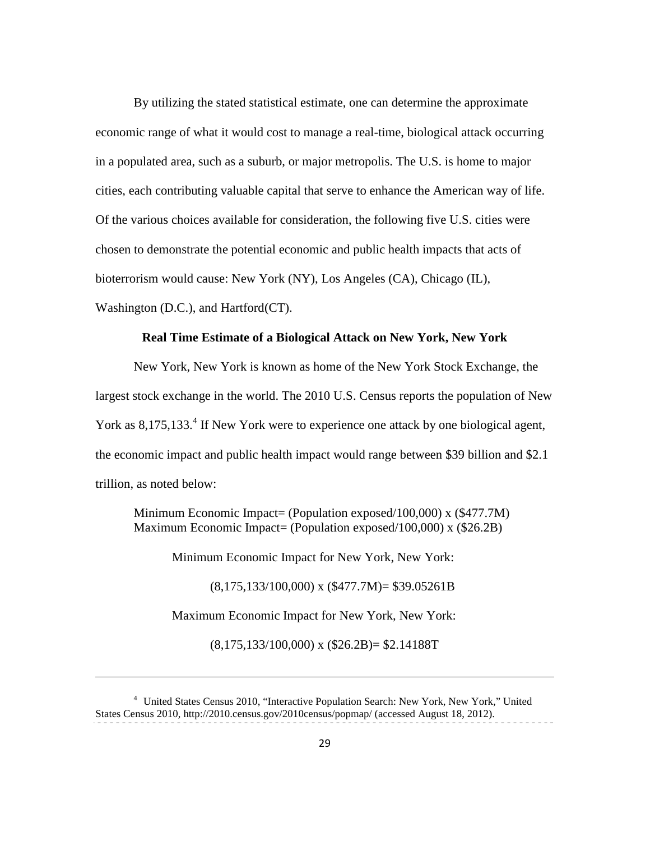By utilizing the stated statistical estimate, one can determine the approximate economic range of what it would cost to manage a real-time, biological attack occurring in a populated area, such as a suburb, or major metropolis. The U.S. is home to major cities, each contributing valuable capital that serve to enhance the American way of life. Of the various choices available for consideration, the following five U.S. cities were chosen to demonstrate the potential economic and public health impacts that acts of bioterrorism would cause: New York (NY), Los Angeles (CA), Chicago (IL), Washington (D.C.), and Hartford(CT).

# **Real Time Estimate of a Biological Attack on New York, New York**

New York, New York is known as home of the New York Stock Exchange, the largest stock exchange in the world. The 2010 U.S. Census reports the population of New York as 8,175,133.<sup>4</sup> If New York were to experience one attack by one biological agent, the economic impact and public health impact would range between \$39 billion and \$2.1 trillion, as noted below:

Minimum Economic Impact= (Population exposed/100,000) x (\$477.7M) Maximum Economic Impact= (Population exposed/100,000) x (\$26.2B)

Minimum Economic Impact for New York, New York:

 $(8,175,133/100,000)$  x  $(\$477.7M)$  = \$39.05261B

Maximum Economic Impact for New York, New York:

 $\overline{\phantom{0}}$ 

(8,175,133/100,000) x (\$26.2B)= \$2.14188T

<sup>4</sup> United States Census 2010, "Interactive Population Search: New York, New York," United States Census 2010, http://2010.census.gov/2010census/popmap/ (accessed August 18, 2012).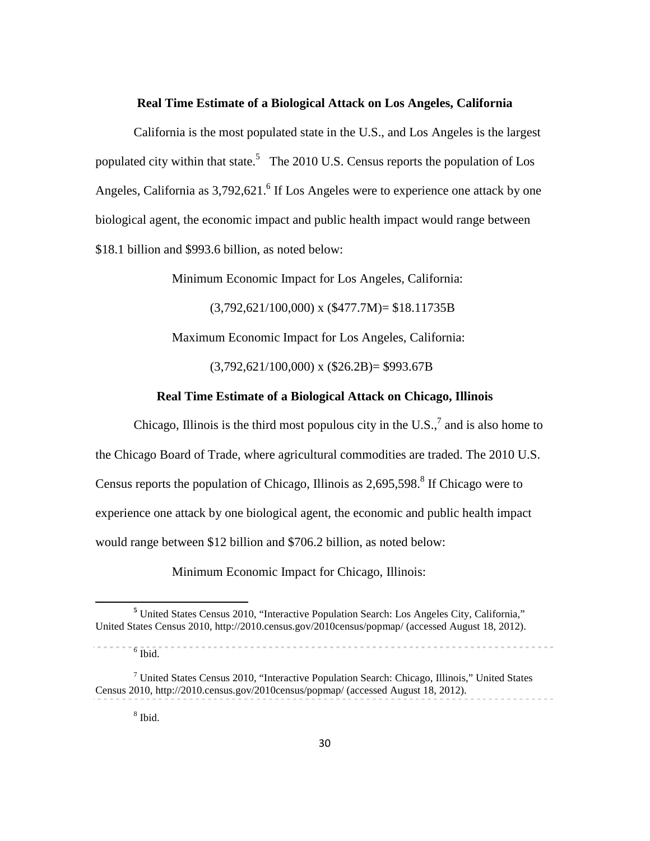#### **Real Time Estimate of a Biological Attack on Los Angeles, California**

 California is the most populated state in the U.S., and Los Angeles is the largest populated city within that state.<sup>5</sup> The 2010 U.S. Census reports the population of Los Angeles, California as  $3,792,621$ .<sup>6</sup> If Los Angeles were to experience one attack by one biological agent, the economic impact and public health impact would range between \$18.1 billion and \$993.6 billion, as noted below:

Minimum Economic Impact for Los Angeles, California:

 $(3,792,621/100,000)$  x  $(\$477.7M) = \$18.11735B$ 

Maximum Economic Impact for Los Angeles, California:

 $(3,792,621/100,000)$  x  $(\$26.2B) = \$993.67B$ 

# **Real Time Estimate of a Biological Attack on Chicago, Illinois**

Chicago, Illinois is the third most populous city in the U.S., $^7$  and is also home to the Chicago Board of Trade, where agricultural commodities are traded. The 2010 U.S. Census reports the population of Chicago, Illinois as  $2,695,598$ .<sup>8</sup> If Chicago were to experience one attack by one biological agent, the economic and public health impact would range between \$12 billion and \$706.2 billion, as noted below:

Minimum Economic Impact for Chicago, Illinois:

**<sup>5</sup>** United States Census 2010, "Interactive Population Search: Los Angeles City, California," United States Census 2010, http://2010.census.gov/2010census/popmap/ (accessed August 18, 2012).

 $6$  Ibid.

 $<sup>7</sup>$  United States Census 2010, "Interactive Population Search: Chicago, Illinois," United States</sup> Census 2010, http://2010.census.gov/2010census/popmap/ (accessed August 18, 2012).

<sup>8</sup> Ibid.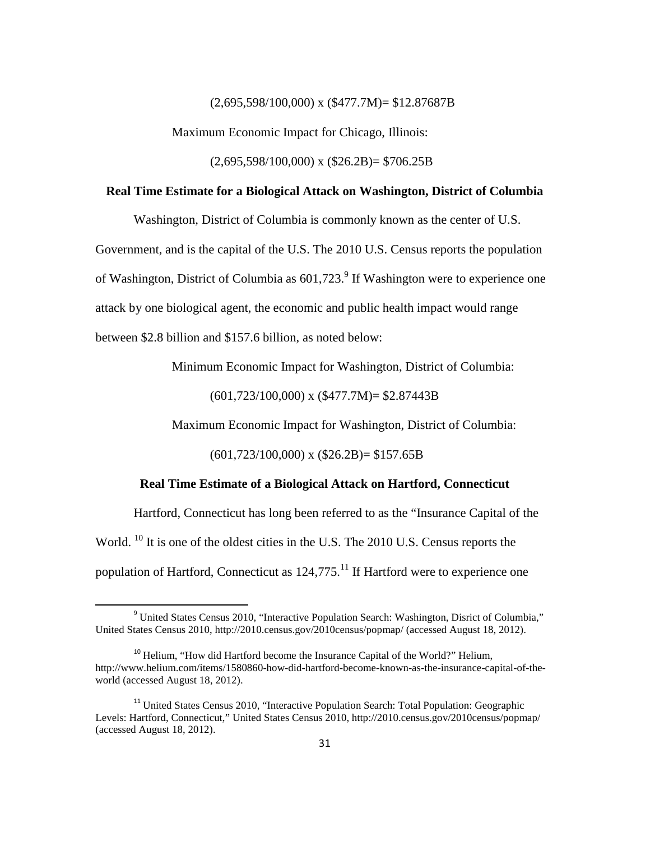$(2,695,598/100,000)$  x  $(\$477.7M) = \$12.87687B$ 

Maximum Economic Impact for Chicago, Illinois:

 $(2,695,598/100,000)$  x  $(\$26.2B) = \$706.25B$ 

### **Real Time Estimate for a Biological Attack on Washington, District of Columbia**

Washington, District of Columbia is commonly known as the center of U.S.

Government, and is the capital of the U.S. The 2010 U.S. Census reports the population

of Washington, District of Columbia as  $601,723$ .<sup>9</sup> If Washington were to experience one

attack by one biological agent, the economic and public health impact would range

between \$2.8 billion and \$157.6 billion, as noted below:

l

Minimum Economic Impact for Washington, District of Columbia:

(601,723/100,000) x (\$477.7M)= \$2.87443B

Maximum Economic Impact for Washington, District of Columbia:

 $(601,723/100,000)$  x  $($26.2B) = $157.65B$ 

### **Real Time Estimate of a Biological Attack on Hartford, Connecticut**

 Hartford, Connecticut has long been referred to as the "Insurance Capital of the World. <sup>10</sup> It is one of the oldest cities in the U.S. The 2010 U.S. Census reports the population of Hartford, Connecticut as  $124,775$ .<sup>11</sup> If Hartford were to experience one

<sup>&</sup>lt;sup>9</sup> United States Census 2010, "Interactive Population Search: Washington, Disrict of Columbia," United States Census 2010, http://2010.census.gov/2010census/popmap/ (accessed August 18, 2012).

 $10$  Helium, "How did Hartford become the Insurance Capital of the World?" Helium, http://www.helium.com/items/1580860-how-did-hartford-become-known-as-the-insurance-capital-of-theworld (accessed August 18, 2012).

<sup>&</sup>lt;sup>11</sup> United States Census 2010, "Interactive Population Search: Total Population: Geographic Levels: Hartford, Connecticut," United States Census 2010, http://2010.census.gov/2010census/popmap/ (accessed August 18, 2012).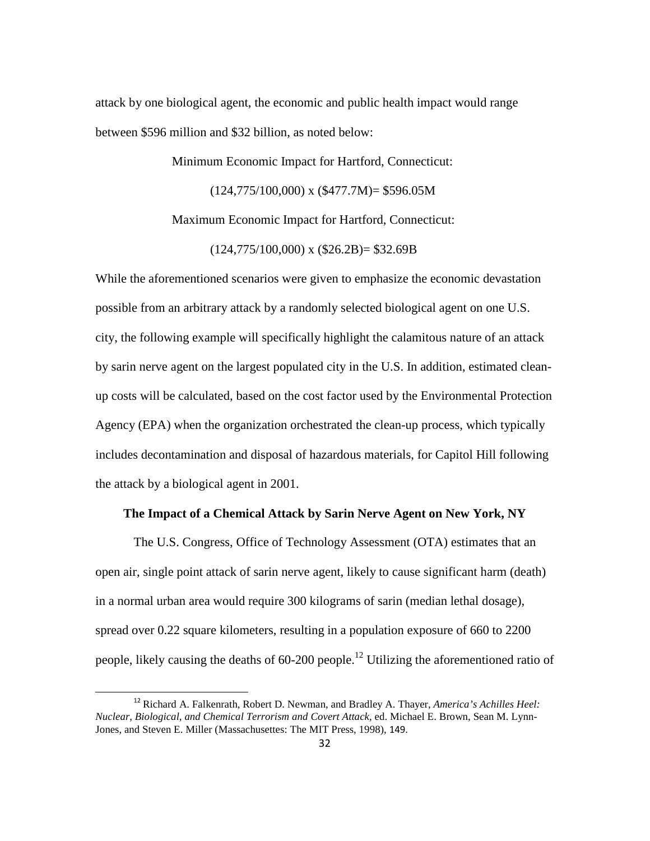attack by one biological agent, the economic and public health impact would range between \$596 million and \$32 billion, as noted below:

Minimum Economic Impact for Hartford, Connecticut:

 $(124,775/100,000)$  x  $(\$477.7M) = \$596.05M$ 

Maximum Economic Impact for Hartford, Connecticut:

 $(124,775/100,000)$  x  $(\$26.2B) = \$32.69B$ 

While the aforementioned scenarios were given to emphasize the economic devastation possible from an arbitrary attack by a randomly selected biological agent on one U.S. city, the following example will specifically highlight the calamitous nature of an attack by sarin nerve agent on the largest populated city in the U.S. In addition, estimated cleanup costs will be calculated, based on the cost factor used by the Environmental Protection Agency (EPA) when the organization orchestrated the clean-up process, which typically includes decontamination and disposal of hazardous materials, for Capitol Hill following the attack by a biological agent in 2001.

# **The Impact of a Chemical Attack by Sarin Nerve Agent on New York, NY**

The U.S. Congress, Office of Technology Assessment (OTA) estimates that an open air, single point attack of sarin nerve agent, likely to cause significant harm (death) in a normal urban area would require 300 kilograms of sarin (median lethal dosage), spread over 0.22 square kilometers, resulting in a population exposure of 660 to 2200 people, likely causing the deaths of  $60-200$  people.<sup>12</sup> Utilizing the aforementioned ratio of

<sup>12</sup> Richard A. Falkenrath, Robert D. Newman, and Bradley A. Thayer, *America's Achilles Heel: Nuclear, Biological, and Chemical Terrorism and Covert Attack,* ed. Michael E. Brown, Sean M. Lynn-Jones, and Steven E. Miller (Massachusettes: The MIT Press, 1998), 149.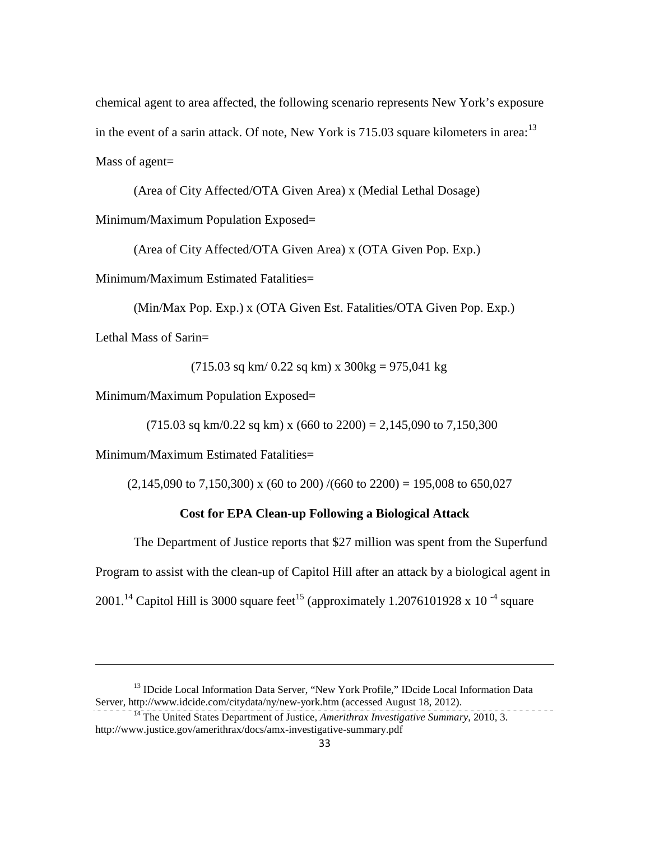chemical agent to area affected, the following scenario represents New York's exposure in the event of a sarin attack. Of note, New York is  $715.03$  square kilometers in area:<sup>13</sup> Mass of agent=

(Area of City Affected/OTA Given Area) x (Medial Lethal Dosage)

Minimum/Maximum Population Exposed=

(Area of City Affected/OTA Given Area) x (OTA Given Pop. Exp.)

Minimum/Maximum Estimated Fatalities=

(Min/Max Pop. Exp.) x (OTA Given Est. Fatalities/OTA Given Pop. Exp.)

Lethal Mass of Sarin=

 $\overline{\phantom{0}}$ 

 $(715.03 \text{ sq km}/ 0.22 \text{ sq km}) \times 300 \text{kg} = 975,041 \text{ kg}$ 

Minimum/Maximum Population Exposed=

 $(715.03 \text{ sq km}/0.22 \text{ sq km}) \times (660 \text{ to } 2200) = 2,145,090 \text{ to } 7,150,300$ 

Minimum/Maximum Estimated Fatalities=

 $(2,145,090 \text{ to } 7,150,300)$  x (60 to 200) /(660 to 2200) = 195,008 to 650,027

## **Cost for EPA Clean-up Following a Biological Attack**

The Department of Justice reports that \$27 million was spent from the Superfund Program to assist with the clean-up of Capitol Hill after an attack by a biological agent in 2001.<sup>14</sup> Capitol Hill is 3000 square feet<sup>15</sup> (approximately 1.2076101928 x 10<sup>-4</sup> square

<sup>&</sup>lt;sup>13</sup> IDcide Local Information Data Server, "New York Profile," IDcide Local Information Data Server, http://www.idcide.com/citydata/ny/new-york.htm (accessed August 18, 2012).

<sup>14</sup> The United States Department of Justice, *Amerithrax Investigative Summary*, 2010, 3. http://www.justice.gov/amerithrax/docs/amx-investigative-summary.pdf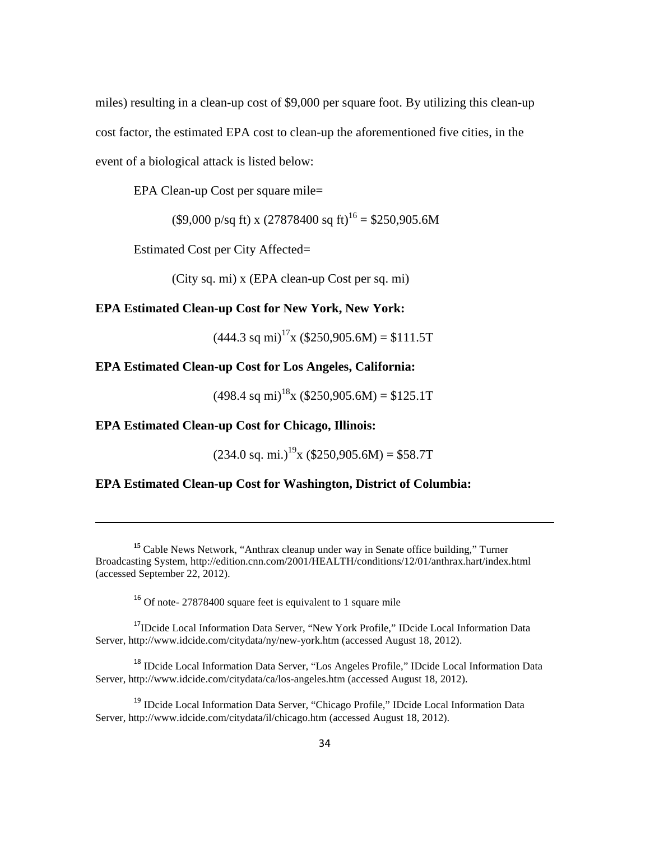miles) resulting in a clean-up cost of \$9,000 per square foot. By utilizing this clean-up cost factor, the estimated EPA cost to clean-up the aforementioned five cities, in the event of a biological attack is listed below:

EPA Clean-up Cost per square mile=

 $($ \$9,000 p/sq ft) x (27878400 sq ft)<sup>16</sup> = \$250,905.6M

Estimated Cost per City Affected=

(City sq. mi) x (EPA clean-up Cost per sq. mi)

### **EPA Estimated Clean-up Cost for New York, New York:**

 $(444.3 \text{ sq mi})^{17}$ x  $(\$250.905.6M) = \$111.5T$ 

# **EPA Estimated Clean-up Cost for Los Angeles, California:**

 $(498.4 \text{ sq mi})^{18}$ x  $(\$250,905.6M) = \$125.1T$ 

## **EPA Estimated Clean-up Cost for Chicago, Illinois:**

 $\overline{\phantom{0}}$ 

 $(234.0 \text{ sq. mi.})^{19}$ x (\$250,905.6M) = \$58.7T

## **EPA Estimated Clean-up Cost for Washington, District of Columbia:**

<sup>16</sup> Of note- 27878400 square feet is equivalent to 1 square mile

<sup>17</sup>IDcide Local Information Data Server, "New York Profile," IDcide Local Information Data Server, http://www.idcide.com/citydata/ny/new-york.htm (accessed August 18, 2012).

<sup>18</sup> IDcide Local Information Data Server, "Los Angeles Profile," IDcide Local Information Data Server, http://www.idcide.com/citydata/ca/los-angeles.htm (accessed August 18, 2012).

<sup>19</sup> IDcide Local Information Data Server, "Chicago Profile," IDcide Local Information Data Server, http://www.idcide.com/citydata/il/chicago.htm (accessed August 18, 2012).

**<sup>15</sup>** Cable News Network, "Anthrax cleanup under way in Senate office building," Turner Broadcasting System, http://edition.cnn.com/2001/HEALTH/conditions/12/01/anthrax.hart/index.html (accessed September 22, 2012).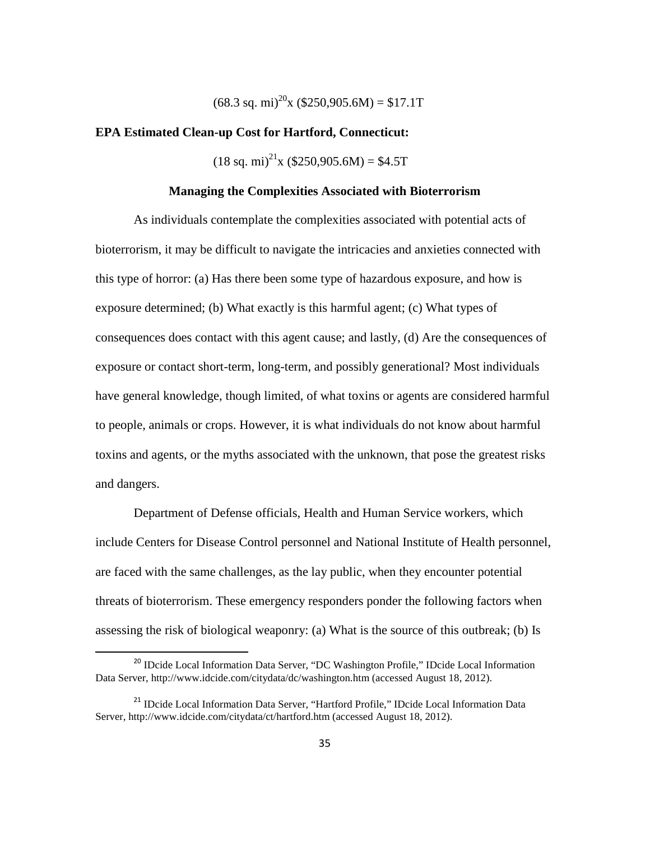$(68.3 \text{ sq. mi})^{20}$ x  $(\$250,905.6M) = \$17.1T$ 

#### **EPA Estimated Clean-up Cost for Hartford, Connecticut:**

 $(18 \text{ sq. mi})^{21}$ x (\$250,905.6M) = \$4.5T

#### **Managing the Complexities Associated with Bioterrorism**

 As individuals contemplate the complexities associated with potential acts of bioterrorism, it may be difficult to navigate the intricacies and anxieties connected with this type of horror: (a) Has there been some type of hazardous exposure, and how is exposure determined; (b) What exactly is this harmful agent; (c) What types of consequences does contact with this agent cause; and lastly, (d) Are the consequences of exposure or contact short-term, long-term, and possibly generational? Most individuals have general knowledge, though limited, of what toxins or agents are considered harmful to people, animals or crops. However, it is what individuals do not know about harmful toxins and agents, or the myths associated with the unknown, that pose the greatest risks and dangers.

 Department of Defense officials, Health and Human Service workers, which include Centers for Disease Control personnel and National Institute of Health personnel, are faced with the same challenges, as the lay public, when they encounter potential threats of bioterrorism. These emergency responders ponder the following factors when assessing the risk of biological weaponry: (a) What is the source of this outbreak; (b) Is

l

<sup>&</sup>lt;sup>20</sup> IDcide Local Information Data Server, "DC Washington Profile," IDcide Local Information Data Server, http://www.idcide.com/citydata/dc/washington.htm (accessed August 18, 2012).

<sup>&</sup>lt;sup>21</sup> IDcide Local Information Data Server, "Hartford Profile," IDcide Local Information Data Server, http://www.idcide.com/citydata/ct/hartford.htm (accessed August 18, 2012).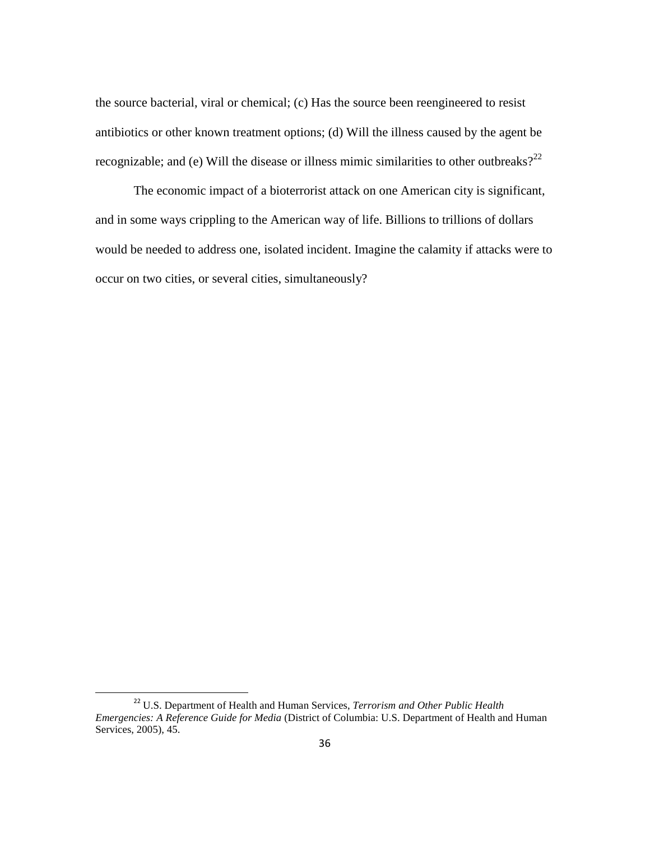the source bacterial, viral or chemical; (c) Has the source been reengineered to resist antibiotics or other known treatment options; (d) Will the illness caused by the agent be recognizable; and (e) Will the disease or illness mimic similarities to other outbreaks?<sup>22</sup>

 The economic impact of a bioterrorist attack on one American city is significant, and in some ways crippling to the American way of life. Billions to trillions of dollars would be needed to address one, isolated incident. Imagine the calamity if attacks were to occur on two cities, or several cities, simultaneously?

<sup>22</sup> U.S. Department of Health and Human Services, *Terrorism and Other Public Health Emergencies: A Reference Guide for Media* (District of Columbia: U.S. Department of Health and Human Services, 2005), 45.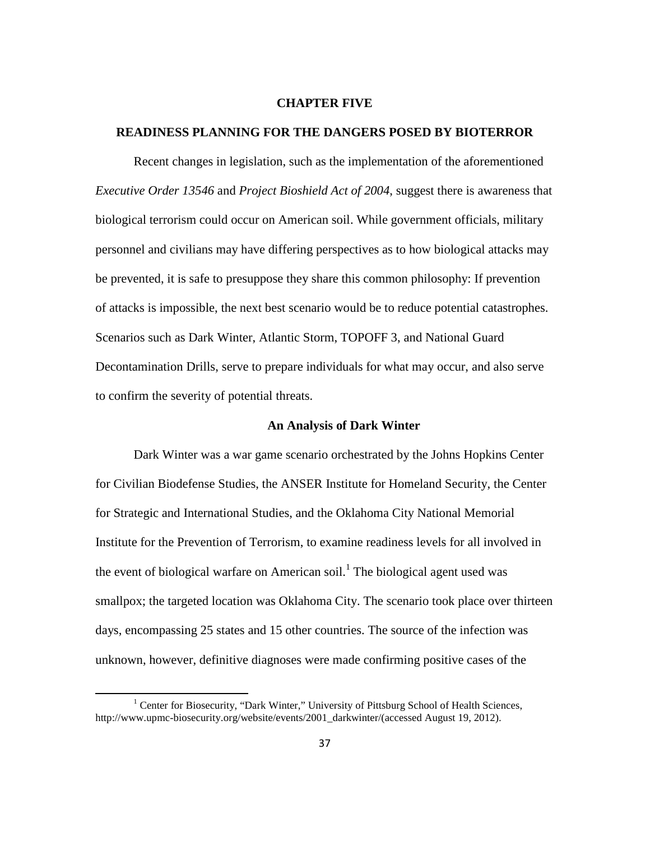#### **CHAPTER FIVE**

#### **READINESS PLANNING FOR THE DANGERS POSED BY BIOTERROR**

Recent changes in legislation, such as the implementation of the aforementioned *Executive Order 13546* and *Project Bioshield Act of 2004*, suggest there is awareness that biological terrorism could occur on American soil. While government officials, military personnel and civilians may have differing perspectives as to how biological attacks may be prevented, it is safe to presuppose they share this common philosophy: If prevention of attacks is impossible, the next best scenario would be to reduce potential catastrophes. Scenarios such as Dark Winter, Atlantic Storm, TOPOFF 3, and National Guard Decontamination Drills, serve to prepare individuals for what may occur, and also serve to confirm the severity of potential threats.

## **An Analysis of Dark Winter**

Dark Winter was a war game scenario orchestrated by the Johns Hopkins Center for Civilian Biodefense Studies, the ANSER Institute for Homeland Security, the Center for Strategic and International Studies, and the Oklahoma City National Memorial Institute for the Prevention of Terrorism, to examine readiness levels for all involved in the event of biological warfare on American soil.<sup>1</sup> The biological agent used was smallpox; the targeted location was Oklahoma City. The scenario took place over thirteen days, encompassing 25 states and 15 other countries. The source of the infection was unknown, however, definitive diagnoses were made confirming positive cases of the

<sup>&</sup>lt;sup>1</sup> Center for Biosecurity, "Dark Winter," University of Pittsburg School of Health Sciences, http://www.upmc-biosecurity.org/website/events/2001\_darkwinter/(accessed August 19, 2012).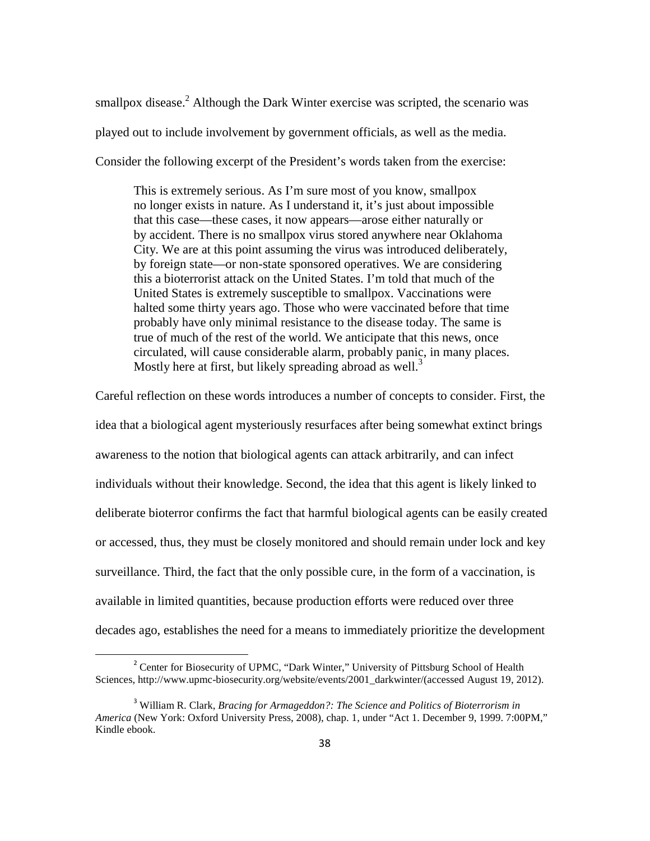smallpox disease.<sup>2</sup> Although the Dark Winter exercise was scripted, the scenario was played out to include involvement by government officials, as well as the media. Consider the following excerpt of the President's words taken from the exercise:

This is extremely serious. As I'm sure most of you know, smallpox no longer exists in nature. As I understand it, it's just about impossible that this case—these cases, it now appears—arose either naturally or by accident. There is no smallpox virus stored anywhere near Oklahoma City. We are at this point assuming the virus was introduced deliberately, by foreign state—or non-state sponsored operatives. We are considering this a bioterrorist attack on the United States. I'm told that much of the United States is extremely susceptible to smallpox. Vaccinations were halted some thirty years ago. Those who were vaccinated before that time probably have only minimal resistance to the disease today. The same is true of much of the rest of the world. We anticipate that this news, once circulated, will cause considerable alarm, probably panic, in many places. Mostly here at first, but likely spreading abroad as well.<sup>3</sup>

Careful reflection on these words introduces a number of concepts to consider. First, the idea that a biological agent mysteriously resurfaces after being somewhat extinct brings awareness to the notion that biological agents can attack arbitrarily, and can infect individuals without their knowledge. Second, the idea that this agent is likely linked to deliberate bioterror confirms the fact that harmful biological agents can be easily created or accessed, thus, they must be closely monitored and should remain under lock and key surveillance. Third, the fact that the only possible cure, in the form of a vaccination, is available in limited quantities, because production efforts were reduced over three decades ago, establishes the need for a means to immediately prioritize the development

<sup>&</sup>lt;sup>2</sup> Center for Biosecurity of UPMC, "Dark Winter," University of Pittsburg School of Health Sciences, http://www.upmc-biosecurity.org/website/events/2001\_darkwinter/(accessed August 19, 2012).

<sup>3</sup> William R. Clark, *Bracing for Armageddon?: The Science and Politics of Bioterrorism in America* (New York: Oxford University Press, 2008), chap. 1, under "Act 1. December 9, 1999. 7:00PM," Kindle ebook.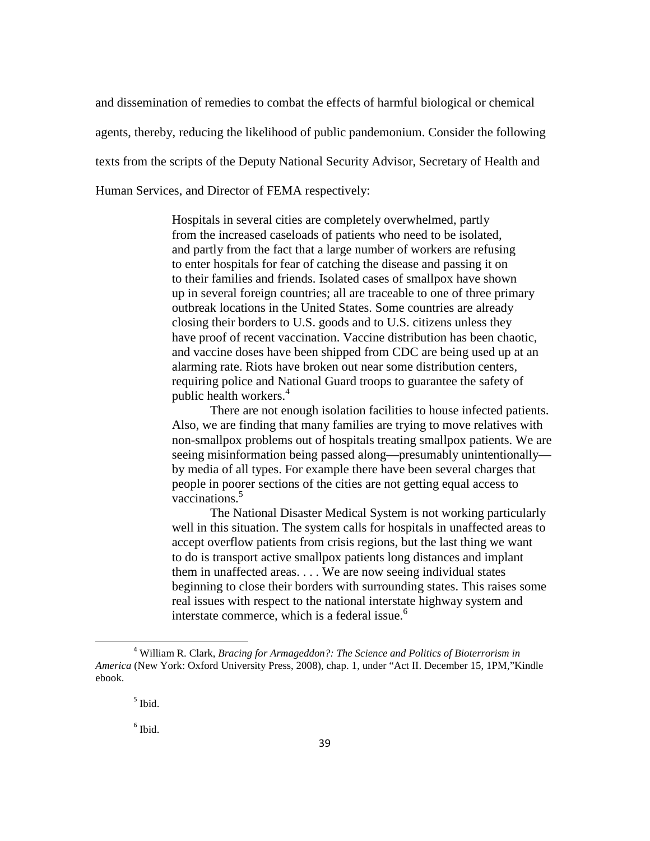and dissemination of remedies to combat the effects of harmful biological or chemical agents, thereby, reducing the likelihood of public pandemonium. Consider the following texts from the scripts of the Deputy National Security Advisor, Secretary of Health and Human Services, and Director of FEMA respectively:

> Hospitals in several cities are completely overwhelmed, partly from the increased caseloads of patients who need to be isolated, and partly from the fact that a large number of workers are refusing to enter hospitals for fear of catching the disease and passing it on to their families and friends. Isolated cases of smallpox have shown up in several foreign countries; all are traceable to one of three primary outbreak locations in the United States. Some countries are already closing their borders to U.S. goods and to U.S. citizens unless they have proof of recent vaccination. Vaccine distribution has been chaotic, and vaccine doses have been shipped from CDC are being used up at an alarming rate. Riots have broken out near some distribution centers, requiring police and National Guard troops to guarantee the safety of public health workers.<sup>4</sup>

There are not enough isolation facilities to house infected patients. Also, we are finding that many families are trying to move relatives with non-smallpox problems out of hospitals treating smallpox patients. We are seeing misinformation being passed along—presumably unintentionally by media of all types. For example there have been several charges that people in poorer sections of the cities are not getting equal access to vaccinations.<sup>5</sup>

The National Disaster Medical System is not working particularly well in this situation. The system calls for hospitals in unaffected areas to accept overflow patients from crisis regions, but the last thing we want to do is transport active smallpox patients long distances and implant them in unaffected areas. . . . We are now seeing individual states beginning to close their borders with surrounding states. This raises some real issues with respect to the national interstate highway system and interstate commerce, which is a federal issue. $<sup>6</sup>$ </sup>

ı

<sup>4</sup> William R. Clark, *Bracing for Armageddon?: The Science and Politics of Bioterrorism in America* (New York: Oxford University Press, 2008), chap. 1, under "Act II. December 15, 1PM,"Kindle ebook.

<sup>5</sup> Ibid.

<sup>6</sup> Ibid.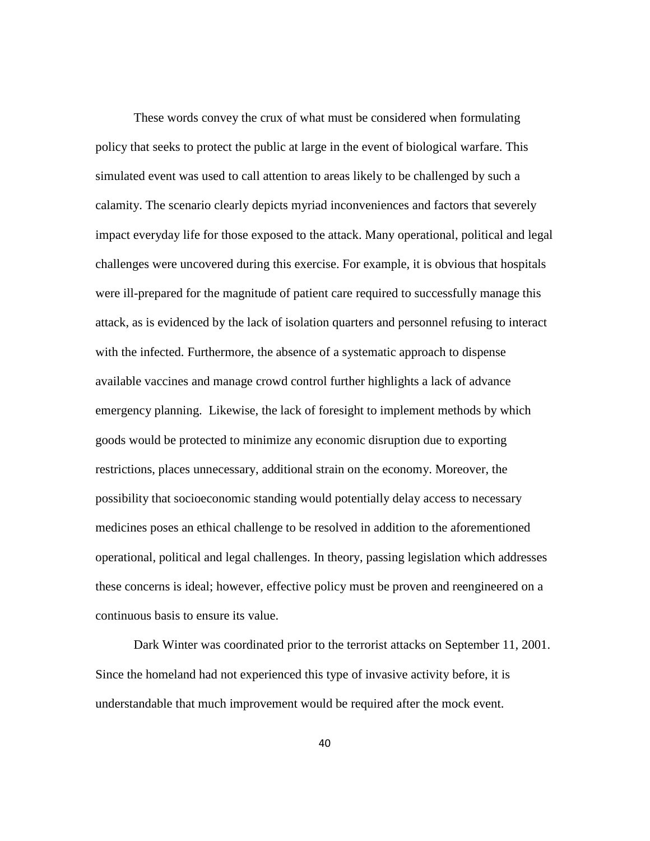These words convey the crux of what must be considered when formulating policy that seeks to protect the public at large in the event of biological warfare. This simulated event was used to call attention to areas likely to be challenged by such a calamity. The scenario clearly depicts myriad inconveniences and factors that severely impact everyday life for those exposed to the attack. Many operational, political and legal challenges were uncovered during this exercise. For example, it is obvious that hospitals were ill-prepared for the magnitude of patient care required to successfully manage this attack, as is evidenced by the lack of isolation quarters and personnel refusing to interact with the infected. Furthermore, the absence of a systematic approach to dispense available vaccines and manage crowd control further highlights a lack of advance emergency planning. Likewise, the lack of foresight to implement methods by which goods would be protected to minimize any economic disruption due to exporting restrictions, places unnecessary, additional strain on the economy. Moreover, the possibility that socioeconomic standing would potentially delay access to necessary medicines poses an ethical challenge to be resolved in addition to the aforementioned operational, political and legal challenges. In theory, passing legislation which addresses these concerns is ideal; however, effective policy must be proven and reengineered on a continuous basis to ensure its value.

 Dark Winter was coordinated prior to the terrorist attacks on September 11, 2001. Since the homeland had not experienced this type of invasive activity before, it is understandable that much improvement would be required after the mock event.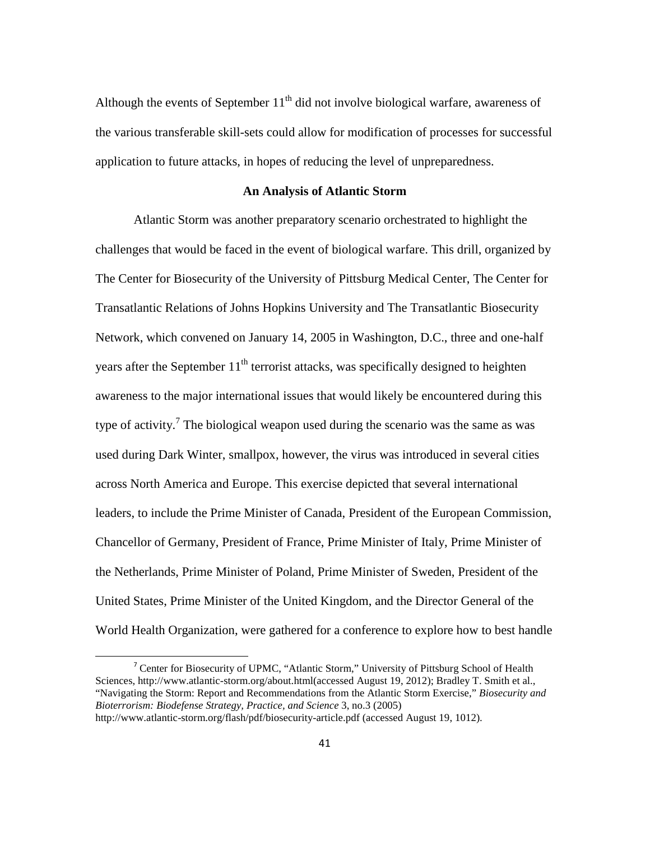Although the events of September  $11<sup>th</sup>$  did not involve biological warfare, awareness of the various transferable skill-sets could allow for modification of processes for successful application to future attacks, in hopes of reducing the level of unpreparedness.

#### **An Analysis of Atlantic Storm**

Atlantic Storm was another preparatory scenario orchestrated to highlight the challenges that would be faced in the event of biological warfare. This drill, organized by The Center for Biosecurity of the University of Pittsburg Medical Center, The Center for Transatlantic Relations of Johns Hopkins University and The Transatlantic Biosecurity Network, which convened on January 14, 2005 in Washington, D.C., three and one-half years after the September  $11<sup>th</sup>$  terrorist attacks, was specifically designed to heighten awareness to the major international issues that would likely be encountered during this type of activity.<sup>7</sup> The biological weapon used during the scenario was the same as was used during Dark Winter, smallpox, however, the virus was introduced in several cities across North America and Europe. This exercise depicted that several international leaders, to include the Prime Minister of Canada, President of the European Commission, Chancellor of Germany, President of France, Prime Minister of Italy, Prime Minister of the Netherlands, Prime Minister of Poland, Prime Minister of Sweden, President of the United States, Prime Minister of the United Kingdom, and the Director General of the World Health Organization, were gathered for a conference to explore how to best handle

ı

<sup>&</sup>lt;sup>7</sup> Center for Biosecurity of UPMC, "Atlantic Storm," University of Pittsburg School of Health Sciences, http://www.atlantic-storm.org/about.html(accessed August 19, 2012); Bradley T. Smith et al., "Navigating the Storm: Report and Recommendations from the Atlantic Storm Exercise," *Biosecurity and Bioterrorism: Biodefense Strategy, Practice, and Science* 3, no.3 (2005)

http://www.atlantic-storm.org/flash/pdf/biosecurity-article.pdf (accessed August 19, 1012).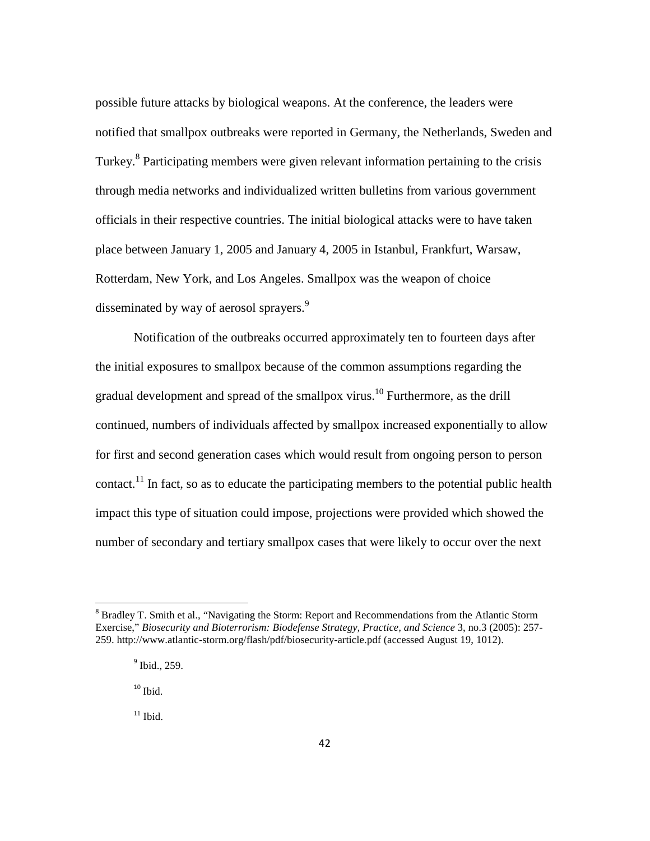possible future attacks by biological weapons. At the conference, the leaders were notified that smallpox outbreaks were reported in Germany, the Netherlands, Sweden and Turkey.<sup>8</sup> Participating members were given relevant information pertaining to the crisis through media networks and individualized written bulletins from various government officials in their respective countries. The initial biological attacks were to have taken place between January 1, 2005 and January 4, 2005 in Istanbul, Frankfurt, Warsaw, Rotterdam, New York, and Los Angeles. Smallpox was the weapon of choice disseminated by way of aerosol sprayers.<sup>9</sup>

Notification of the outbreaks occurred approximately ten to fourteen days after the initial exposures to smallpox because of the common assumptions regarding the gradual development and spread of the smallpox virus.<sup>10</sup> Furthermore, as the drill continued, numbers of individuals affected by smallpox increased exponentially to allow for first and second generation cases which would result from ongoing person to person contact.<sup>11</sup> In fact, so as to educate the participating members to the potential public health impact this type of situation could impose, projections were provided which showed the number of secondary and tertiary smallpox cases that were likely to occur over the next

 $^{\rm 10}$  Ibid.

 $\overline{\phantom{0}}$ 

 $11$  Ibid.

<sup>&</sup>lt;sup>8</sup> Bradley T. Smith et al., "Navigating the Storm: Report and Recommendations from the Atlantic Storm Exercise," *Biosecurity and Bioterrorism: Biodefense Strategy, Practice, and Science* 3, no.3 (2005): 257- 259. http://www.atlantic-storm.org/flash/pdf/biosecurity-article.pdf (accessed August 19, 1012).

<sup>&</sup>lt;sup>9</sup> Ibid., 259.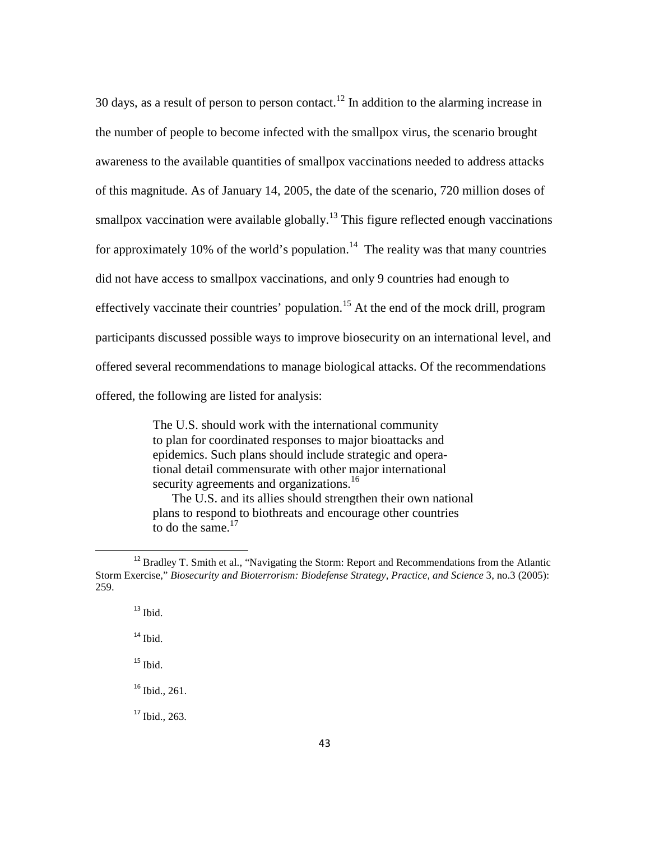30 days, as a result of person to person contact.<sup>12</sup> In addition to the alarming increase in the number of people to become infected with the smallpox virus, the scenario brought awareness to the available quantities of smallpox vaccinations needed to address attacks of this magnitude. As of January 14, 2005, the date of the scenario, 720 million doses of smallpox vaccination were available globally.<sup>13</sup> This figure reflected enough vaccinations for approximately 10% of the world's population.<sup>14</sup> The reality was that many countries did not have access to smallpox vaccinations, and only 9 countries had enough to effectively vaccinate their countries' population.<sup>15</sup> At the end of the mock drill, program participants discussed possible ways to improve biosecurity on an international level, and offered several recommendations to manage biological attacks. Of the recommendations offered, the following are listed for analysis:

> The U.S. should work with the international community to plan for coordinated responses to major bioattacks and epidemics. Such plans should include strategic and operational detail commensurate with other major international security agreements and organizations.<sup>16</sup>

The U.S. and its allies should strengthen their own national plans to respond to biothreats and encourage other countries to do the same. $17$ 

<sup>&</sup>lt;sup>12</sup> Bradley T. Smith et al., "Navigating the Storm: Report and Recommendations from the Atlantic Storm Exercise," *Biosecurity and Bioterrorism: Biodefense Strategy, Practice, and Science* 3, no.3 (2005): 259.

 $13$  Ibid.

 $^{14}$  Ibid.

 $15$  Ibid.

<sup>&</sup>lt;sup>16</sup> Ibid., 261.

 $17$  Ibid., 263.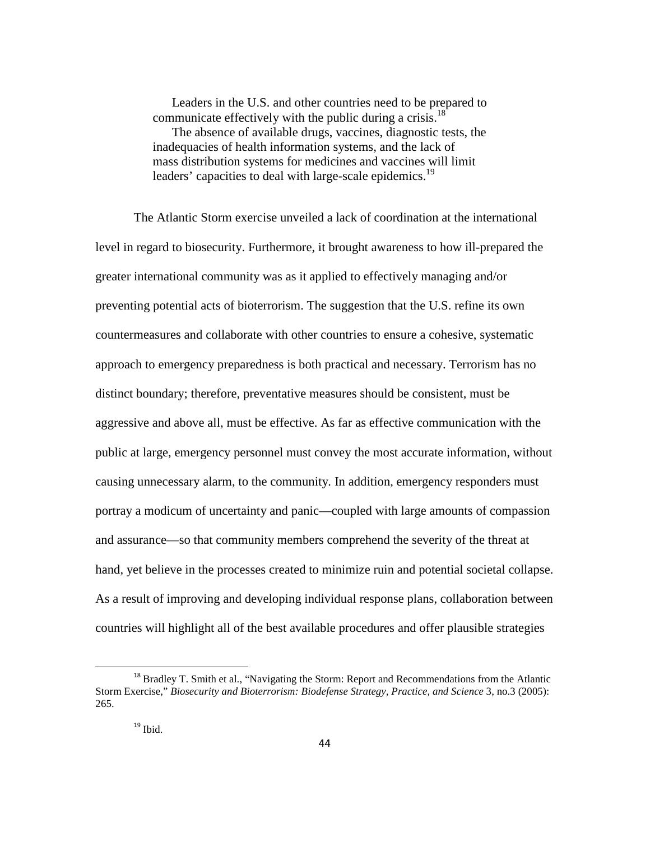Leaders in the U.S. and other countries need to be prepared to communicate effectively with the public during a crisis.<sup>18</sup> The absence of available drugs, vaccines, diagnostic tests, the inadequacies of health information systems, and the lack of mass distribution systems for medicines and vaccines will limit leaders' capacities to deal with large-scale epidemics.<sup>19</sup>

The Atlantic Storm exercise unveiled a lack of coordination at the international level in regard to biosecurity. Furthermore, it brought awareness to how ill-prepared the greater international community was as it applied to effectively managing and/or preventing potential acts of bioterrorism. The suggestion that the U.S. refine its own countermeasures and collaborate with other countries to ensure a cohesive, systematic approach to emergency preparedness is both practical and necessary. Terrorism has no distinct boundary; therefore, preventative measures should be consistent, must be aggressive and above all, must be effective. As far as effective communication with the public at large, emergency personnel must convey the most accurate information, without causing unnecessary alarm, to the community. In addition, emergency responders must portray a modicum of uncertainty and panic—coupled with large amounts of compassion and assurance—so that community members comprehend the severity of the threat at hand, yet believe in the processes created to minimize ruin and potential societal collapse. As a result of improving and developing individual response plans, collaboration between countries will highlight all of the best available procedures and offer plausible strategies

ı

<sup>&</sup>lt;sup>18</sup> Bradley T. Smith et al., "Navigating the Storm: Report and Recommendations from the Atlantic Storm Exercise," *Biosecurity and Bioterrorism: Biodefense Strategy, Practice, and Science* 3, no.3 (2005): 265.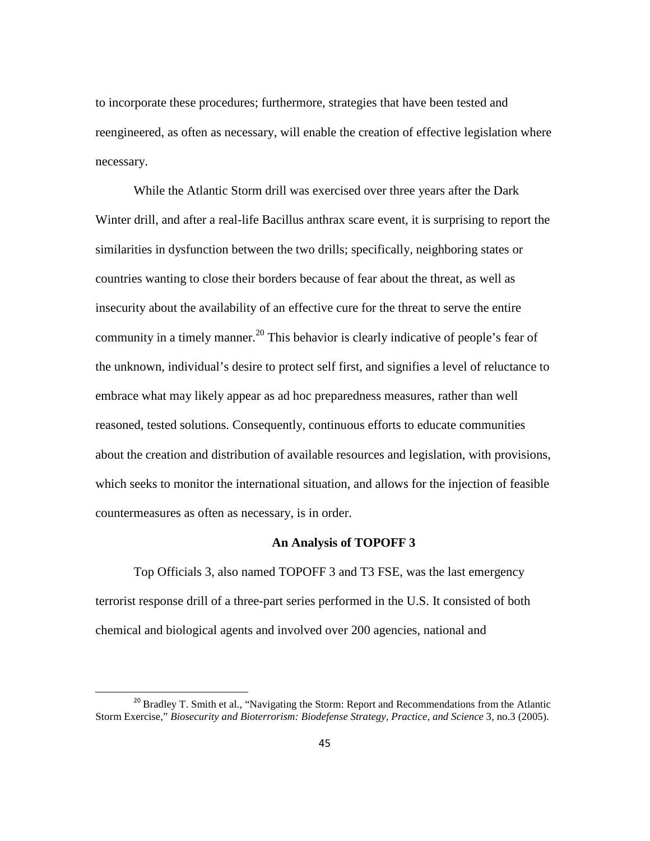to incorporate these procedures; furthermore, strategies that have been tested and reengineered, as often as necessary, will enable the creation of effective legislation where necessary.

While the Atlantic Storm drill was exercised over three years after the Dark Winter drill, and after a real-life Bacillus anthrax scare event, it is surprising to report the similarities in dysfunction between the two drills; specifically, neighboring states or countries wanting to close their borders because of fear about the threat, as well as insecurity about the availability of an effective cure for the threat to serve the entire community in a timely manner.<sup>20</sup> This behavior is clearly indicative of people's fear of the unknown, individual's desire to protect self first, and signifies a level of reluctance to embrace what may likely appear as ad hoc preparedness measures, rather than well reasoned, tested solutions. Consequently, continuous efforts to educate communities about the creation and distribution of available resources and legislation, with provisions, which seeks to monitor the international situation, and allows for the injection of feasible countermeasures as often as necessary, is in order.

# **An Analysis of TOPOFF 3**

Top Officials 3, also named TOPOFF 3 and T3 FSE, was the last emergency terrorist response drill of a three-part series performed in the U.S. It consisted of both chemical and biological agents and involved over 200 agencies, national and

<sup>&</sup>lt;sup>20</sup> Bradley T. Smith et al., "Navigating the Storm: Report and Recommendations from the Atlantic Storm Exercise," *Biosecurity and Bioterrorism: Biodefense Strategy, Practice, and Science* 3, no.3 (2005).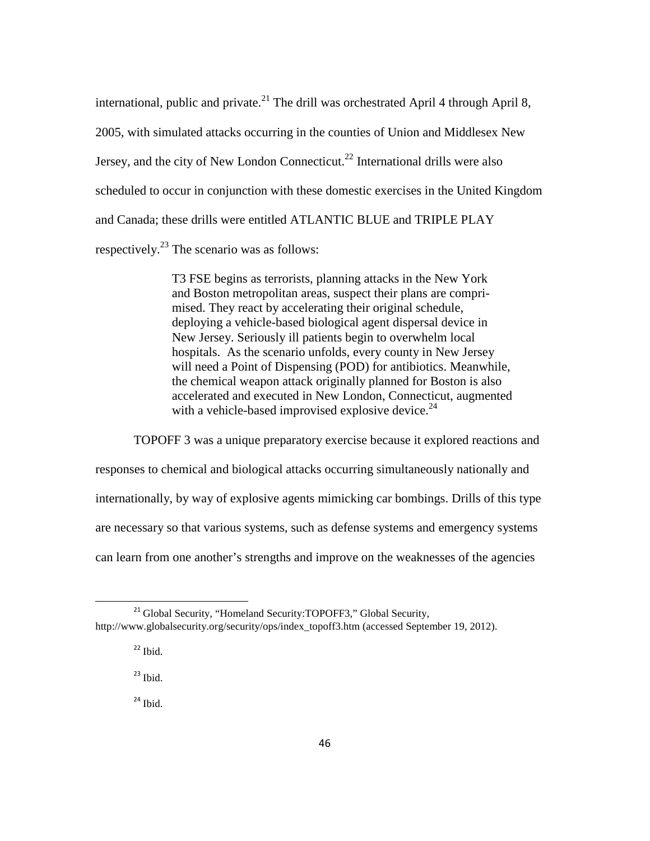international, public and private.<sup>21</sup> The drill was orchestrated April 4 through April 8, 2005, with simulated attacks occurring in the counties of Union and Middlesex New Jersey, and the city of New London Connecticut.<sup>22</sup> International drills were also scheduled to occur in conjunction with these domestic exercises in the United Kingdom and Canada; these drills were entitled ATLANTIC BLUE and TRIPLE PLAY respectively.<sup>23</sup> The scenario was as follows:

> T3 FSE begins as terrorists, planning attacks in the New York and Boston metropolitan areas, suspect their plans are comprimised. They react by accelerating their original schedule, deploying a vehicle-based biological agent dispersal device in New Jersey. Seriously ill patients begin to overwhelm local hospitals. As the scenario unfolds, every county in New Jersey will need a Point of Dispensing (POD) for antibiotics. Meanwhile, the chemical weapon attack originally planned for Boston is also accelerated and executed in New London, Connecticut, augmented with a vehicle-based improvised explosive device.<sup>24</sup>

TOPOFF 3 was a unique preparatory exercise because it explored reactions and responses to chemical and biological attacks occurring simultaneously nationally and internationally, by way of explosive agents mimicking car bombings. Drills of this type are necessary so that various systems, such as defense systems and emergency systems can learn from one another's strengths and improve on the weaknesses of the agencies

 $\overline{\phantom{0}}$ 

 $23$  Ibid.

 $24$  Ibid.

<sup>&</sup>lt;sup>21</sup> Global Security, "Homeland Security: TOPOFF3," Global Security, http://www.globalsecurity.org/security/ops/index\_topoff3.htm (accessed September 19, 2012).

 $22$  Ibid.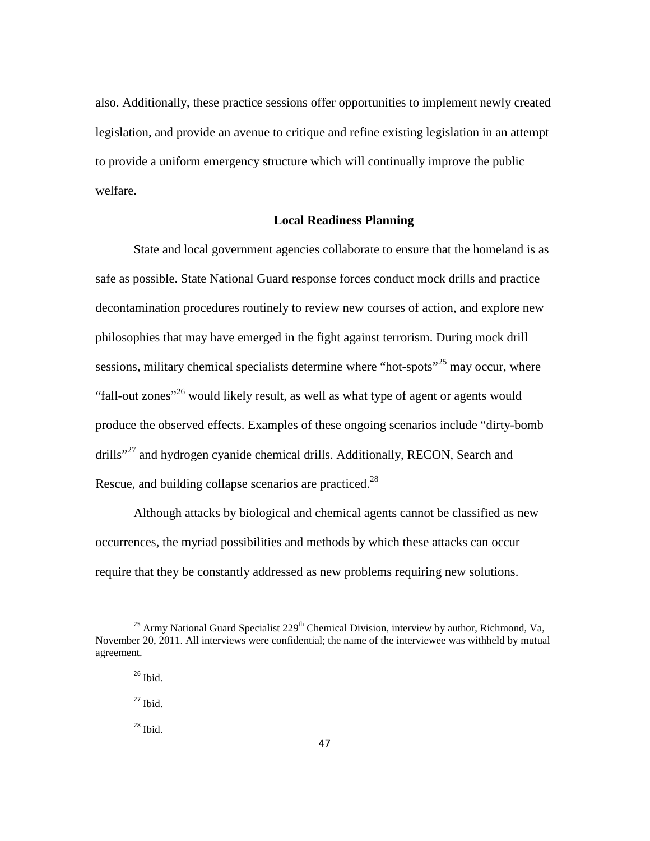also. Additionally, these practice sessions offer opportunities to implement newly created legislation, and provide an avenue to critique and refine existing legislation in an attempt to provide a uniform emergency structure which will continually improve the public welfare.

## **Local Readiness Planning**

State and local government agencies collaborate to ensure that the homeland is as safe as possible. State National Guard response forces conduct mock drills and practice decontamination procedures routinely to review new courses of action, and explore new philosophies that may have emerged in the fight against terrorism. During mock drill sessions, military chemical specialists determine where "hot-spots"<sup>25</sup> may occur, where "fall-out zones"<sup>26</sup> would likely result, as well as what type of agent or agents would produce the observed effects. Examples of these ongoing scenarios include "dirty-bomb drills"<sup>27</sup> and hydrogen cyanide chemical drills. Additionally, RECON, Search and Rescue, and building collapse scenarios are practiced.<sup>28</sup>

Although attacks by biological and chemical agents cannot be classified as new occurrences, the myriad possibilities and methods by which these attacks can occur require that they be constantly addressed as new problems requiring new solutions.

 $25$  Army National Guard Specialist  $229<sup>th</sup>$  Chemical Division, interview by author, Richmond, Va, November 20, 2011. All interviews were confidential; the name of the interviewee was withheld by mutual agreement.

 $26$  Ibid.

 $27$  Ibid.

 $28$  Ibid.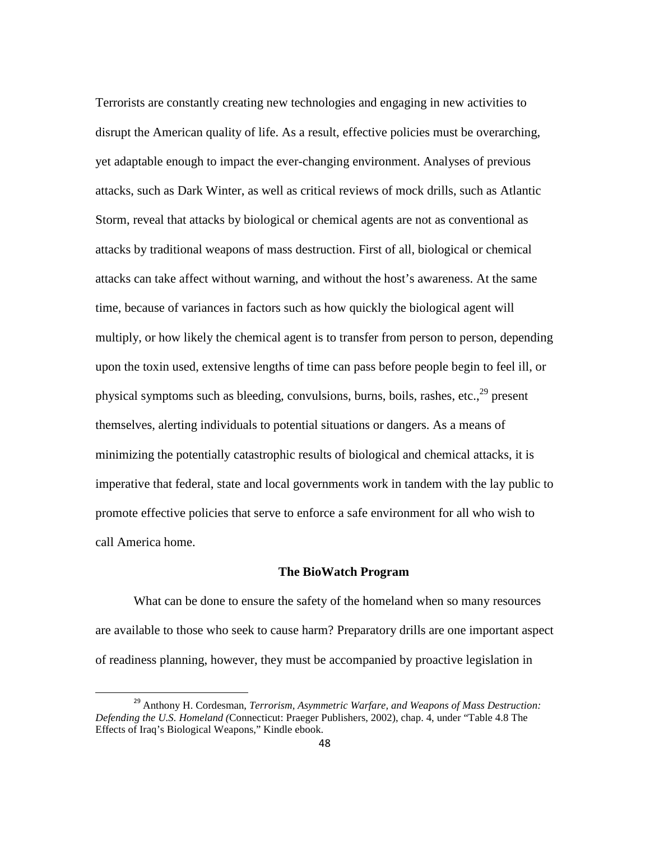Terrorists are constantly creating new technologies and engaging in new activities to disrupt the American quality of life. As a result, effective policies must be overarching, yet adaptable enough to impact the ever-changing environment. Analyses of previous attacks, such as Dark Winter, as well as critical reviews of mock drills, such as Atlantic Storm, reveal that attacks by biological or chemical agents are not as conventional as attacks by traditional weapons of mass destruction. First of all, biological or chemical attacks can take affect without warning, and without the host's awareness. At the same time, because of variances in factors such as how quickly the biological agent will multiply, or how likely the chemical agent is to transfer from person to person, depending upon the toxin used, extensive lengths of time can pass before people begin to feel ill, or physical symptoms such as bleeding, convulsions, burns, boils, rashes, etc., $^{29}$  present themselves, alerting individuals to potential situations or dangers. As a means of minimizing the potentially catastrophic results of biological and chemical attacks, it is imperative that federal, state and local governments work in tandem with the lay public to promote effective policies that serve to enforce a safe environment for all who wish to call America home.

# **The BioWatch Program**

What can be done to ensure the safety of the homeland when so many resources are available to those who seek to cause harm? Preparatory drills are one important aspect of readiness planning, however, they must be accompanied by proactive legislation in

<sup>29</sup> Anthony H. Cordesman, *Terrorism, Asymmetric Warfare, and Weapons of Mass Destruction: Defending the U.S. Homeland (*Connecticut: Praeger Publishers, 2002), chap. 4, under "Table 4.8 The Effects of Iraq's Biological Weapons," Kindle ebook.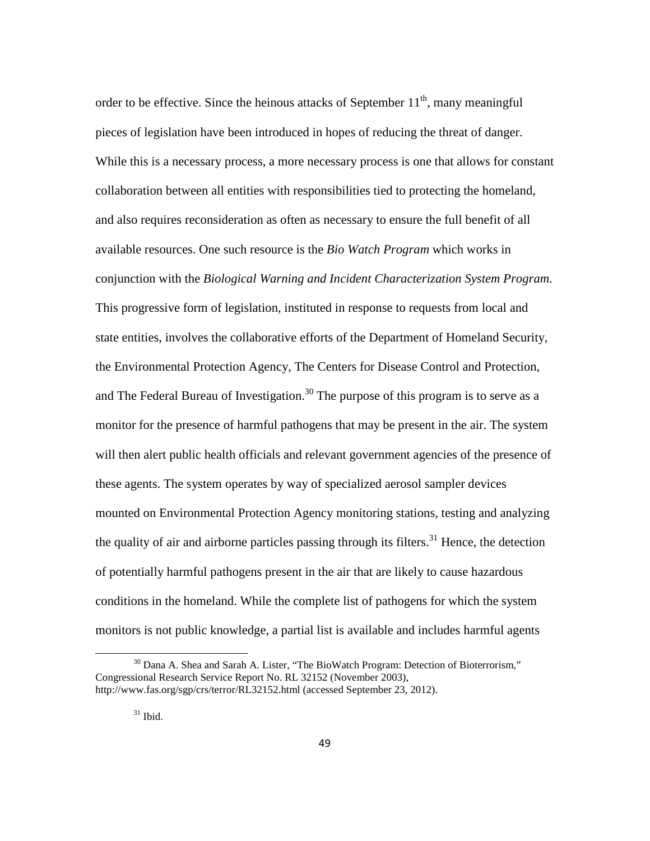order to be effective. Since the heinous attacks of September  $11<sup>th</sup>$ , many meaningful pieces of legislation have been introduced in hopes of reducing the threat of danger. While this is a necessary process, a more necessary process is one that allows for constant collaboration between all entities with responsibilities tied to protecting the homeland, and also requires reconsideration as often as necessary to ensure the full benefit of all available resources. One such resource is the *Bio Watch Program* which works in conjunction with the *Biological Warning and Incident Characterization System Program*. This progressive form of legislation, instituted in response to requests from local and state entities, involves the collaborative efforts of the Department of Homeland Security, the Environmental Protection Agency, The Centers for Disease Control and Protection, and The Federal Bureau of Investigation.<sup>30</sup> The purpose of this program is to serve as a monitor for the presence of harmful pathogens that may be present in the air. The system will then alert public health officials and relevant government agencies of the presence of these agents. The system operates by way of specialized aerosol sampler devices mounted on Environmental Protection Agency monitoring stations, testing and analyzing the quality of air and airborne particles passing through its filters.<sup>31</sup> Hence, the detection of potentially harmful pathogens present in the air that are likely to cause hazardous conditions in the homeland. While the complete list of pathogens for which the system monitors is not public knowledge, a partial list is available and includes harmful agents

ı

 $30$  Dana A. Shea and Sarah A. Lister, "The BioWatch Program: Detection of Bioterrorism," Congressional Research Service Report No. RL 32152 (November 2003), http://www.fas.org/sgp/crs/terror/RL32152.html (accessed September 23, 2012).

 $31$  Ibid.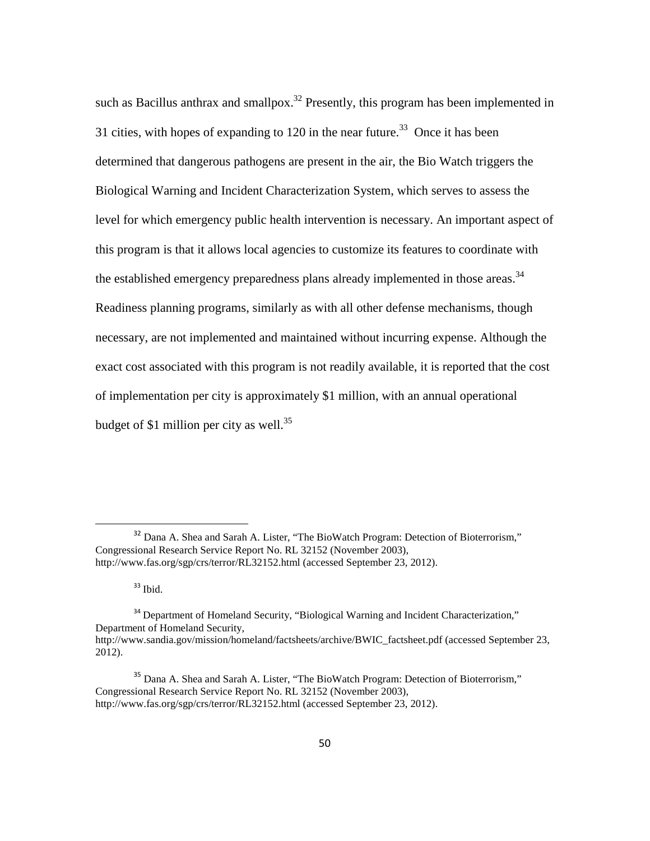such as Bacillus anthrax and smallpox.<sup>32</sup> Presently, this program has been implemented in 31 cities, with hopes of expanding to 120 in the near future.<sup>33</sup> Once it has been determined that dangerous pathogens are present in the air, the Bio Watch triggers the Biological Warning and Incident Characterization System, which serves to assess the level for which emergency public health intervention is necessary. An important aspect of this program is that it allows local agencies to customize its features to coordinate with the established emergency preparedness plans already implemented in those areas.<sup>34</sup> Readiness planning programs, similarly as with all other defense mechanisms, though necessary, are not implemented and maintained without incurring expense. Although the exact cost associated with this program is not readily available, it is reported that the cost of implementation per city is approximately \$1 million, with an annual operational budget of \$1 million per city as well.<sup>35</sup>

 $33$  Ibid.

<sup>&</sup>lt;sup>32</sup> Dana A. Shea and Sarah A. Lister, "The BioWatch Program: Detection of Bioterrorism," Congressional Research Service Report No. RL 32152 (November 2003), http://www.fas.org/sgp/crs/terror/RL32152.html (accessed September 23, 2012).

<sup>&</sup>lt;sup>34</sup> Department of Homeland Security, "Biological Warning and Incident Characterization," Department of Homeland Security, http://www.sandia.gov/mission/homeland/factsheets/archive/BWIC\_factsheet.pdf (accessed September 23, 2012).

<sup>&</sup>lt;sup>35</sup> Dana A. Shea and Sarah A. Lister, "The BioWatch Program: Detection of Bioterrorism," Congressional Research Service Report No. RL 32152 (November 2003), http://www.fas.org/sgp/crs/terror/RL32152.html (accessed September 23, 2012).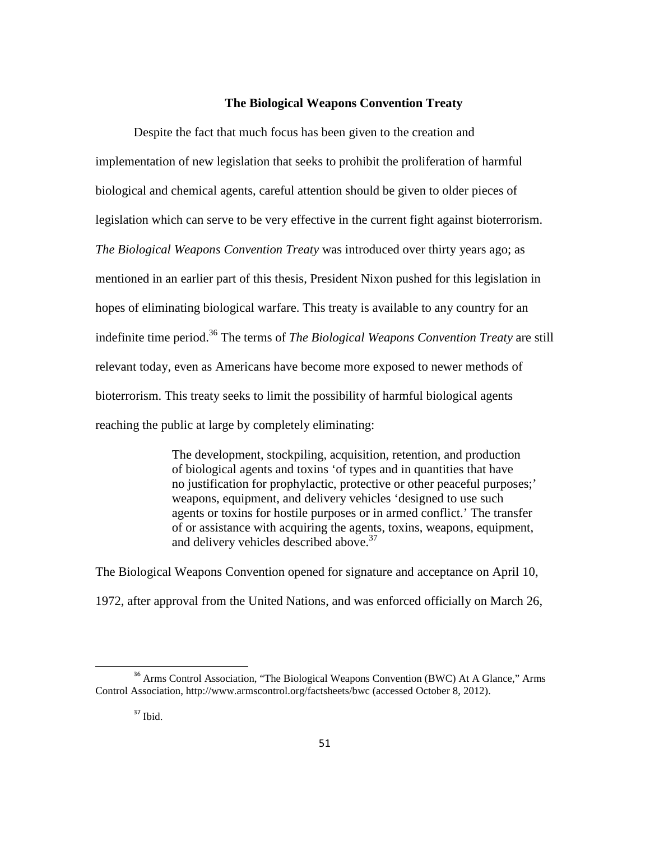## **The Biological Weapons Convention Treaty**

Despite the fact that much focus has been given to the creation and implementation of new legislation that seeks to prohibit the proliferation of harmful biological and chemical agents, careful attention should be given to older pieces of legislation which can serve to be very effective in the current fight against bioterrorism. *The Biological Weapons Convention Treaty* was introduced over thirty years ago; as mentioned in an earlier part of this thesis, President Nixon pushed for this legislation in hopes of eliminating biological warfare. This treaty is available to any country for an indefinite time period.<sup>36</sup> The terms of *The Biological Weapons Convention Treaty* are still relevant today, even as Americans have become more exposed to newer methods of bioterrorism. This treaty seeks to limit the possibility of harmful biological agents reaching the public at large by completely eliminating:

> The development, stockpiling, acquisition, retention, and production of biological agents and toxins 'of types and in quantities that have no justification for prophylactic, protective or other peaceful purposes;' weapons, equipment, and delivery vehicles 'designed to use such agents or toxins for hostile purposes or in armed conflict.' The transfer of or assistance with acquiring the agents, toxins, weapons, equipment, and delivery vehicles described above.<sup>37</sup>

The Biological Weapons Convention opened for signature and acceptance on April 10, 1972, after approval from the United Nations, and was enforced officially on March 26,

<sup>&</sup>lt;sup>36</sup> Arms Control Association, "The Biological Weapons Convention (BWC) At A Glance," Arms Control Association, http://www.armscontrol.org/factsheets/bwc (accessed October 8, 2012).

 $37$  Ibid.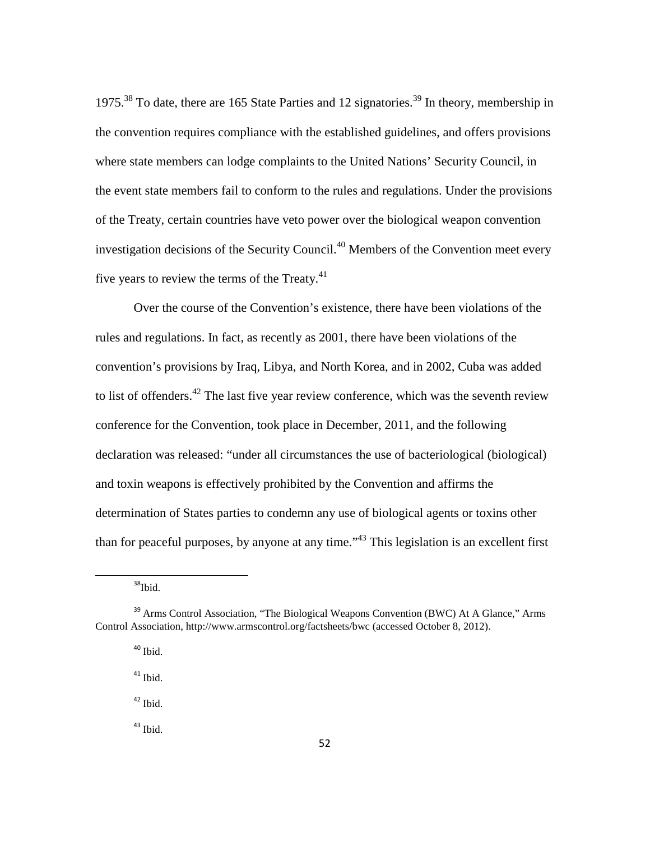1975.<sup>38</sup> To date, there are 165 State Parties and 12 signatories.<sup>39</sup> In theory, membership in the convention requires compliance with the established guidelines, and offers provisions where state members can lodge complaints to the United Nations' Security Council, in the event state members fail to conform to the rules and regulations. Under the provisions of the Treaty, certain countries have veto power over the biological weapon convention investigation decisions of the Security Council.<sup>40</sup> Members of the Convention meet every five years to review the terms of the Treaty. $41$ 

 Over the course of the Convention's existence, there have been violations of the rules and regulations. In fact, as recently as 2001, there have been violations of the convention's provisions by Iraq, Libya, and North Korea, and in 2002, Cuba was added to list of offenders.<sup>42</sup> The last five year review conference, which was the seventh review conference for the Convention, took place in December, 2011, and the following declaration was released: "under all circumstances the use of bacteriological (biological) and toxin weapons is effectively prohibited by the Convention and affirms the determination of States parties to condemn any use of biological agents or toxins other than for peaceful purposes, by anyone at any time."<sup>43</sup> This legislation is an excellent first

<sup>38</sup>Ibid.

 $\overline{\phantom{0}}$ 

 $40$  Ibid.

 $41$  Ibid.

<sup>42</sup> Ibid.

<sup>43</sup> Ibid.

<sup>&</sup>lt;sup>39</sup> Arms Control Association, "The Biological Weapons Convention (BWC) At A Glance," Arms Control Association, http://www.armscontrol.org/factsheets/bwc (accessed October 8, 2012).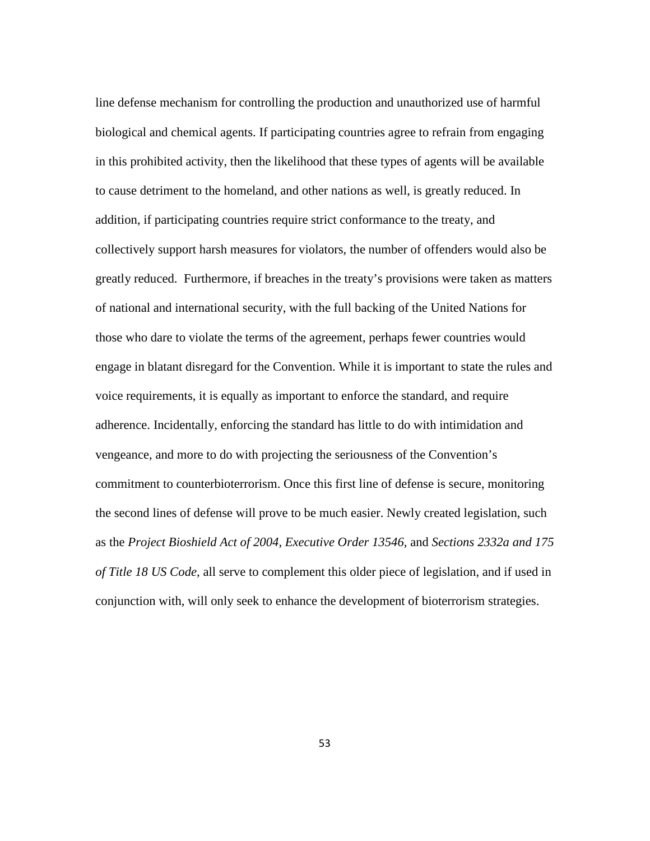line defense mechanism for controlling the production and unauthorized use of harmful biological and chemical agents. If participating countries agree to refrain from engaging in this prohibited activity, then the likelihood that these types of agents will be available to cause detriment to the homeland, and other nations as well, is greatly reduced. In addition, if participating countries require strict conformance to the treaty, and collectively support harsh measures for violators, the number of offenders would also be greatly reduced. Furthermore, if breaches in the treaty's provisions were taken as matters of national and international security, with the full backing of the United Nations for those who dare to violate the terms of the agreement, perhaps fewer countries would engage in blatant disregard for the Convention. While it is important to state the rules and voice requirements, it is equally as important to enforce the standard, and require adherence. Incidentally, enforcing the standard has little to do with intimidation and vengeance, and more to do with projecting the seriousness of the Convention's commitment to counterbioterrorism. Once this first line of defense is secure, monitoring the second lines of defense will prove to be much easier. Newly created legislation, such as the *Project Bioshield Act of 2004*, *Executive Order 13546,* and *Sections 2332a and 175 of Title 18 US Code,* all serve to complement this older piece of legislation, and if used in conjunction with, will only seek to enhance the development of bioterrorism strategies.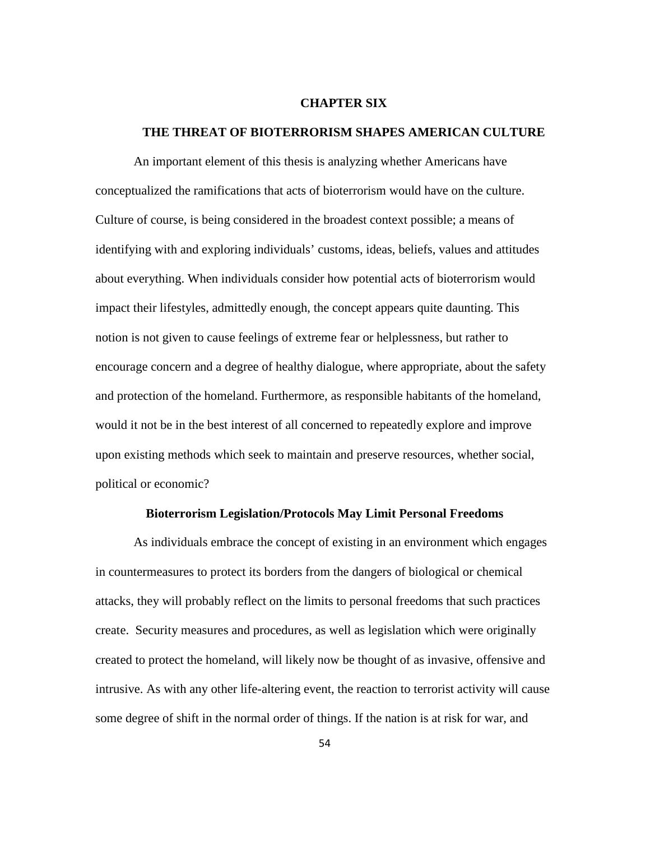#### **CHAPTER SIX**

#### **THE THREAT OF BIOTERRORISM SHAPES AMERICAN CULTURE**

An important element of this thesis is analyzing whether Americans have conceptualized the ramifications that acts of bioterrorism would have on the culture. Culture of course, is being considered in the broadest context possible; a means of identifying with and exploring individuals' customs, ideas, beliefs, values and attitudes about everything. When individuals consider how potential acts of bioterrorism would impact their lifestyles, admittedly enough, the concept appears quite daunting. This notion is not given to cause feelings of extreme fear or helplessness, but rather to encourage concern and a degree of healthy dialogue, where appropriate, about the safety and protection of the homeland. Furthermore, as responsible habitants of the homeland, would it not be in the best interest of all concerned to repeatedly explore and improve upon existing methods which seek to maintain and preserve resources, whether social, political or economic?

### **Bioterrorism Legislation/Protocols May Limit Personal Freedoms**

As individuals embrace the concept of existing in an environment which engages in countermeasures to protect its borders from the dangers of biological or chemical attacks, they will probably reflect on the limits to personal freedoms that such practices create. Security measures and procedures, as well as legislation which were originally created to protect the homeland, will likely now be thought of as invasive, offensive and intrusive. As with any other life-altering event, the reaction to terrorist activity will cause some degree of shift in the normal order of things. If the nation is at risk for war, and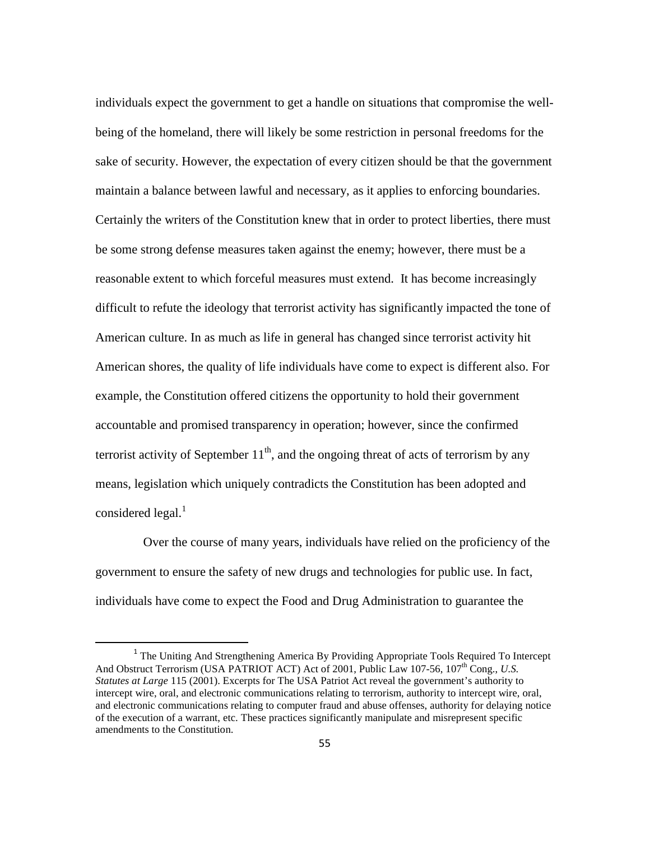individuals expect the government to get a handle on situations that compromise the wellbeing of the homeland, there will likely be some restriction in personal freedoms for the sake of security. However, the expectation of every citizen should be that the government maintain a balance between lawful and necessary, as it applies to enforcing boundaries. Certainly the writers of the Constitution knew that in order to protect liberties, there must be some strong defense measures taken against the enemy; however, there must be a reasonable extent to which forceful measures must extend. It has become increasingly difficult to refute the ideology that terrorist activity has significantly impacted the tone of American culture. In as much as life in general has changed since terrorist activity hit American shores, the quality of life individuals have come to expect is different also. For example, the Constitution offered citizens the opportunity to hold their government accountable and promised transparency in operation; however, since the confirmed terrorist activity of September  $11<sup>th</sup>$ , and the ongoing threat of acts of terrorism by any means, legislation which uniquely contradicts the Constitution has been adopted and considered legal. $<sup>1</sup>$ </sup>

 Over the course of many years, individuals have relied on the proficiency of the government to ensure the safety of new drugs and technologies for public use. In fact, individuals have come to expect the Food and Drug Administration to guarantee the

<sup>&</sup>lt;sup>1</sup> The Uniting And Strengthening America By Providing Appropriate Tools Required To Intercept And Obstruct Terrorism (USA PATRIOT ACT) Act of 2001, Public Law 107-56, 107<sup>th</sup> Cong., *U.S. Statutes at Large* 115 (2001). Excerpts for The USA Patriot Act reveal the government's authority to intercept wire, oral, and electronic communications relating to terrorism, authority to intercept wire, oral, and electronic communications relating to computer fraud and abuse offenses, authority for delaying notice of the execution of a warrant, etc. These practices significantly manipulate and misrepresent specific amendments to the Constitution.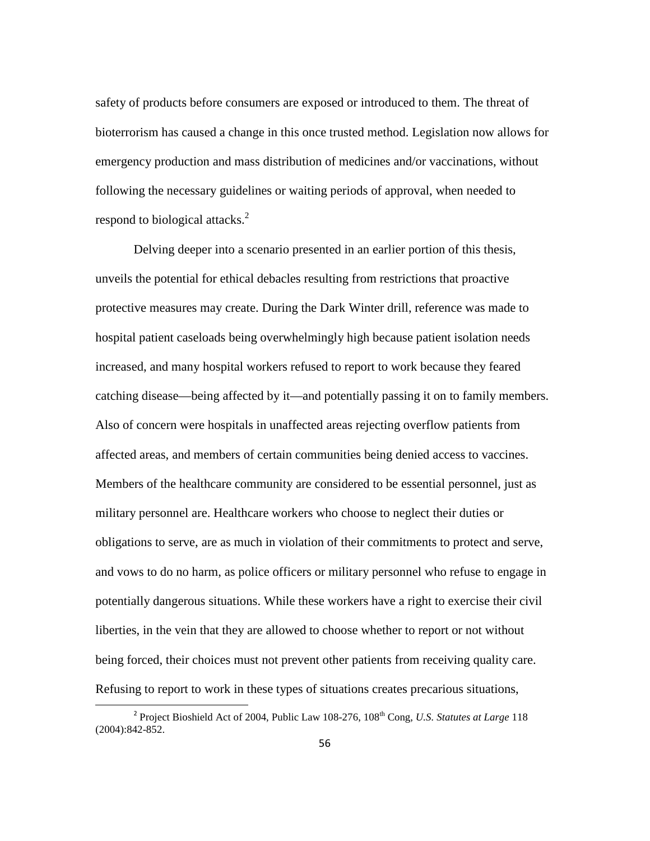safety of products before consumers are exposed or introduced to them. The threat of bioterrorism has caused a change in this once trusted method. Legislation now allows for emergency production and mass distribution of medicines and/or vaccinations, without following the necessary guidelines or waiting periods of approval, when needed to respond to biological attacks. $2$ 

Delving deeper into a scenario presented in an earlier portion of this thesis, unveils the potential for ethical debacles resulting from restrictions that proactive protective measures may create. During the Dark Winter drill, reference was made to hospital patient caseloads being overwhelmingly high because patient isolation needs increased, and many hospital workers refused to report to work because they feared catching disease—being affected by it—and potentially passing it on to family members. Also of concern were hospitals in unaffected areas rejecting overflow patients from affected areas, and members of certain communities being denied access to vaccines. Members of the healthcare community are considered to be essential personnel, just as military personnel are. Healthcare workers who choose to neglect their duties or obligations to serve, are as much in violation of their commitments to protect and serve, and vows to do no harm, as police officers or military personnel who refuse to engage in potentially dangerous situations. While these workers have a right to exercise their civil liberties, in the vein that they are allowed to choose whether to report or not without being forced, their choices must not prevent other patients from receiving quality care. Refusing to report to work in these types of situations creates precarious situations,

ı

<sup>&</sup>lt;sup>2</sup> Project Bioshield Act of 2004, Public Law 108-276, 108<sup>th</sup> Cong, *U.S. Statutes at Large* 118 (2004):842-852.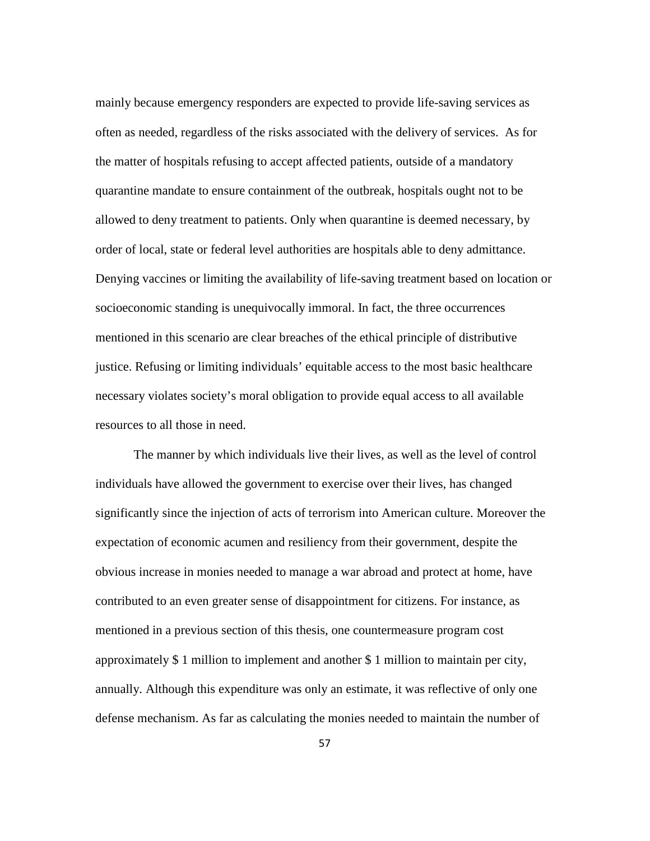mainly because emergency responders are expected to provide life-saving services as often as needed, regardless of the risks associated with the delivery of services. As for the matter of hospitals refusing to accept affected patients, outside of a mandatory quarantine mandate to ensure containment of the outbreak, hospitals ought not to be allowed to deny treatment to patients. Only when quarantine is deemed necessary, by order of local, state or federal level authorities are hospitals able to deny admittance. Denying vaccines or limiting the availability of life-saving treatment based on location or socioeconomic standing is unequivocally immoral. In fact, the three occurrences mentioned in this scenario are clear breaches of the ethical principle of distributive justice. Refusing or limiting individuals' equitable access to the most basic healthcare necessary violates society's moral obligation to provide equal access to all available resources to all those in need.

The manner by which individuals live their lives, as well as the level of control individuals have allowed the government to exercise over their lives, has changed significantly since the injection of acts of terrorism into American culture. Moreover the expectation of economic acumen and resiliency from their government, despite the obvious increase in monies needed to manage a war abroad and protect at home, have contributed to an even greater sense of disappointment for citizens. For instance, as mentioned in a previous section of this thesis, one countermeasure program cost approximately \$ 1 million to implement and another \$ 1 million to maintain per city, annually. Although this expenditure was only an estimate, it was reflective of only one defense mechanism. As far as calculating the monies needed to maintain the number of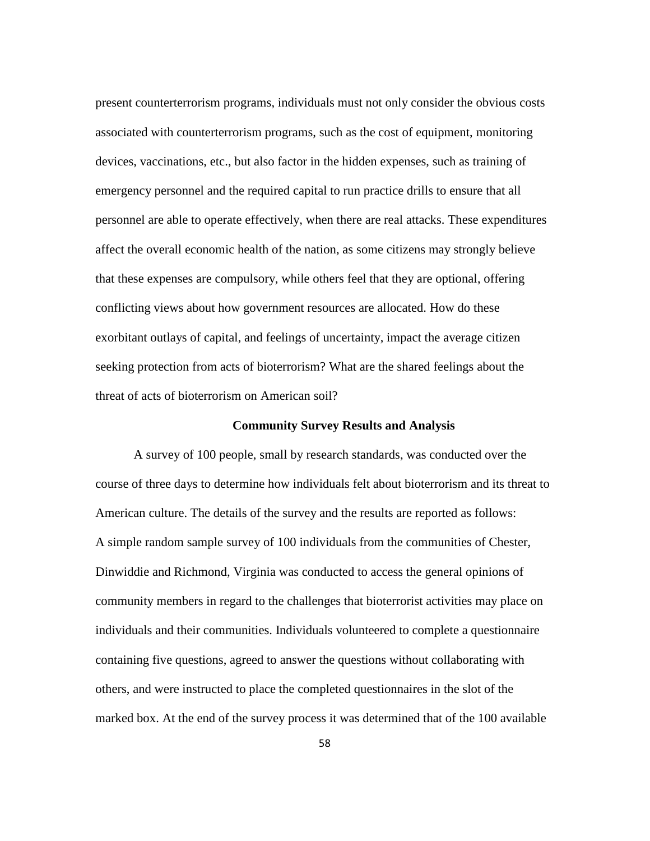present counterterrorism programs, individuals must not only consider the obvious costs associated with counterterrorism programs, such as the cost of equipment, monitoring devices, vaccinations, etc., but also factor in the hidden expenses, such as training of emergency personnel and the required capital to run practice drills to ensure that all personnel are able to operate effectively, when there are real attacks. These expenditures affect the overall economic health of the nation, as some citizens may strongly believe that these expenses are compulsory, while others feel that they are optional, offering conflicting views about how government resources are allocated. How do these exorbitant outlays of capital, and feelings of uncertainty, impact the average citizen seeking protection from acts of bioterrorism? What are the shared feelings about the threat of acts of bioterrorism on American soil?

## **Community Survey Results and Analysis**

A survey of 100 people, small by research standards, was conducted over the course of three days to determine how individuals felt about bioterrorism and its threat to American culture. The details of the survey and the results are reported as follows: A simple random sample survey of 100 individuals from the communities of Chester, Dinwiddie and Richmond, Virginia was conducted to access the general opinions of community members in regard to the challenges that bioterrorist activities may place on individuals and their communities. Individuals volunteered to complete a questionnaire containing five questions, agreed to answer the questions without collaborating with others, and were instructed to place the completed questionnaires in the slot of the marked box. At the end of the survey process it was determined that of the 100 available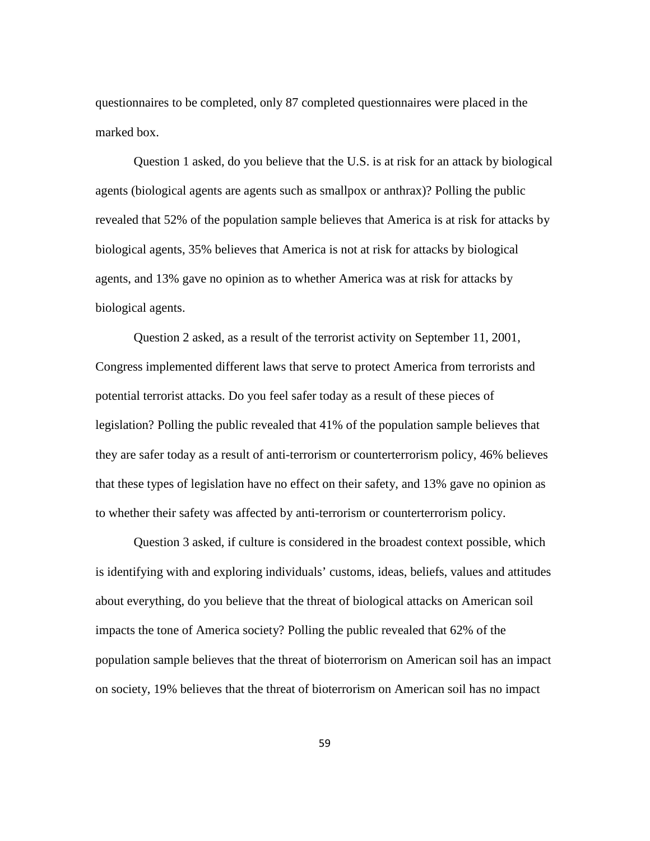questionnaires to be completed, only 87 completed questionnaires were placed in the marked box.

Question 1 asked, do you believe that the U.S. is at risk for an attack by biological agents (biological agents are agents such as smallpox or anthrax)? Polling the public revealed that 52% of the population sample believes that America is at risk for attacks by biological agents, 35% believes that America is not at risk for attacks by biological agents, and 13% gave no opinion as to whether America was at risk for attacks by biological agents.

Question 2 asked, as a result of the terrorist activity on September 11, 2001, Congress implemented different laws that serve to protect America from terrorists and potential terrorist attacks. Do you feel safer today as a result of these pieces of legislation? Polling the public revealed that 41% of the population sample believes that they are safer today as a result of anti-terrorism or counterterrorism policy, 46% believes that these types of legislation have no effect on their safety, and 13% gave no opinion as to whether their safety was affected by anti-terrorism or counterterrorism policy.

Question 3 asked, if culture is considered in the broadest context possible, which is identifying with and exploring individuals' customs, ideas, beliefs, values and attitudes about everything, do you believe that the threat of biological attacks on American soil impacts the tone of America society? Polling the public revealed that 62% of the population sample believes that the threat of bioterrorism on American soil has an impact on society, 19% believes that the threat of bioterrorism on American soil has no impact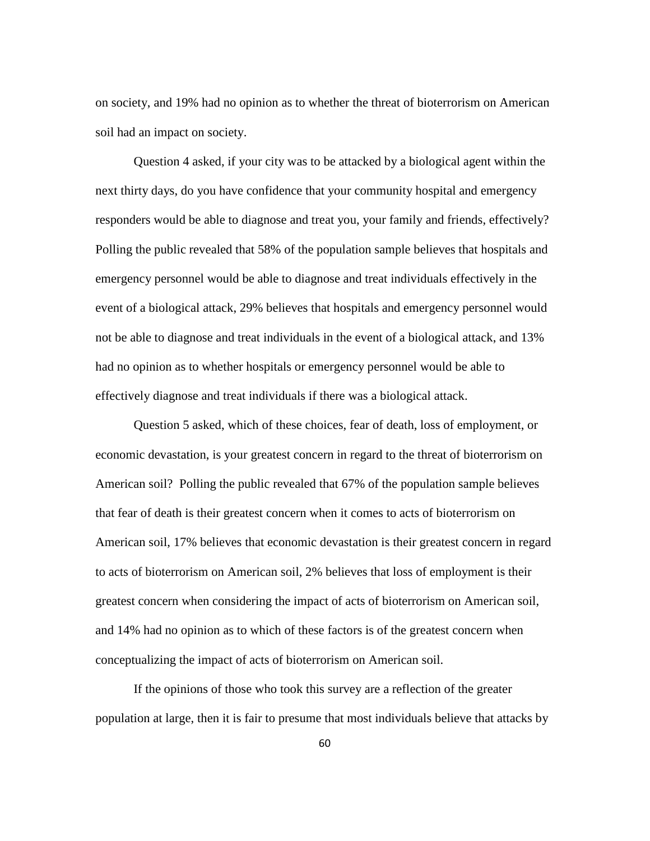on society, and 19% had no opinion as to whether the threat of bioterrorism on American soil had an impact on society.

Question 4 asked, if your city was to be attacked by a biological agent within the next thirty days, do you have confidence that your community hospital and emergency responders would be able to diagnose and treat you, your family and friends, effectively? Polling the public revealed that 58% of the population sample believes that hospitals and emergency personnel would be able to diagnose and treat individuals effectively in the event of a biological attack, 29% believes that hospitals and emergency personnel would not be able to diagnose and treat individuals in the event of a biological attack, and 13% had no opinion as to whether hospitals or emergency personnel would be able to effectively diagnose and treat individuals if there was a biological attack.

 Question 5 asked, which of these choices, fear of death, loss of employment, or economic devastation, is your greatest concern in regard to the threat of bioterrorism on American soil? Polling the public revealed that 67% of the population sample believes that fear of death is their greatest concern when it comes to acts of bioterrorism on American soil, 17% believes that economic devastation is their greatest concern in regard to acts of bioterrorism on American soil, 2% believes that loss of employment is their greatest concern when considering the impact of acts of bioterrorism on American soil, and 14% had no opinion as to which of these factors is of the greatest concern when conceptualizing the impact of acts of bioterrorism on American soil.

 If the opinions of those who took this survey are a reflection of the greater population at large, then it is fair to presume that most individuals believe that attacks by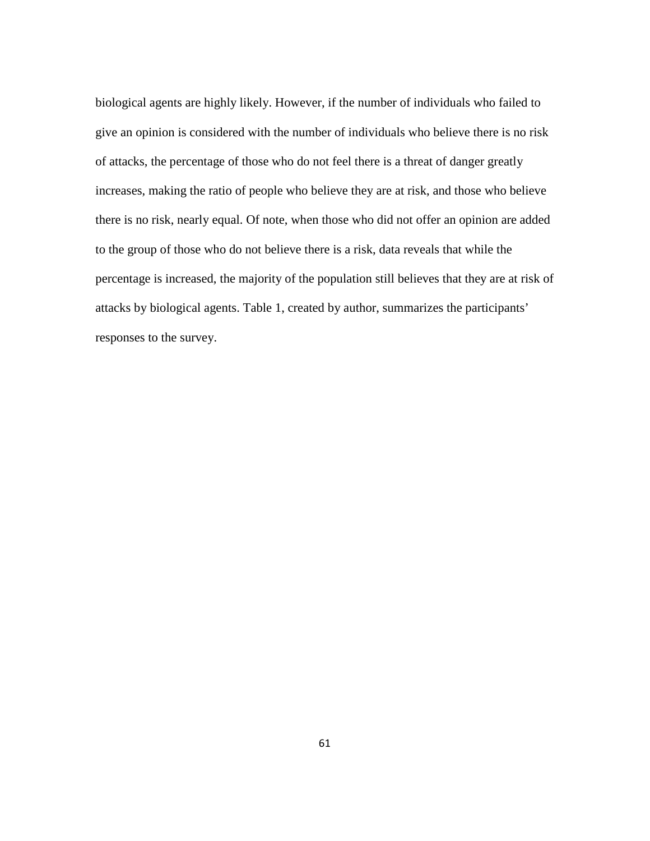biological agents are highly likely. However, if the number of individuals who failed to give an opinion is considered with the number of individuals who believe there is no risk of attacks, the percentage of those who do not feel there is a threat of danger greatly increases, making the ratio of people who believe they are at risk, and those who believe there is no risk, nearly equal. Of note, when those who did not offer an opinion are added to the group of those who do not believe there is a risk, data reveals that while the percentage is increased, the majority of the population still believes that they are at risk of attacks by biological agents. Table 1, created by author, summarizes the participants' responses to the survey.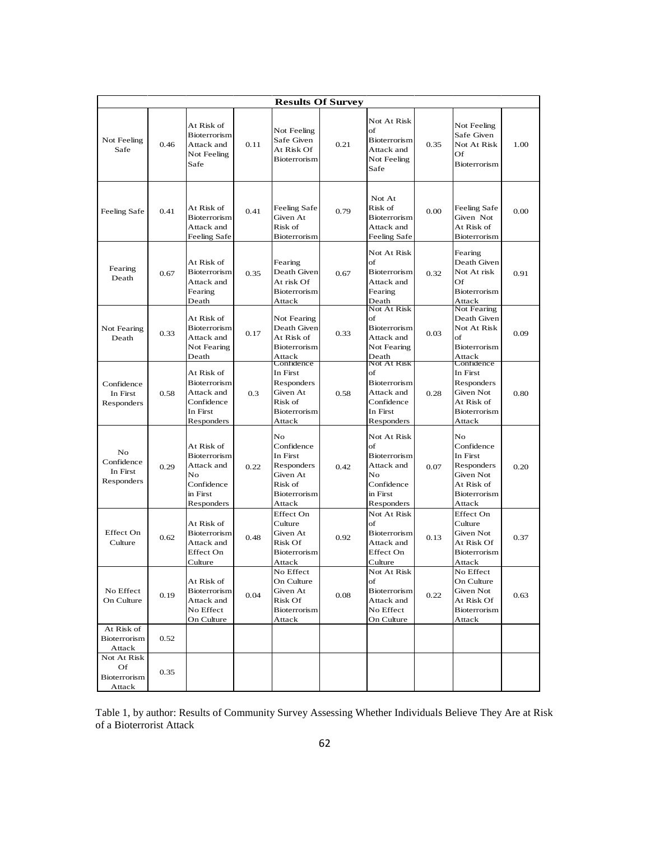| <b>Results Of Survey</b>                    |      |                                                                                               |      |                                                                                             |      |                                                                                                      |      |                                                                                                        |      |
|---------------------------------------------|------|-----------------------------------------------------------------------------------------------|------|---------------------------------------------------------------------------------------------|------|------------------------------------------------------------------------------------------------------|------|--------------------------------------------------------------------------------------------------------|------|
| Not Feeling<br>Safe                         | 0.46 | At Risk of<br>Bioterrorism<br>Attack and<br>Not Feeling<br>Safe                               | 0.11 | Not Feeling<br>Safe Given<br>At Risk Of<br>Bioterrorism                                     | 0.21 | Not At Risk<br>of<br><b>B</b> ioterrorism<br>Attack and<br>Not Feeling<br>Safe                       | 0.35 | Not Feeling<br>Safe Given<br>Not At Risk<br>Of<br><b>Bioterrorism</b>                                  | 1.00 |
| Feeling Safe                                | 0.41 | At Risk of<br><b>Bioterrorism</b><br>Attack and<br>Feeling Safe                               | 0.41 | Feeling Safe<br>Given At<br>Risk of<br>Bioterrorism                                         | 0.79 | Not At<br>Risk of<br><b>Bioterrorism</b><br>Attack and<br>Feeling Safe                               | 0.00 | Feeling Safe<br>Given Not<br>At Risk of<br>Bioterrorism                                                | 0.00 |
| Fearing<br>Death                            | 0.67 | At Risk of<br>Bioterrorism<br>Attack and<br>Fearing<br>Death                                  | 0.35 | Fearing<br>Death Given<br>At risk Of<br>Bioterrorism<br>Attack                              | 0.67 | Not At Risk<br>of<br>Bioterrorism<br>Attack and<br>Fearing<br>Death                                  | 0.32 | Fearing<br>Death Given<br>Not At risk<br>Of<br>Bioterrorism<br>Attack                                  | 0.91 |
| Not Fearing<br>Death                        | 0.33 | At Risk of<br>Bioterrorism<br>Attack and<br>Not Fearing<br>Death                              | 0.17 | Not Fearing<br>Death Given<br>At Risk of<br><b>Bioterrorism</b><br>Attack                   | 0.33 | Not At Risk<br>of<br><b>Bioterrorism</b><br>Attack and<br>Not Fearing<br>Death                       | 0.03 | Not Fearing<br>Death Given<br>Not At Risk<br>of<br>Bioterrorism<br>Attack                              | 0.09 |
| Confidence<br>In First<br>Responders        | 0.58 | At Risk of<br><b>Bioterrorism</b><br>Attack and<br>Confidence<br>In First<br>Responders       | 0.3  | Confidence<br>In First<br>Responders<br>Given At<br>Risk of<br>Bioterrorism<br>Attack       | 0.58 | Not At Risk<br>of<br>Bioterrorism<br>Attack and<br>Confidence<br>In First<br>Responders              | 0.28 | Confidence<br>In First<br>Responders<br>Given Not<br>At Risk of<br><b>Bioterrorism</b><br>Attack       | 0.80 |
| No<br>Confidence<br>In First<br>Responders  | 0.29 | At Risk of<br><b>Bioterrorism</b><br>Attack and<br>No<br>Confidence<br>in First<br>Responders | 0.22 | No<br>Confidence<br>In First<br>Responders<br>Given At<br>Risk of<br>Bioterrorism<br>Attack | 0.42 | Not At Risk<br>of<br><b>Bioterrorism</b><br>Attack and<br>No<br>Confidence<br>in First<br>Responders | 0.07 | No<br>Confidence<br>In First<br>Responders<br>Given Not<br>At Risk of<br><b>Bioterrorism</b><br>Attack | 0.20 |
| Effect On<br>Culture                        | 0.62 | At Risk of<br>Bioterrorism<br>Attack and<br>Effect On<br>Culture                              | 0.48 | Effect On<br>Culture<br>Given At<br>Risk Of<br>Bioterrorism<br>Attack                       | 0.92 | Not At Risk<br>of<br><b>Bioterrorism</b><br>Attack and<br>Effect On<br>Culture                       | 0.13 | Effect On<br>Culture<br>Given Not<br>At Risk Of<br><b>Bioterrorism</b><br>Attack                       | 0.37 |
| No Effect<br>On Culture                     | 0.19 | At Risk of<br>Bioterrorism<br>Attack and<br>No Effect<br>On Culture                           | 0.04 | No Effect<br>On Culture<br>Given At<br>Risk Of<br>Bioterrorism<br>Attack                    | 0.08 | Not At Risk<br>of<br>Bioterrorism<br>Attack and<br>No Effect<br>On Culture                           | 0.22 | No Effect<br>On Culture<br>Given Not<br>At Risk Of<br>Bioterrorism<br>Attack                           | 0.63 |
| At Risk of<br>Bioterrorism<br>Attack        | 0.52 |                                                                                               |      |                                                                                             |      |                                                                                                      |      |                                                                                                        |      |
| Not At Risk<br>Of<br>Bioterrorism<br>Attack | 0.35 |                                                                                               |      |                                                                                             |      |                                                                                                      |      |                                                                                                        |      |

Table 1, by author: Results of Community Survey Assessing Whether Individuals Believe They Are at Risk of a Bioterrorist Attack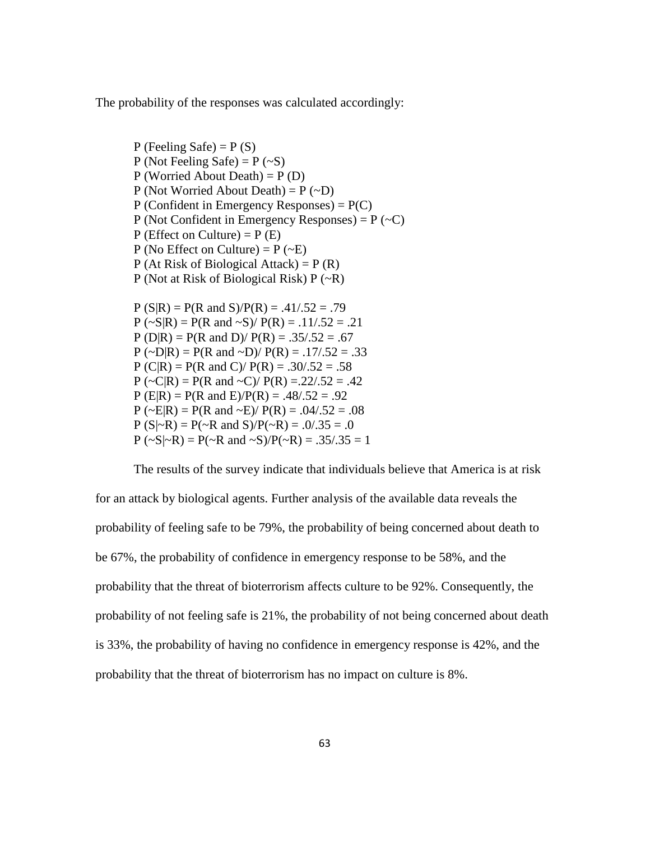The probability of the responses was calculated accordingly:

 $P$  (Feeling Safe) =  $P(S)$ P (Not Feeling Safe) =  $P$  (~S) P (Worried About Death) =  $P(D)$ P (Not Worried About Death) =  $P$  (~D) P (Confident in Emergency Responses) =  $P(C)$ P (Not Confident in Emergency Responses) =  $P$  ( $\sim$ C)  $P$  (Effect on Culture) =  $P$  (E) P (No Effect on Culture) =  $P$  ( $\sim$ E) P (At Risk of Biological Attack) =  $P(R)$ P (Not at Risk of Biological Risk) P (~R)  $P(S|R) = P(R \text{ and } S)/P(R) = .41/.52 = .79$  $P (\sim S | R) = P(R \text{ and } \sim S) / P(R) = .11/.52 = .21$  $P(D|R) = P(R \text{ and } D)/P(R) = .35/.52 = .67$  $P (\sim D | R) = P(R \text{ and } \sim D) / P(R) = .17/.52 = .33$  $P (C|R) = P(R \text{ and } C)/P(R) = .30/.52 = .58$  $P (\sim C | R) = P(R \text{ and } \sim C) / P(R) = .22/.52 = .42$  $P(E|R) = P(R \text{ and } E)/P(R) = .48/.52 = .92$  $P (\sim E | R) = P(R \text{ and } \sim E) / P(R) = .04/.52 = .08$  $P(S|\sim R) = P(\sim R \text{ and } S)/P(\sim R) = .0/.35 = .0$  $P (\sim S | \sim R) = P(\sim R \text{ and } \sim S) / P(\sim R) = .35/.35 = 1$ 

The results of the survey indicate that individuals believe that America is at risk for an attack by biological agents. Further analysis of the available data reveals the probability of feeling safe to be 79%, the probability of being concerned about death to be 67%, the probability of confidence in emergency response to be 58%, and the probability that the threat of bioterrorism affects culture to be 92%. Consequently, the probability of not feeling safe is 21%, the probability of not being concerned about death is 33%, the probability of having no confidence in emergency response is 42%, and the probability that the threat of bioterrorism has no impact on culture is 8%.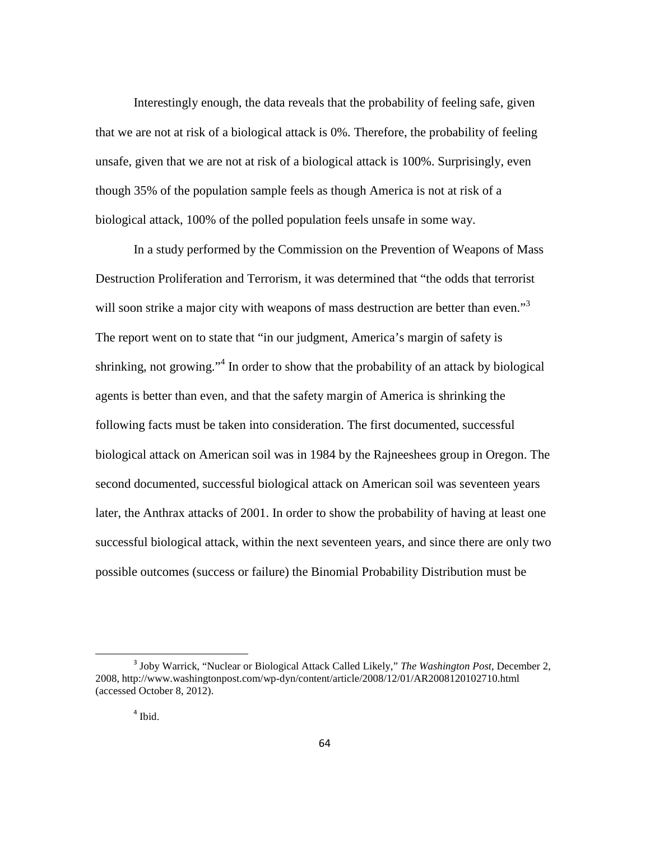Interestingly enough, the data reveals that the probability of feeling safe, given that we are not at risk of a biological attack is 0%. Therefore, the probability of feeling unsafe, given that we are not at risk of a biological attack is 100%. Surprisingly, even though 35% of the population sample feels as though America is not at risk of a biological attack, 100% of the polled population feels unsafe in some way.

In a study performed by the Commission on the Prevention of Weapons of Mass Destruction Proliferation and Terrorism, it was determined that "the odds that terrorist will soon strike a major city with weapons of mass destruction are better than even."<sup>3</sup> The report went on to state that "in our judgment, America's margin of safety is shrinking, not growing."<sup>4</sup> In order to show that the probability of an attack by biological agents is better than even, and that the safety margin of America is shrinking the following facts must be taken into consideration. The first documented, successful biological attack on American soil was in 1984 by the Rajneeshees group in Oregon. The second documented, successful biological attack on American soil was seventeen years later, the Anthrax attacks of 2001. In order to show the probability of having at least one successful biological attack, within the next seventeen years, and since there are only two possible outcomes (success or failure) the Binomial Probability Distribution must be

<sup>3</sup> Joby Warrick, "Nuclear or Biological Attack Called Likely," *The Washington Post*, December 2, 2008, http://www.washingtonpost.com/wp-dyn/content/article/2008/12/01/AR2008120102710.html (accessed October 8, 2012).

<sup>4</sup> Ibid.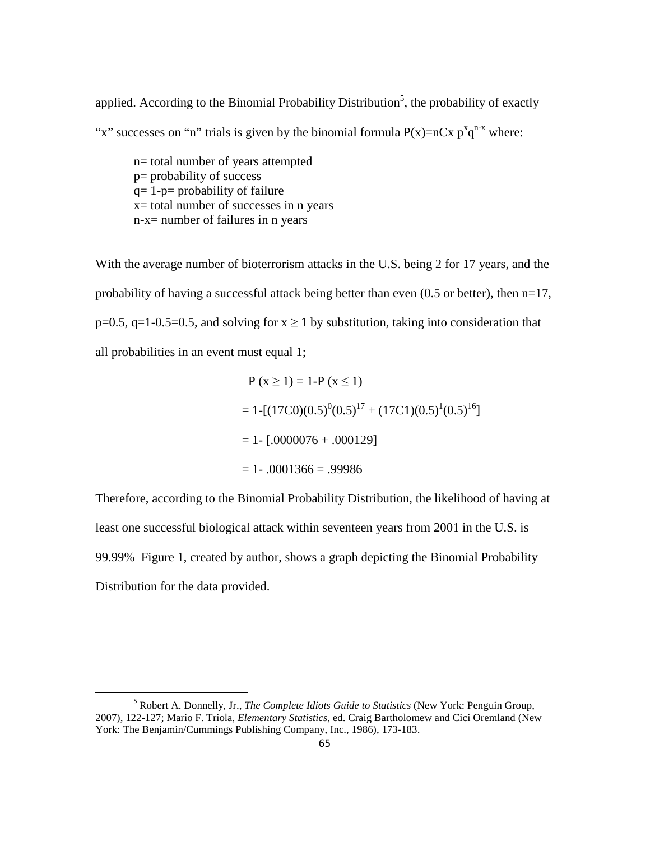applied. According to the Binomial Probability Distribution<sup>5</sup>, the probability of exactly "x" successes on "n" trials is given by the binomial formula  $P(x)=nCx p^x q^{n-x}$  where:

n= total number of years attempted p= probability of success  $q= 1-p=$  probability of failure x= total number of successes in n years n-x= number of failures in n years

With the average number of bioterrorism attacks in the U.S. being 2 for 17 years, and the probability of having a successful attack being better than even  $(0.5 \text{ or better})$ , then  $n=17$ ,  $p=0.5$ ,  $q=1-0.5=0.5$ , and solving for  $x \ge 1$  by substitution, taking into consideration that all probabilities in an event must equal 1;

$$
P (x \ge 1) = 1 - P (x \le 1)
$$
  
= 1-[(17C0)(0.5)<sup>0</sup>(0.5)<sup>17</sup> + (17C1)(0.5)<sup>1</sup>(0.5)<sup>16</sup>]  
= 1- [.0000076 + .000129]  
= 1- .0001366 = .99986

Therefore, according to the Binomial Probability Distribution, the likelihood of having at least one successful biological attack within seventeen years from 2001 in the U.S. is 99.99% Figure 1, created by author, shows a graph depicting the Binomial Probability Distribution for the data provided.

<sup>5</sup> Robert A. Donnelly, Jr., *The Complete Idiots Guide to Statistics* (New York: Penguin Group, 2007), 122-127; Mario F. Triola, *Elementary Statistics*, ed. Craig Bartholomew and Cici Oremland (New York: The Benjamin/Cummings Publishing Company, Inc., 1986), 173-183.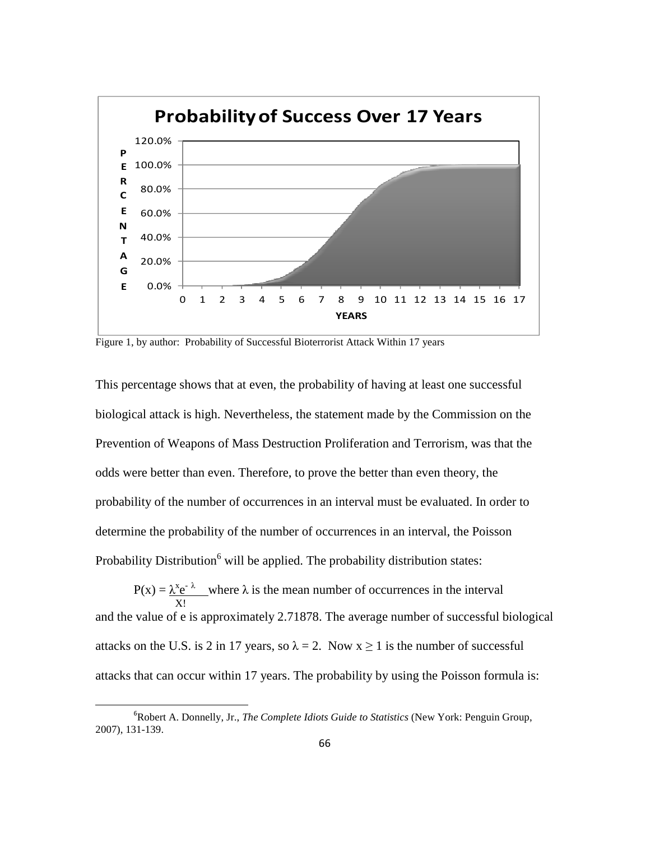

Figure 1, by author: Probability of Successful Bioterrorist Attack Within 17 years

This percentage shows that at even, the probability of having at least one successful biological attack is high. Nevertheless, the statement made by the Commission on the Prevention of Weapons of Mass Destruction Proliferation and Terrorism, was that the odds were better than even. Therefore, to prove the better than even theory, the probability of the number of occurrences in an interval must be evaluated. In order to determine the probability of the number of occurrences in an interval, the Poisson Probability Distribution<sup>6</sup> will be applied. The probability distribution states:

 $P(x) = \frac{\lambda^{x} e^{-\lambda}}{x^{x} e^{-\lambda}}$  where  $\lambda$  is the mean number of occurrences in the interval X! and the value of e is approximately 2.71878. The average number of successful biological attacks on the U.S. is 2 in 17 years, so  $\lambda = 2$ . Now  $x \ge 1$  is the number of successful attacks that can occur within 17 years. The probability by using the Poisson formula is:

ı

<sup>6</sup> Robert A. Donnelly, Jr., *The Complete Idiots Guide to Statistics* (New York: Penguin Group, 2007), 131-139.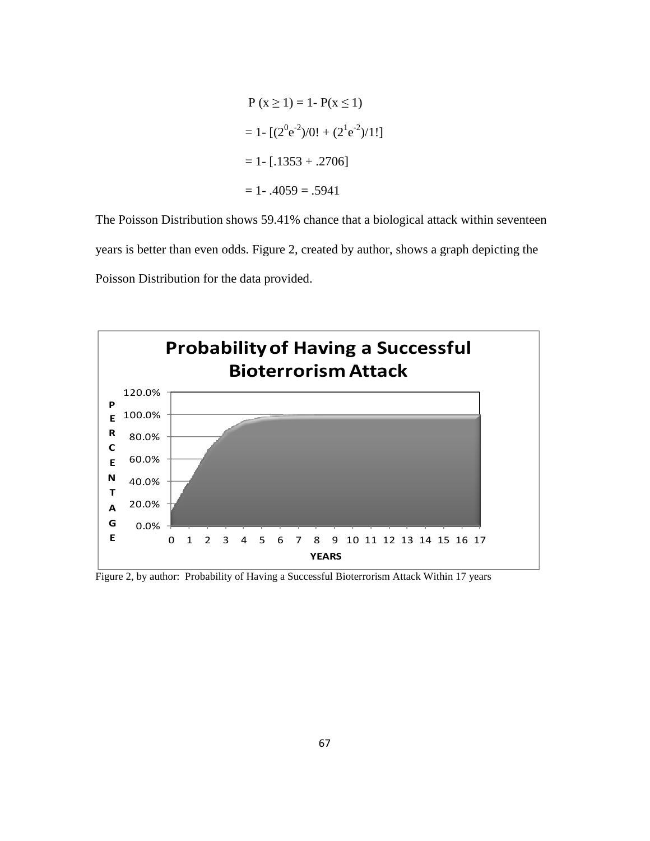$$
P (x \ge 1) = 1 - P(x \le 1)
$$
  
= 1 - [(2<sup>0</sup>e<sup>-2</sup>)/0! + (2<sup>1</sup>e<sup>-2</sup>)/1!]  
= 1 - [.1353 + .2706]  
= 1 - .4059 = .5941

The Poisson Distribution shows 59.41% chance that a biological attack within seventeen years is better than even odds. Figure 2, created by author, shows a graph depicting the Poisson Distribution for the data provided.



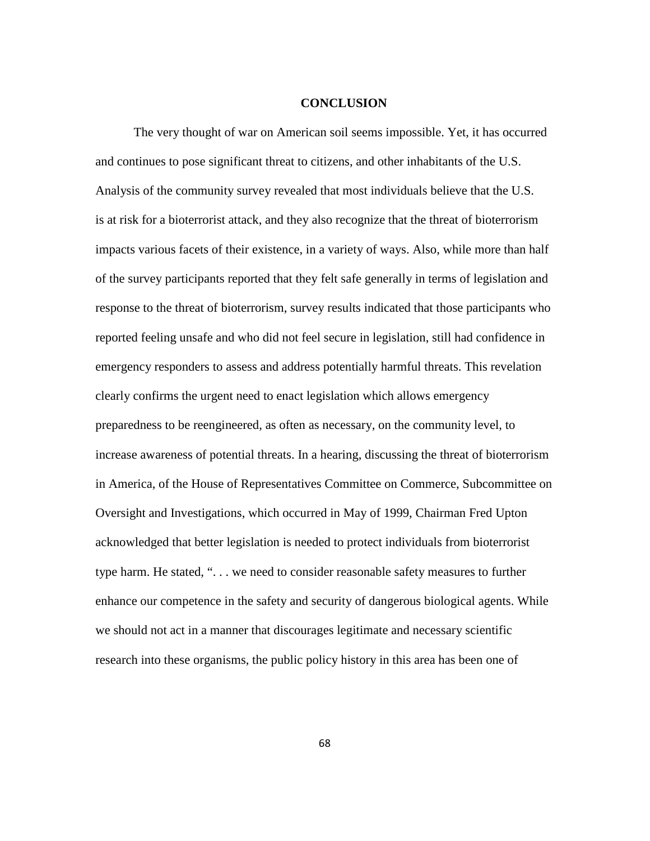#### **CONCLUSION**

The very thought of war on American soil seems impossible. Yet, it has occurred and continues to pose significant threat to citizens, and other inhabitants of the U.S. Analysis of the community survey revealed that most individuals believe that the U.S. is at risk for a bioterrorist attack, and they also recognize that the threat of bioterrorism impacts various facets of their existence, in a variety of ways. Also, while more than half of the survey participants reported that they felt safe generally in terms of legislation and response to the threat of bioterrorism, survey results indicated that those participants who reported feeling unsafe and who did not feel secure in legislation, still had confidence in emergency responders to assess and address potentially harmful threats. This revelation clearly confirms the urgent need to enact legislation which allows emergency preparedness to be reengineered, as often as necessary, on the community level, to increase awareness of potential threats. In a hearing, discussing the threat of bioterrorism in America, of the House of Representatives Committee on Commerce, Subcommittee on Oversight and Investigations, which occurred in May of 1999, Chairman Fred Upton acknowledged that better legislation is needed to protect individuals from bioterrorist type harm. He stated, ". . . we need to consider reasonable safety measures to further enhance our competence in the safety and security of dangerous biological agents. While we should not act in a manner that discourages legitimate and necessary scientific research into these organisms, the public policy history in this area has been one of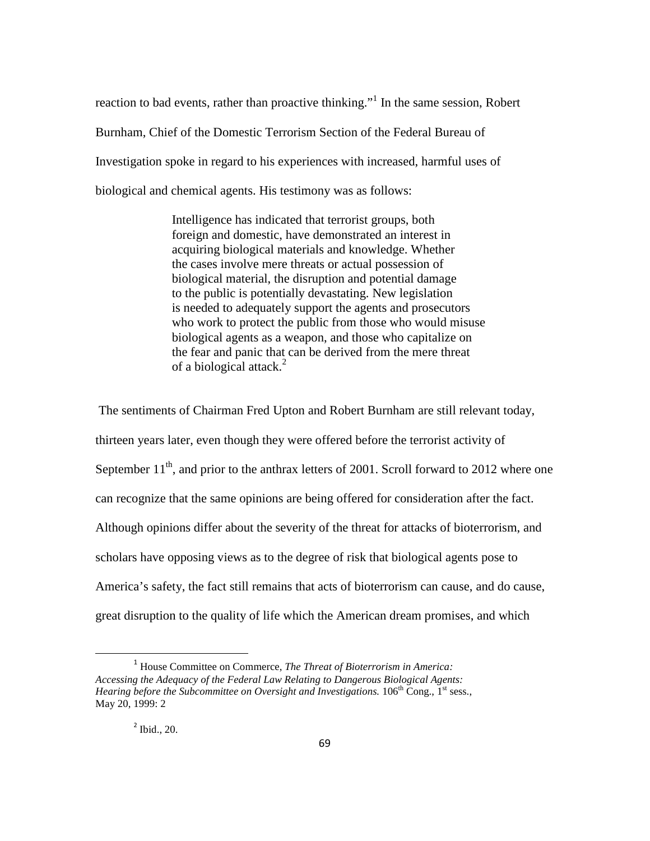reaction to bad events, rather than proactive thinking."<sup>1</sup> In the same session, Robert Burnham, Chief of the Domestic Terrorism Section of the Federal Bureau of Investigation spoke in regard to his experiences with increased, harmful uses of biological and chemical agents. His testimony was as follows:

> Intelligence has indicated that terrorist groups, both foreign and domestic, have demonstrated an interest in acquiring biological materials and knowledge. Whether the cases involve mere threats or actual possession of biological material, the disruption and potential damage to the public is potentially devastating. New legislation is needed to adequately support the agents and prosecutors who work to protect the public from those who would misuse biological agents as a weapon, and those who capitalize on the fear and panic that can be derived from the mere threat of a biological attack.<sup>2</sup>

 The sentiments of Chairman Fred Upton and Robert Burnham are still relevant today, thirteen years later, even though they were offered before the terrorist activity of September  $11<sup>th</sup>$ , and prior to the anthrax letters of 2001. Scroll forward to 2012 where one can recognize that the same opinions are being offered for consideration after the fact. Although opinions differ about the severity of the threat for attacks of bioterrorism, and scholars have opposing views as to the degree of risk that biological agents pose to America's safety, the fact still remains that acts of bioterrorism can cause, and do cause, great disruption to the quality of life which the American dream promises, and which

# 2 Ibid., 20.

ı

<sup>1</sup> House Committee on Commerce, *The Threat of Bioterrorism in America: Accessing the Adequacy of the Federal Law Relating to Dangerous Biological Agents: Hearing before the Subcommittee on Oversight and Investigations.* 106<sup>th</sup> Cong., 1<sup>st</sup> sess., May 20, 1999: 2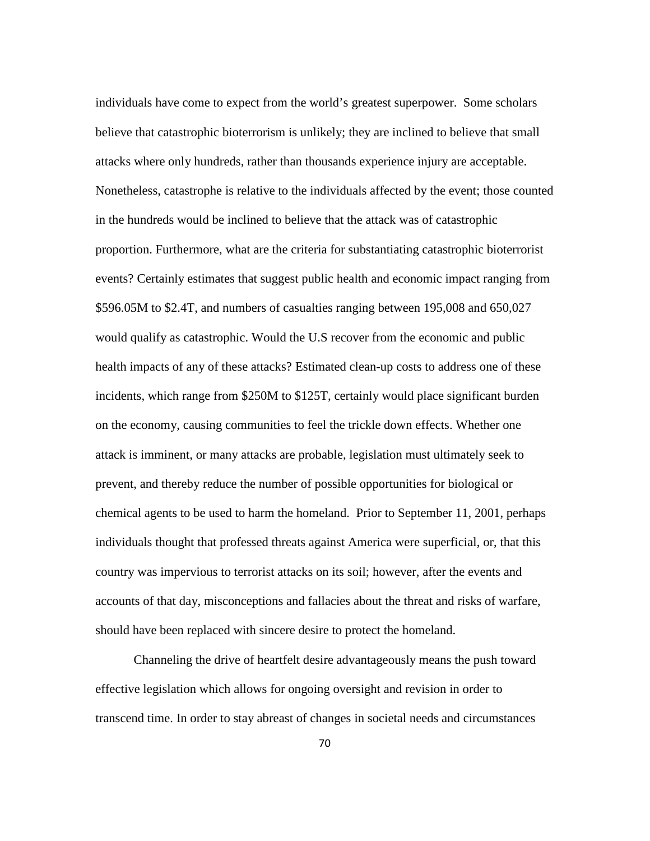individuals have come to expect from the world's greatest superpower. Some scholars believe that catastrophic bioterrorism is unlikely; they are inclined to believe that small attacks where only hundreds, rather than thousands experience injury are acceptable. Nonetheless, catastrophe is relative to the individuals affected by the event; those counted in the hundreds would be inclined to believe that the attack was of catastrophic proportion. Furthermore, what are the criteria for substantiating catastrophic bioterrorist events? Certainly estimates that suggest public health and economic impact ranging from \$596.05M to \$2.4T, and numbers of casualties ranging between 195,008 and 650,027 would qualify as catastrophic. Would the U.S recover from the economic and public health impacts of any of these attacks? Estimated clean-up costs to address one of these incidents, which range from \$250M to \$125T, certainly would place significant burden on the economy, causing communities to feel the trickle down effects. Whether one attack is imminent, or many attacks are probable, legislation must ultimately seek to prevent, and thereby reduce the number of possible opportunities for biological or chemical agents to be used to harm the homeland. Prior to September 11, 2001, perhaps individuals thought that professed threats against America were superficial, or, that this country was impervious to terrorist attacks on its soil; however, after the events and accounts of that day, misconceptions and fallacies about the threat and risks of warfare, should have been replaced with sincere desire to protect the homeland.

Channeling the drive of heartfelt desire advantageously means the push toward effective legislation which allows for ongoing oversight and revision in order to transcend time. In order to stay abreast of changes in societal needs and circumstances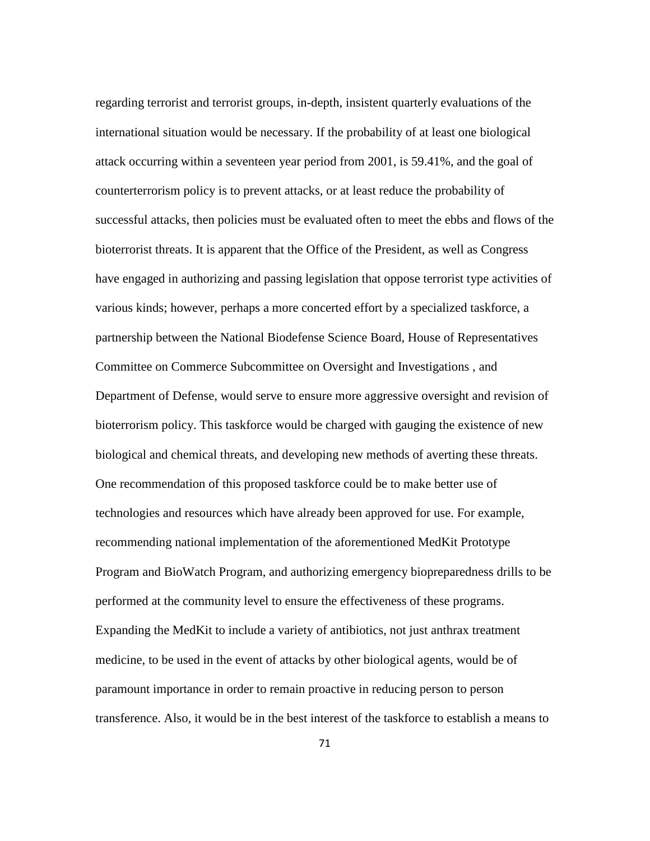regarding terrorist and terrorist groups, in-depth, insistent quarterly evaluations of the international situation would be necessary. If the probability of at least one biological attack occurring within a seventeen year period from 2001, is 59.41%, and the goal of counterterrorism policy is to prevent attacks, or at least reduce the probability of successful attacks, then policies must be evaluated often to meet the ebbs and flows of the bioterrorist threats. It is apparent that the Office of the President, as well as Congress have engaged in authorizing and passing legislation that oppose terrorist type activities of various kinds; however, perhaps a more concerted effort by a specialized taskforce, a partnership between the National Biodefense Science Board, House of Representatives Committee on Commerce Subcommittee on Oversight and Investigations , and Department of Defense, would serve to ensure more aggressive oversight and revision of bioterrorism policy. This taskforce would be charged with gauging the existence of new biological and chemical threats, and developing new methods of averting these threats. One recommendation of this proposed taskforce could be to make better use of technologies and resources which have already been approved for use. For example, recommending national implementation of the aforementioned MedKit Prototype Program and BioWatch Program, and authorizing emergency biopreparedness drills to be performed at the community level to ensure the effectiveness of these programs. Expanding the MedKit to include a variety of antibiotics, not just anthrax treatment medicine, to be used in the event of attacks by other biological agents, would be of paramount importance in order to remain proactive in reducing person to person transference. Also, it would be in the best interest of the taskforce to establish a means to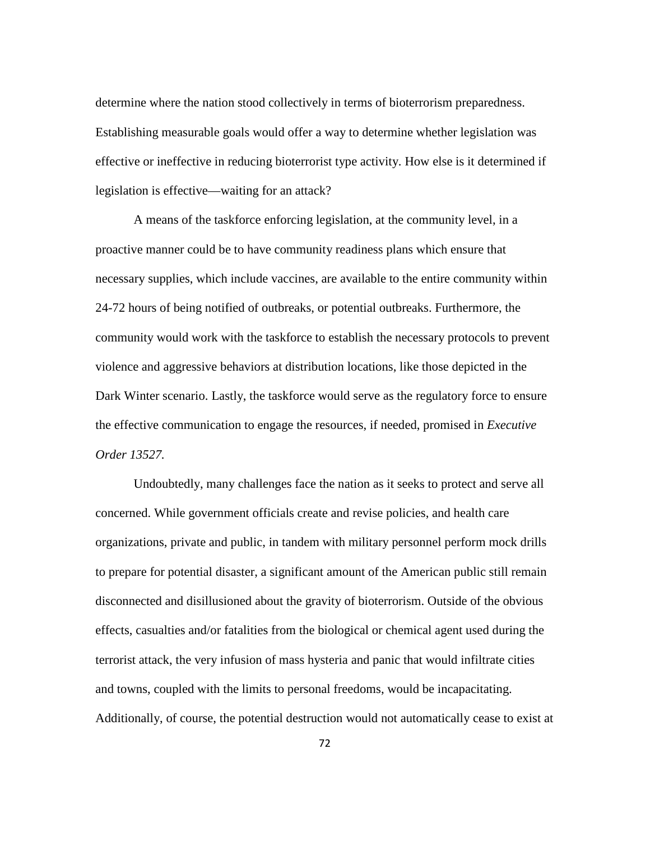determine where the nation stood collectively in terms of bioterrorism preparedness. Establishing measurable goals would offer a way to determine whether legislation was effective or ineffective in reducing bioterrorist type activity. How else is it determined if legislation is effective—waiting for an attack?

A means of the taskforce enforcing legislation, at the community level, in a proactive manner could be to have community readiness plans which ensure that necessary supplies, which include vaccines, are available to the entire community within 24-72 hours of being notified of outbreaks, or potential outbreaks. Furthermore, the community would work with the taskforce to establish the necessary protocols to prevent violence and aggressive behaviors at distribution locations, like those depicted in the Dark Winter scenario. Lastly, the taskforce would serve as the regulatory force to ensure the effective communication to engage the resources, if needed, promised in *Executive Order 13527.*

Undoubtedly, many challenges face the nation as it seeks to protect and serve all concerned. While government officials create and revise policies, and health care organizations, private and public, in tandem with military personnel perform mock drills to prepare for potential disaster, a significant amount of the American public still remain disconnected and disillusioned about the gravity of bioterrorism. Outside of the obvious effects, casualties and/or fatalities from the biological or chemical agent used during the terrorist attack, the very infusion of mass hysteria and panic that would infiltrate cities and towns, coupled with the limits to personal freedoms, would be incapacitating. Additionally, of course, the potential destruction would not automatically cease to exist at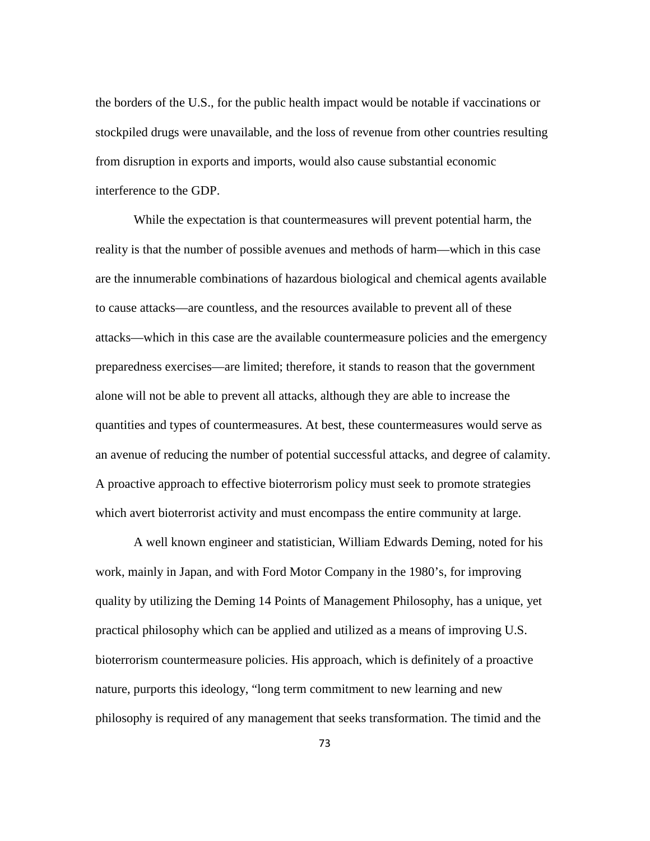the borders of the U.S., for the public health impact would be notable if vaccinations or stockpiled drugs were unavailable, and the loss of revenue from other countries resulting from disruption in exports and imports, would also cause substantial economic interference to the GDP.

While the expectation is that countermeasures will prevent potential harm, the reality is that the number of possible avenues and methods of harm—which in this case are the innumerable combinations of hazardous biological and chemical agents available to cause attacks—are countless, and the resources available to prevent all of these attacks—which in this case are the available countermeasure policies and the emergency preparedness exercises—are limited; therefore, it stands to reason that the government alone will not be able to prevent all attacks, although they are able to increase the quantities and types of countermeasures. At best, these countermeasures would serve as an avenue of reducing the number of potential successful attacks, and degree of calamity. A proactive approach to effective bioterrorism policy must seek to promote strategies which avert bioterrorist activity and must encompass the entire community at large.

A well known engineer and statistician, William Edwards Deming, noted for his work, mainly in Japan, and with Ford Motor Company in the 1980's, for improving quality by utilizing the Deming 14 Points of Management Philosophy, has a unique, yet practical philosophy which can be applied and utilized as a means of improving U.S. bioterrorism countermeasure policies. His approach, which is definitely of a proactive nature, purports this ideology, "long term commitment to new learning and new philosophy is required of any management that seeks transformation. The timid and the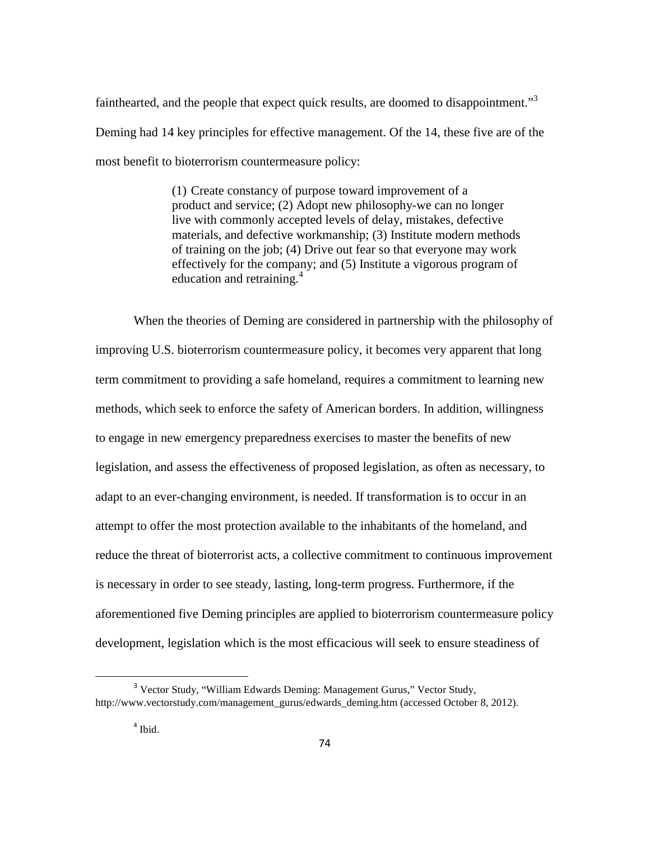fainthearted, and the people that expect quick results, are doomed to disappointment.<sup>33</sup> Deming had 14 key principles for effective management. Of the 14, these five are of the most benefit to bioterrorism countermeasure policy:

> (1) Create constancy of purpose toward improvement of a product and service; (2) Adopt new philosophy-we can no longer live with commonly accepted levels of delay, mistakes, defective materials, and defective workmanship; (3) Institute modern methods of training on the job; (4) Drive out fear so that everyone may work effectively for the company; and (5) Institute a vigorous program of education and retraining.<sup>4</sup>

When the theories of Deming are considered in partnership with the philosophy of improving U.S. bioterrorism countermeasure policy, it becomes very apparent that long term commitment to providing a safe homeland, requires a commitment to learning new methods, which seek to enforce the safety of American borders. In addition, willingness to engage in new emergency preparedness exercises to master the benefits of new legislation, and assess the effectiveness of proposed legislation, as often as necessary, to adapt to an ever-changing environment, is needed. If transformation is to occur in an attempt to offer the most protection available to the inhabitants of the homeland, and reduce the threat of bioterrorist acts, a collective commitment to continuous improvement is necessary in order to see steady, lasting, long-term progress. Furthermore, if the aforementioned five Deming principles are applied to bioterrorism countermeasure policy development, legislation which is the most efficacious will seek to ensure steadiness of

 $\overline{\phantom{0}}$ 

<sup>3</sup> Vector Study, "William Edwards Deming: Management Gurus," Vector Study, http://www.vectorstudy.com/management\_gurus/edwards\_deming.htm (accessed October 8, 2012).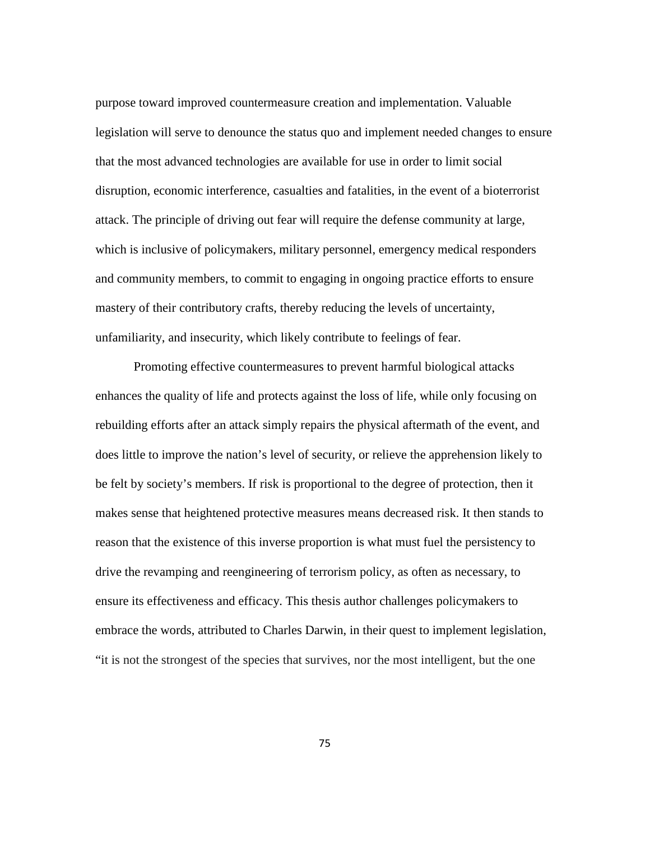purpose toward improved countermeasure creation and implementation. Valuable legislation will serve to denounce the status quo and implement needed changes to ensure that the most advanced technologies are available for use in order to limit social disruption, economic interference, casualties and fatalities, in the event of a bioterrorist attack. The principle of driving out fear will require the defense community at large, which is inclusive of policymakers, military personnel, emergency medical responders and community members, to commit to engaging in ongoing practice efforts to ensure mastery of their contributory crafts, thereby reducing the levels of uncertainty, unfamiliarity, and insecurity, which likely contribute to feelings of fear.

Promoting effective countermeasures to prevent harmful biological attacks enhances the quality of life and protects against the loss of life, while only focusing on rebuilding efforts after an attack simply repairs the physical aftermath of the event, and does little to improve the nation's level of security, or relieve the apprehension likely to be felt by society's members. If risk is proportional to the degree of protection, then it makes sense that heightened protective measures means decreased risk. It then stands to reason that the existence of this inverse proportion is what must fuel the persistency to drive the revamping and reengineering of terrorism policy, as often as necessary, to ensure its effectiveness and efficacy. This thesis author challenges policymakers to embrace the words, attributed to Charles Darwin, in their quest to implement legislation, "it is not the strongest of the species that survives, nor the most intelligent, but the one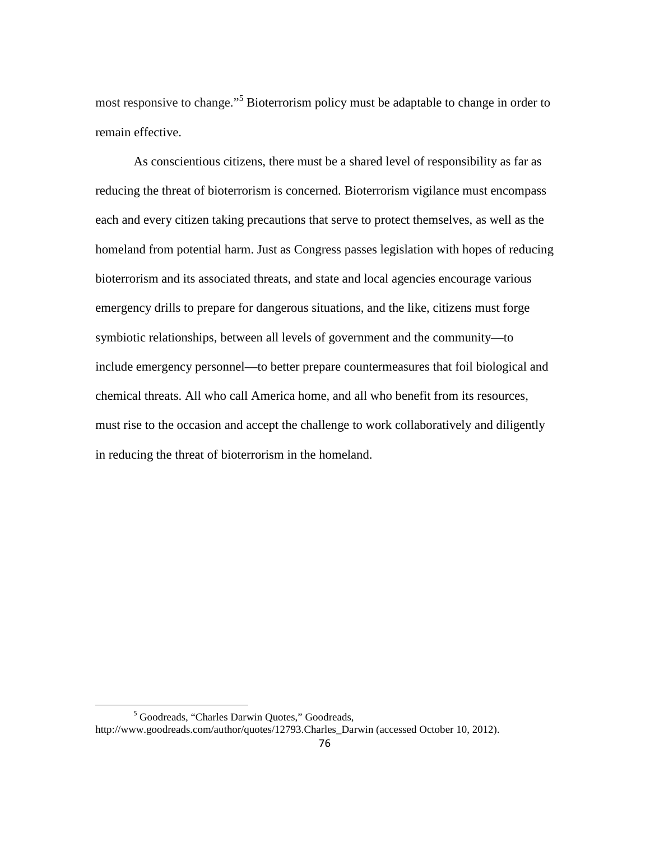most responsive to change."<sup>5</sup> Bioterrorism policy must be adaptable to change in order to remain effective.

As conscientious citizens, there must be a shared level of responsibility as far as reducing the threat of bioterrorism is concerned. Bioterrorism vigilance must encompass each and every citizen taking precautions that serve to protect themselves, as well as the homeland from potential harm. Just as Congress passes legislation with hopes of reducing bioterrorism and its associated threats, and state and local agencies encourage various emergency drills to prepare for dangerous situations, and the like, citizens must forge symbiotic relationships, between all levels of government and the community—to include emergency personnel—to better prepare countermeasures that foil biological and chemical threats. All who call America home, and all who benefit from its resources, must rise to the occasion and accept the challenge to work collaboratively and diligently in reducing the threat of bioterrorism in the homeland.

ı

<sup>5</sup> Goodreads, "Charles Darwin Quotes," Goodreads,

http://www.goodreads.com/author/quotes/12793.Charles\_Darwin (accessed October 10, 2012).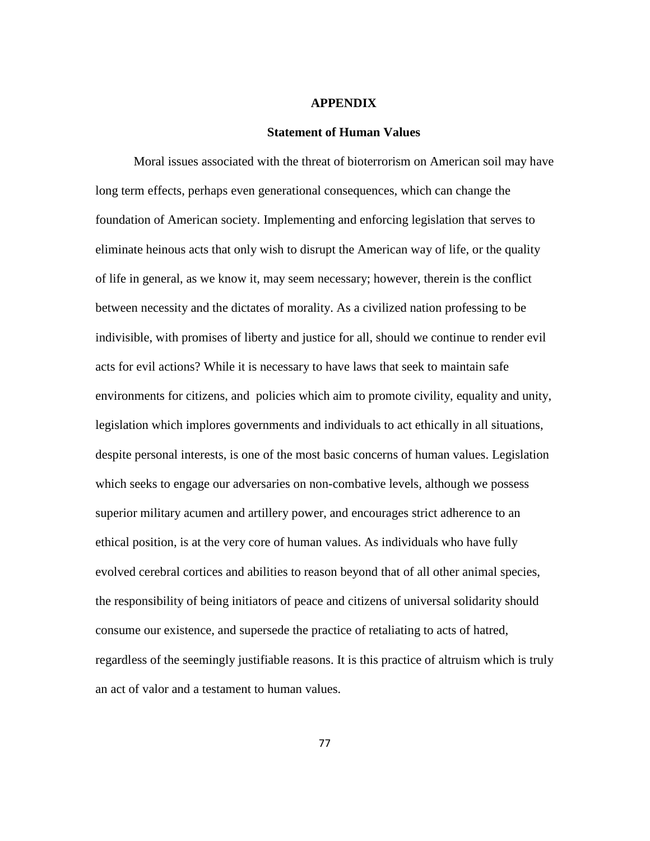## **APPENDIX**

## **Statement of Human Values**

Moral issues associated with the threat of bioterrorism on American soil may have long term effects, perhaps even generational consequences, which can change the foundation of American society. Implementing and enforcing legislation that serves to eliminate heinous acts that only wish to disrupt the American way of life, or the quality of life in general, as we know it, may seem necessary; however, therein is the conflict between necessity and the dictates of morality. As a civilized nation professing to be indivisible, with promises of liberty and justice for all, should we continue to render evil acts for evil actions? While it is necessary to have laws that seek to maintain safe environments for citizens, and policies which aim to promote civility, equality and unity, legislation which implores governments and individuals to act ethically in all situations, despite personal interests, is one of the most basic concerns of human values. Legislation which seeks to engage our adversaries on non-combative levels, although we possess superior military acumen and artillery power, and encourages strict adherence to an ethical position, is at the very core of human values. As individuals who have fully evolved cerebral cortices and abilities to reason beyond that of all other animal species, the responsibility of being initiators of peace and citizens of universal solidarity should consume our existence, and supersede the practice of retaliating to acts of hatred, regardless of the seemingly justifiable reasons. It is this practice of altruism which is truly an act of valor and a testament to human values.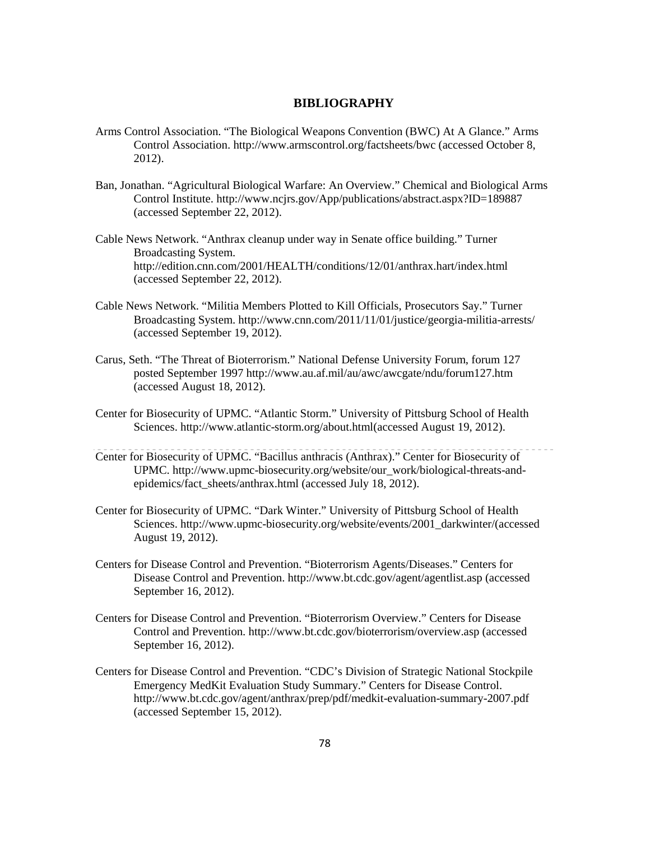#### **BIBLIOGRAPHY**

- Arms Control Association. "The Biological Weapons Convention (BWC) At A Glance." Arms Control Association. http://www.armscontrol.org/factsheets/bwc (accessed October 8, 2012).
- Ban, Jonathan. "Agricultural Biological Warfare: An Overview." Chemical and Biological Arms Control Institute. http://www.ncjrs.gov/App/publications/abstract.aspx?ID=189887 (accessed September 22, 2012).
- Cable News Network. "Anthrax cleanup under way in Senate office building." Turner Broadcasting System. http://edition.cnn.com/2001/HEALTH/conditions/12/01/anthrax.hart/index.html (accessed September 22, 2012).
- Cable News Network. "Militia Members Plotted to Kill Officials, Prosecutors Say." Turner Broadcasting System. http://www.cnn.com/2011/11/01/justice/georgia-militia-arrests/ (accessed September 19, 2012).
- Carus, Seth. "The Threat of Bioterrorism." National Defense University Forum, forum 127 posted September 1997 http://www.au.af.mil/au/awc/awcgate/ndu/forum127.htm (accessed August 18, 2012).
- Center for Biosecurity of UPMC. "Atlantic Storm." University of Pittsburg School of Health Sciences. http://www.atlantic-storm.org/about.html(accessed August 19, 2012).
- Center for Biosecurity of UPMC. "Bacillus anthracis (Anthrax)." Center for Biosecurity of UPMC. http://www.upmc-biosecurity.org/website/our\_work/biological-threats-andepidemics/fact\_sheets/anthrax.html (accessed July 18, 2012).
- Center for Biosecurity of UPMC. "Dark Winter." University of Pittsburg School of Health Sciences. http://www.upmc-biosecurity.org/website/events/2001\_darkwinter/(accessed August 19, 2012).
- Centers for Disease Control and Prevention. "Bioterrorism Agents/Diseases." Centers for Disease Control and Prevention. http://www.bt.cdc.gov/agent/agentlist.asp (accessed September 16, 2012).
- Centers for Disease Control and Prevention. "Bioterrorism Overview." Centers for Disease Control and Prevention. http://www.bt.cdc.gov/bioterrorism/overview.asp (accessed September 16, 2012).
- Centers for Disease Control and Prevention. "CDC's Division of Strategic National Stockpile Emergency MedKit Evaluation Study Summary." Centers for Disease Control. http://www.bt.cdc.gov/agent/anthrax/prep/pdf/medkit-evaluation-summary-2007.pdf (accessed September 15, 2012).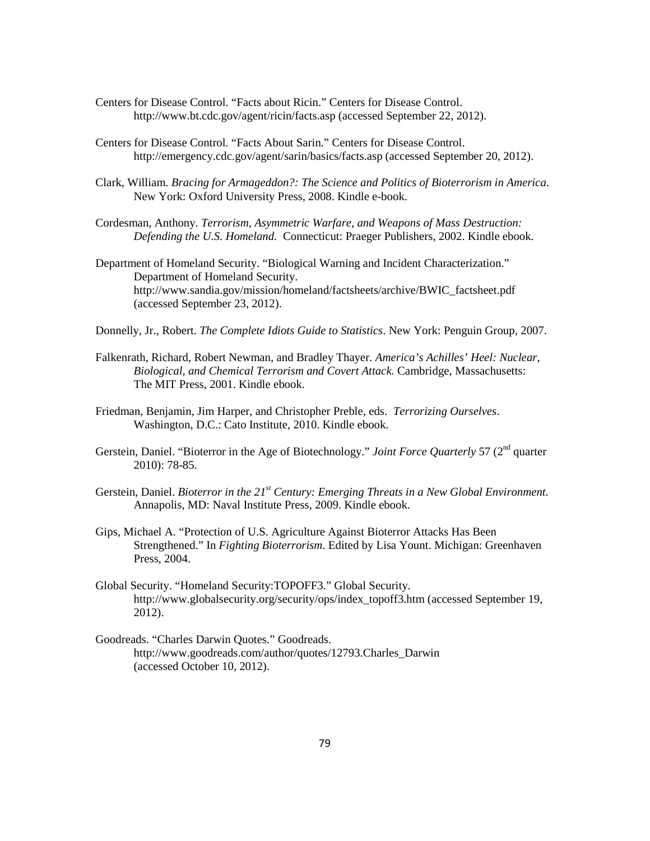- Centers for Disease Control. "Facts about Ricin." Centers for Disease Control. http://www.bt.cdc.gov/agent/ricin/facts.asp (accessed September 22, 2012).
- Centers for Disease Control. "Facts About Sarin." Centers for Disease Control. http://emergency.cdc.gov/agent/sarin/basics/facts.asp (accessed September 20, 2012).
- Clark, William. *Bracing for Armageddon?: The Science and Politics of Bioterrorism in America.*  New York: Oxford University Press, 2008. Kindle e-book.
- Cordesman, Anthony. *Terrorism, Asymmetric Warfare, and Weapons of Mass Destruction: Defending the U.S. Homeland.* Connecticut: Praeger Publishers, 2002. Kindle ebook.
- Department of Homeland Security. "Biological Warning and Incident Characterization." Department of Homeland Security. http://www.sandia.gov/mission/homeland/factsheets/archive/BWIC\_factsheet.pdf (accessed September 23, 2012).
- Donnelly, Jr., Robert. *The Complete Idiots Guide to Statistics*. New York: Penguin Group, 2007.
- Falkenrath, Richard, Robert Newman, and Bradley Thayer. *America's Achilles' Heel: Nuclear, Biological, and Chemical Terrorism and Covert Attack.* Cambridge, Massachusetts: The MIT Press, 2001. Kindle ebook.
- Friedman, Benjamin, Jim Harper, and Christopher Preble, eds. *Terrorizing Ourselves*. Washington, D.C.: Cato Institute, 2010. Kindle ebook.
- Gerstein, Daniel. "Bioterror in the Age of Biotechnology." *Joint Force Quarterly* 57 (2<sup>nd</sup> quarter 2010): 78-85.
- Gerstein, Daniel. *Bioterror in the 21st Century: Emerging Threats in a New Global Environment.*  Annapolis, MD: Naval Institute Press, 2009. Kindle ebook.
- Gips, Michael A. "Protection of U.S. Agriculture Against Bioterror Attacks Has Been Strengthened." In *Fighting Bioterrorism*. Edited by Lisa Yount. Michigan: Greenhaven Press, 2004.
- Global Security. "Homeland Security:TOPOFF3." Global Security. http://www.globalsecurity.org/security/ops/index\_topoff3.htm (accessed September 19, 2012).
- Goodreads. "Charles Darwin Quotes." Goodreads. http://www.goodreads.com/author/quotes/12793.Charles\_Darwin (accessed October 10, 2012).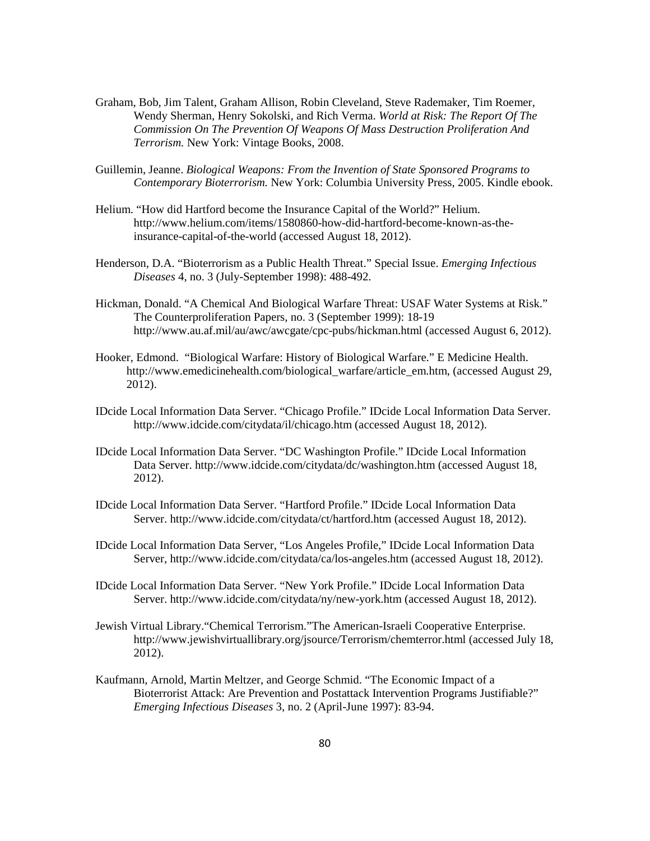- Graham, Bob, Jim Talent, Graham Allison, Robin Cleveland, Steve Rademaker, Tim Roemer, Wendy Sherman, Henry Sokolski, and Rich Verma. *World at Risk: The Report Of The Commission On The Prevention Of Weapons Of Mass Destruction Proliferation And Terrorism.* New York: Vintage Books, 2008.
- Guillemin, Jeanne. *Biological Weapons: From the Invention of State Sponsored Programs to Contemporary Bioterrorism.* New York: Columbia University Press, 2005. Kindle ebook.
- Helium. "How did Hartford become the Insurance Capital of the World?" Helium. http://www.helium.com/items/1580860-how-did-hartford-become-known-as-theinsurance-capital-of-the-world (accessed August 18, 2012).
- Henderson, D.A. "Bioterrorism as a Public Health Threat." Special Issue. *Emerging Infectious Diseases* 4, no. 3 (July-September 1998): 488-492.
- Hickman, Donald. "A Chemical And Biological Warfare Threat: USAF Water Systems at Risk." The Counterproliferation Papers, no. 3 (September 1999): 18-19 http://www.au.af.mil/au/awc/awcgate/cpc-pubs/hickman.html (accessed August 6, 2012).
- Hooker, Edmond. "Biological Warfare: History of Biological Warfare." E Medicine Health. http://www.emedicinehealth.com/biological\_warfare/article\_em.htm, (accessed August 29, 2012).
- IDcide Local Information Data Server. "Chicago Profile." IDcide Local Information Data Server. http://www.idcide.com/citydata/il/chicago.htm (accessed August 18, 2012).
- IDcide Local Information Data Server. "DC Washington Profile." IDcide Local Information Data Server. http://www.idcide.com/citydata/dc/washington.htm (accessed August 18, 2012).
- IDcide Local Information Data Server. "Hartford Profile." IDcide Local Information Data Server. http://www.idcide.com/citydata/ct/hartford.htm (accessed August 18, 2012).
- IDcide Local Information Data Server, "Los Angeles Profile," IDcide Local Information Data Server, http://www.idcide.com/citydata/ca/los-angeles.htm (accessed August 18, 2012).
- IDcide Local Information Data Server. "New York Profile." IDcide Local Information Data Server. http://www.idcide.com/citydata/ny/new-york.htm (accessed August 18, 2012).
- Jewish Virtual Library."Chemical Terrorism."The American-Israeli Cooperative Enterprise. http://www.jewishvirtuallibrary.org/jsource/Terrorism/chemterror.html (accessed July 18, 2012).
- Kaufmann, Arnold, Martin Meltzer, and George Schmid. "The Economic Impact of a Bioterrorist Attack: Are Prevention and Postattack Intervention Programs Justifiable?" *Emerging Infectious Diseases* 3, no. 2 (April-June 1997): 83-94.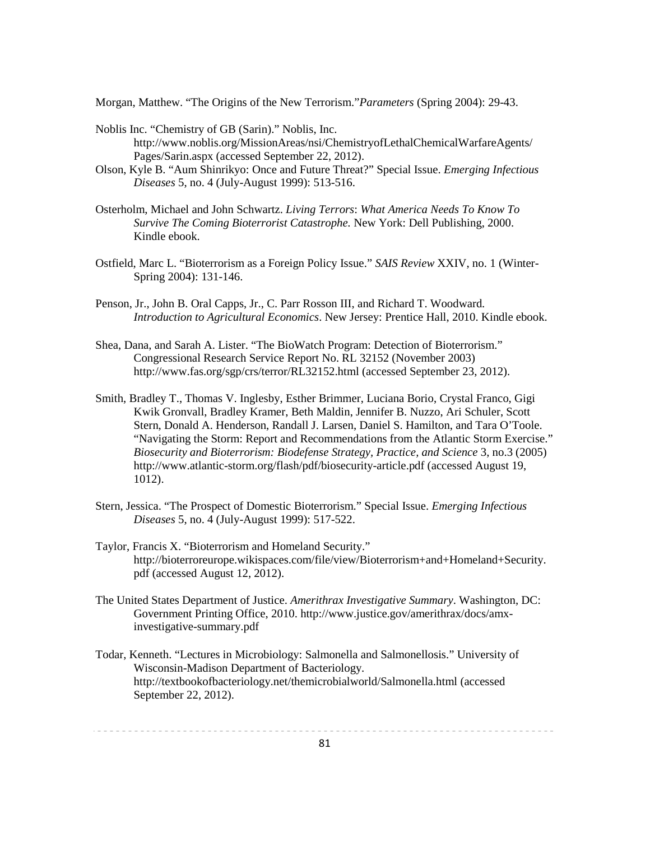Morgan, Matthew. "The Origins of the New Terrorism."*Parameters* (Spring 2004): 29-43.

- Noblis Inc. "Chemistry of GB (Sarin)." Noblis, Inc. http://www.noblis.org/MissionAreas/nsi/ChemistryofLethalChemicalWarfareAgents/ Pages/Sarin.aspx (accessed September 22, 2012).
- Olson, Kyle B. "Aum Shinrikyo: Once and Future Threat?" Special Issue. *Emerging Infectious Diseases* 5, no. 4 (July-August 1999): 513-516.
- Osterholm, Michael and John Schwartz. *Living Terrors*: *What America Needs To Know To Survive The Coming Bioterrorist Catastrophe.* New York: Dell Publishing, 2000. Kindle ebook.
- Ostfield, Marc L. "Bioterrorism as a Foreign Policy Issue." *SAIS Review* XXIV, no. 1 (Winter- Spring 2004): 131-146.
- Penson, Jr., John B. Oral Capps, Jr., C. Parr Rosson III, and Richard T. Woodward. *Introduction to Agricultural Economics*. New Jersey: Prentice Hall, 2010. Kindle ebook.
- Shea, Dana, and Sarah A. Lister. "The BioWatch Program: Detection of Bioterrorism." Congressional Research Service Report No. RL 32152 (November 2003) http://www.fas.org/sgp/crs/terror/RL32152.html (accessed September 23, 2012).
- Smith, Bradley T., Thomas V. Inglesby, Esther Brimmer, Luciana Borio, Crystal Franco, Gigi Kwik Gronvall, Bradley Kramer, Beth Maldin, Jennifer B. Nuzzo, Ari Schuler, Scott Stern, Donald A. Henderson, Randall J. Larsen, Daniel S. Hamilton, and Tara O'Toole. "Navigating the Storm: Report and Recommendations from the Atlantic Storm Exercise." *Biosecurity and Bioterrorism: Biodefense Strategy, Practice, and Science* 3, no.3 (2005) http://www.atlantic-storm.org/flash/pdf/biosecurity-article.pdf (accessed August 19, 1012).
- Stern, Jessica. "The Prospect of Domestic Bioterrorism." Special Issue. *Emerging Infectious Diseases* 5, no. 4 (July-August 1999): 517-522.
- Taylor, Francis X. "Bioterrorism and Homeland Security." http://bioterroreurope.wikispaces.com/file/view/Bioterrorism+and+Homeland+Security. pdf (accessed August 12, 2012).
- The United States Department of Justice. *Amerithrax Investigative Summary*. Washington, DC: Government Printing Office, 2010. http://www.justice.gov/amerithrax/docs/amxinvestigative-summary.pdf
- Todar, Kenneth. "Lectures in Microbiology: Salmonella and Salmonellosis." University of Wisconsin-Madison Department of Bacteriology. http://textbookofbacteriology.net/themicrobialworld/Salmonella.html (accessed September 22, 2012).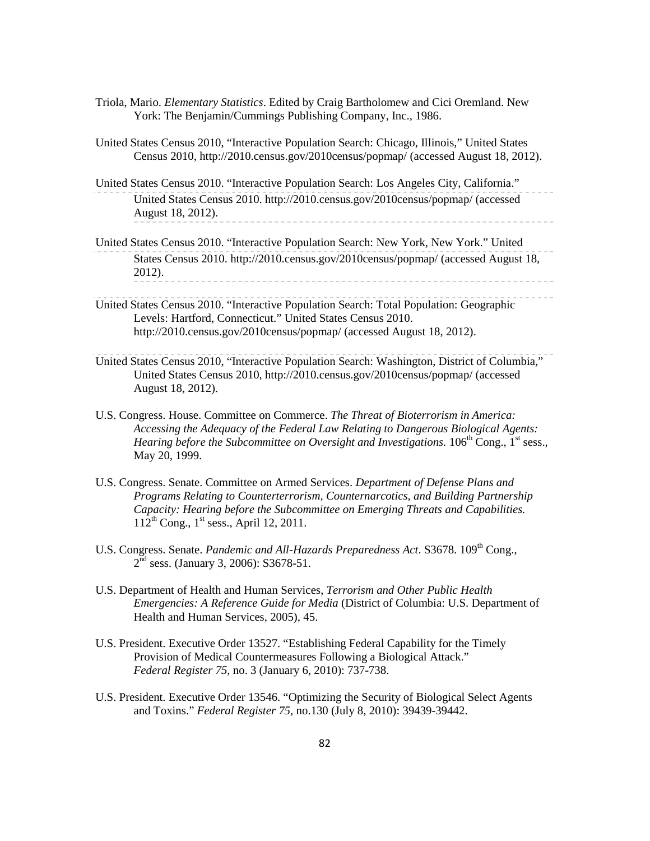- Triola, Mario. *Elementary Statistics*. Edited by Craig Bartholomew and Cici Oremland. New York: The Benjamin/Cummings Publishing Company, Inc., 1986.
- United States Census 2010, "Interactive Population Search: Chicago, Illinois," United States Census 2010, http://2010.census.gov/2010census/popmap/ (accessed August 18, 2012).
- United States Census 2010. "Interactive Population Search: Los Angeles City, California." United States Census 2010. http://2010.census.gov/2010census/popmap/ (accessed August 18, 2012).
- United States Census 2010. "Interactive Population Search: New York, New York." United States Census 2010. http://2010.census.gov/2010census/popmap/ (accessed August 18, 2012).
- United States Census 2010. "Interactive Population Search: Total Population: Geographic Levels: Hartford, Connecticut." United States Census 2010. http://2010.census.gov/2010census/popmap/ (accessed August 18, 2012).
- United States Census 2010, "Interactive Population Search: Washington, District of Columbia," United States Census 2010, http://2010.census.gov/2010census/popmap/ (accessed August 18, 2012).
- U.S. Congress. House. Committee on Commerce. *The Threat of Bioterrorism in America: Accessing the Adequacy of the Federal Law Relating to Dangerous Biological Agents: Hearing before the Subcommittee on Oversight and Investigations.* 106<sup>th</sup> Cong., 1<sup>st</sup> sess., May 20, 1999.
- U.S. Congress. Senate. Committee on Armed Services. *Department of Defense Plans and Programs Relating to Counterterrorism, Counternarcotics, and Building Partnership Capacity: Hearing before the Subcommittee on Emerging Threats and Capabilities.*   $112^{th}$  Cong.,  $1^{st}$  sess., April 12, 2011.
- U.S. Congress. Senate. *Pandemic and All-Hazards Preparedness Act.* S3678. 109<sup>th</sup> Cong.,  $2<sup>nd</sup>$  sess. (January 3, 2006): S3678-51.
- U.S. Department of Health and Human Services, *Terrorism and Other Public Health Emergencies: A Reference Guide for Media* (District of Columbia: U.S. Department of Health and Human Services, 2005), 45.
- U.S. President. Executive Order 13527. "Establishing Federal Capability for the Timely Provision of Medical Countermeasures Following a Biological Attack." *Federal Register 75*, no. 3 (January 6, 2010): 737-738.
- U.S. President. Executive Order 13546. "Optimizing the Security of Biological Select Agents and Toxins." *Federal Register 75,* no.130 (July 8, 2010): 39439-39442.